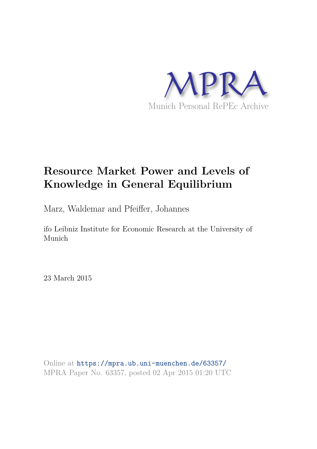

# **Resource Market Power and Levels of Knowledge in General Equilibrium**

Marz, Waldemar and Pfeiffer, Johannes

ifo Leibniz Institute for Economic Research at the University of Munich

23 March 2015

Online at https://mpra.ub.uni-muenchen.de/63357/ MPRA Paper No. 63357, posted 02 Apr 2015 01:20 UTC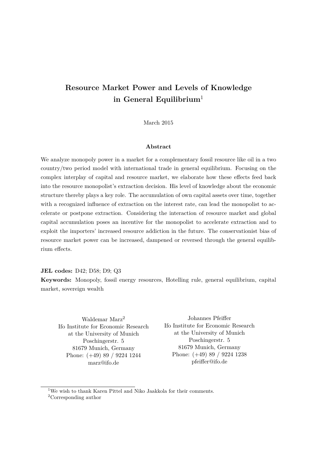# **Resource Market Power and Levels of Knowledge in General Equilibrium**<sup>1</sup>

March 2015

#### **Abstract**

We analyze monopoly power in a market for a complementary fossil resource like oil in a two country/two period model with international trade in general equilibrium. Focusing on the complex interplay of capital and resource market, we elaborate how these effects feed back into the resource monopolist's extraction decision. His level of knowledge about the economic structure thereby plays a key role. The accumulation of own capital assets over time, together with a recognized influence of extraction on the interest rate, can lead the monopolist to accelerate or postpone extraction. Considering the interaction of resource market and global capital accumulation poses an incentive for the monopolist to accelerate extraction and to exploit the importers' increased resource addiction in the future. The conservationist bias of resource market power can be increased, dampened or reversed through the general equilibrium effects.

**JEL codes:** D42; D58; D9; Q3

**Keywords:** Monopoly, fossil energy resources, Hotelling rule, general equilibrium, capital market, sovereign wealth

Waldemar Marz<sup>2</sup> Ifo Institute for Economic Research at the University of Munich Poschingerstr. 5 81679 Munich, Germany Phone: (+49) 89 / 9224 1244 marz@ifo.de

Johannes Pfeiffer Ifo Institute for Economic Research at the University of Munich Poschingerstr. 5 81679 Munich, Germany Phone: (+49) 89 / 9224 1238 pfeiffer@ifo.de

<sup>1</sup>We wish to thank Karen Pittel and Niko Jaakkola for their comments. <sup>2</sup>Corresponding author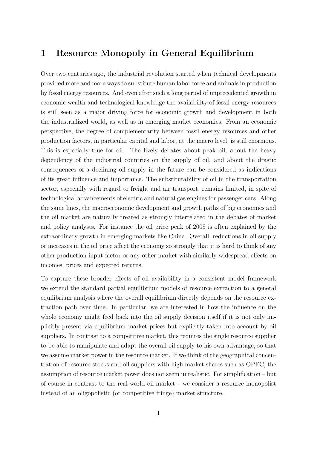# **1 Resource Monopoly in General Equilibrium**

Over two centuries ago, the industrial revolution started when technical developments provided more and more ways to substitute human labor force and animals in production by fossil energy resources. And even after such a long period of unprecedented growth in economic wealth and technological knowledge the availability of fossil energy resources is still seen as a major driving force for economic growth and development in both the industrialized world, as well as in emerging market economies. From an economic perspective, the degree of complementarity between fossil energy resources and other production factors, in particular capital and labor, at the macro level, is still enormous. This is especially true for oil. The lively debates about peak oil, about the heavy dependency of the industrial countries on the supply of oil, and about the drastic consequences of a declining oil supply in the future can be considered as indications of its great influence and importance. The substitutability of oil in the transportation sector, especially with regard to freight and air transport, remains limited, in spite of technological advancements of electric and natural gas engines for passenger cars. Along the same lines, the macroeconomic development and growth paths of big economies and the oil market are naturally treated as strongly interrelated in the debates of market and policy analysts. For instance the oil price peak of 2008 is often explained by the extraordinary growth in emerging markets like China. Overall, reductions in oil supply or increases in the oil price affect the economy so strongly that it is hard to think of any other production input factor or any other market with similarly widespread effects on incomes, prices and expected returns.

To capture these broader effects of oil availability in a consistent model framework we extend the standard partial equilibrium models of resource extraction to a general equilibrium analysis where the overall equilibrium directly depends on the resource extraction path over time. In particular, we are interested in how the influence on the whole economy might feed back into the oil supply decision itself if it is not only implicitly present via equilibrium market prices but explicitly taken into account by oil suppliers. In contrast to a competitive market, this requires the single resource supplier to be able to manipulate and adapt the overall oil supply to his own advantage, so that we assume market power in the resource market. If we think of the geographical concentration of resource stocks and oil suppliers with high market shares such as OPEC, the assumption of resource market power does not seem unrealistic. For simplification – but of course in contrast to the real world oil market – we consider a resource monopolist instead of an oligopolistic (or competitive fringe) market structure.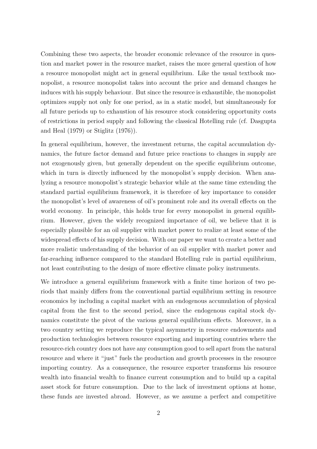Combining these two aspects, the broader economic relevance of the resource in question and market power in the resource market, raises the more general question of how a resource monopolist might act in general equilibrium. Like the usual textbook monopolist, a resource monopolist takes into account the price and demand changes he induces with his supply behaviour. But since the resource is exhaustible, the monopolist optimizes supply not only for one period, as in a static model, but simultaneously for all future periods up to exhaustion of his resource stock considering opportunity costs of restrictions in period supply and following the classical Hotelling rule (cf. Dasgupta and Heal (1979) or Stiglitz (1976)).

In general equilibrium, however, the investment returns, the capital accumulation dynamics, the future factor demand and future price reactions to changes in supply are not exogenously given, but generally dependent on the specific equilibrium outcome, which in turn is directly influenced by the monopolist's supply decision. When analyzing a resource monopolist's strategic behavior while at the same time extending the standard partial equilibrium framework, it is therefore of key importance to consider the monopolist's level of awareness of oil's prominent role and its overall effects on the world economy. In principle, this holds true for every monopolist in general equilibrium. However, given the widely recognized importance of oil, we believe that it is especially plausible for an oil supplier with market power to realize at least some of the widespread effects of his supply decision. With our paper we want to create a better and more realistic understanding of the behavior of an oil supplier with market power and far-reaching influence compared to the standard Hotelling rule in partial equilibrium, not least contributing to the design of more effective climate policy instruments.

We introduce a general equilibrium framework with a finite time horizon of two periods that mainly differs from the conventional partial equilibrium setting in resource economics by including a capital market with an endogenous accumulation of physical capital from the first to the second period, since the endogenous capital stock dynamics constitute the pivot of the various general equilibrium effects. Moreover, in a two country setting we reproduce the typical asymmetry in resource endowments and production technologies between resource exporting and importing countries where the resource-rich country does not have any consumption good to sell apart from the natural resource and where it "just" fuels the production and growth processes in the resource importing country. As a consequence, the resource exporter transforms his resource wealth into financial wealth to finance current consumption and to build up a capital asset stock for future consumption. Due to the lack of investment options at home, these funds are invested abroad. However, as we assume a perfect and competitive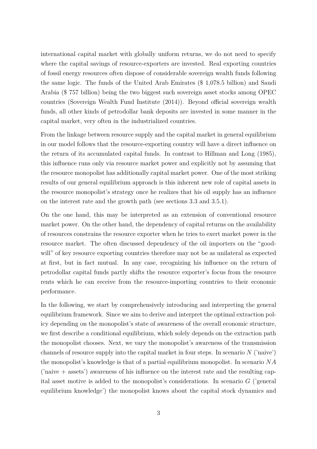international capital market with globally uniform returns, we do not need to specify where the capital savings of resource-exporters are invested. Real exporting countries of fossil energy resources often dispose of considerable sovereign wealth funds following the same logic. The funds of the United Arab Emirates (\$ 1,078.5 billion) and Saudi Arabia (\$ 757 billion) being the two biggest such sovereign asset stocks among OPEC countries (Sovereign Wealth Fund Institute (2014)). Beyond official sovereign wealth funds, all other kinds of petrodollar bank deposits are invested in some manner in the capital market, very often in the industrialized countries.

From the linkage between resource supply and the capital market in general equilibrium in our model follows that the resource-exporting country will have a direct influence on the return of its accumulated capital funds. In contrast to Hillman and Long (1985), this influence runs only via resource market power and explicitly not by assuming that the resource monopolist has additionally capital market power. One of the most striking results of our general equilibrium approach is this inherent new role of capital assets in the resource monopolist's strategy once he realizes that his oil supply has an influence on the interest rate and the growth path (see sections 3.3 and 3.5.1).

On the one hand, this may be interpreted as an extension of conventional resource market power. On the other hand, the dependency of capital returns on the availability of resources constrains the resource exporter when he tries to exert market power in the resource market. The often discussed dependency of the oil importers on the "goodwill" of key resource exporting countries therefore may not be as unilateral as expected at first, but in fact mutual. In any case, recognizing his influence on the return of petrodollar capital funds partly shifts the resource exporter's focus from the resource rents which he can receive from the resource-importing countries to their economic performance.

In the following, we start by comprehensively introducing and interpreting the general equilibrium framework. Since we aim to derive and interpret the optimal extraction policy depending on the monopolist's state of awareness of the overall economic structure, we first describe a conditional equilibrium, which solely depends on the extraction path the monopolist chooses. Next, we vary the monopolist's awareness of the transmission channels of resource supply into the capital market in four steps. In scenario *N* ('naive') the monopolist's knowledge is that of a partial equilibrium monopolist. In scenario *NA* ('naive + assets') awareness of his influence on the interest rate and the resulting capital asset motive is added to the monopolist's considerations. In scenario *G* ('general equilibrium knowledge') the monopolist knows about the capital stock dynamics and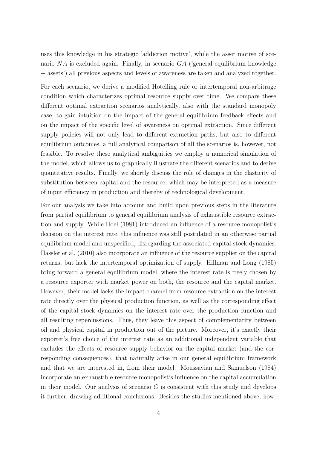uses this knowledge in his strategic 'addiction motive', while the asset motive of scenario *NA* is excluded again. Finally, in scenario *GA* ('general equilibrium knowledge + assets') all previous aspects and levels of awareness are taken and analyzed together.

For each scenario, we derive a modified Hotelling rule or intertemporal non-arbitrage condition which characterizes optimal resource supply over time. We compare these different optimal extraction scenarios analytically, also with the standard monopoly case, to gain intuition on the impact of the general equilibrium feedback effects and on the impact of the specific level of awareness on optimal extraction. Since different supply policies will not only lead to different extraction paths, but also to different equilibrium outcomes, a full analytical comparison of all the scenarios is, however, not feasible. To resolve these analytical ambiguities we employ a numerical simulation of the model, which allows us to graphically illustrate the different scenarios and to derive quantitative results. Finally, we shortly discuss the role of changes in the elasticity of substitution between capital and the resource, which may be interpreted as a measure of input efficiency in production and thereby of technological development.

For our analysis we take into account and build upon previous steps in the literature from partial equilibrium to general equilibrium analysis of exhaustible resource extraction and supply. While Hoel (1981) introduced an influence of a resource monopolist's decision on the interest rate, this influence was still postulated in an otherwise partial equilibrium model and unspecified, disregarding the associated capital stock dynamics. Hassler et al. (2010) also incorporate an influence of the resource supplier on the capital returns, but lack the intertemporal optimization of supply. Hillman and Long (1985) bring forward a general equilibrium model, where the interest rate is freely chosen by a resource exporter with market power on both, the resource and the capital market. However, their model lacks the impact channel from resource extraction on the interest rate directly over the physical production function, as well as the corresponding effect of the capital stock dynamics on the interest rate over the production function and all resulting repercussions. Thus, they leave this aspect of complementarity between oil and physical capital in production out of the picture. Moreover, it's exactly their exporter's free choice of the interest rate as an additional independent variable that excludes the effects of resource supply behavior on the capital market (and the corresponding consequences), that naturally arise in our general equilibrium framework and that we are interested in, from their model. Moussavian and Samuelson (1984) incorporate an exhaustible resource monopolist's influence on the capital accumulation in their model. Our analysis of scenario *G* is consistent with this study and develops it further, drawing additional conclusions. Besides the studies mentioned above, how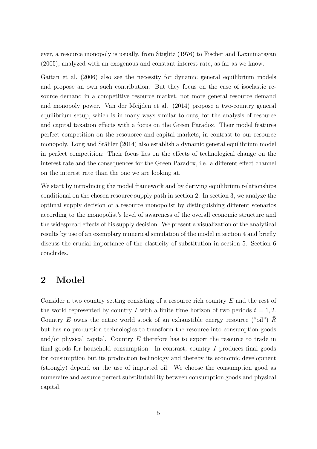ever, a resource monopoly is usually, from Stiglitz (1976) to Fischer and Laxminarayan (2005), analyzed with an exogenous and constant interest rate, as far as we know.

Gaitan et al. (2006) also see the necessity for dynamic general equilibrium models and propose an own such contribution. But they focus on the case of isoelastic resource demand in a competitive resource market, not more general resource demand and monopoly power. Van der Meijden et al. (2014) propose a two-country general equilibrium setup, which is in many ways similar to ours, for the analysis of resource and capital taxation effects with a focus on the Green Paradox. Their model features perfect competition on the resouorce and capital markets, in contrast to our resource monopoly. Long and Stähler (2014) also establish a dynamic general equilibrium model in perfect competition: Their focus lies on the effects of technological change on the interest rate and the consequences for the Green Paradox, i.e. a different effect channel on the interest rate than the one we are looking at.

We start by introducing the model framework and by deriving equilibrium relationships conditional on the chosen resource supply path in section 2. In section 3, we analyze the optimal supply decision of a resource monopolist by distinguishing different scenarios according to the monopolist's level of awareness of the overall economic structure and the widespread effects of his supply decision. We present a visualization of the analytical results by use of an exemplary numerical simulation of the model in section 4 and briefly discuss the crucial importance of the elasticity of substitution in section 5. Section 6 concludes.

# **2 Model**

Consider a two country setting consisting of a resource rich country *E* and the rest of the world represented by country *I* with a finite time horizon of two periods  $t = 1, 2$ . Country *E* owns the entire world stock of an exhaustible energy resource ("oil") *R* but has no production technologies to transform the resource into consumption goods and/or physical capital. Country *E* therefore has to export the resource to trade in final goods for household consumption. In contrast, country *I* produces final goods for consumption but its production technology and thereby its economic development (strongly) depend on the use of imported oil. We choose the consumption good as numeraire and assume perfect substitutability between consumption goods and physical capital.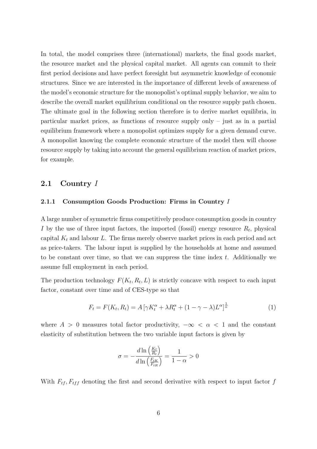In total, the model comprises three (international) markets, the final goods market, the resource market and the physical capital market. All agents can commit to their first period decisions and have perfect foresight but asymmetric knowledge of economic structures. Since we are interested in the importance of different levels of awareness of the model's economic structure for the monopolist's optimal supply behavior, we aim to describe the overall market equilibrium conditional on the resource supply path chosen. The ultimate goal in the following section therefore is to derive market equilibria, in particular market prices, as functions of resource supply only – just as in a partial equilibrium framework where a monopolist optimizes supply for a given demand curve. A monopolist knowing the complete economic structure of the model then will choose resource supply by taking into account the general equilibrium reaction of market prices, for example.

## **2.1 Country** *I*

#### **2.1.1 Consumption Goods Production: Firms in Country** *I*

A large number of symmetric firms competitively produce consumption goods in country *I* by the use of three input factors, the imported (fossil) energy resource  $R_t$ , physical capital  $K_t$  and labour  $L$ . The firms merely observe market prices in each period and act as price-takers. The labour input is supplied by the households at home and assumed to be constant over time, so that we can suppress the time index *t*. Additionally we assume full employment in each period.

The production technology  $F(K_t, R_t, L)$  is strictly concave with respect to each input factor, constant over time and of CES-type so that

$$
F_t = F(K_t, R_t) = A \left[ \gamma K_t^{\alpha} + \lambda R_t^{\alpha} + (1 - \gamma - \lambda) L^{\alpha} \right]^{\frac{1}{\alpha}}
$$
(1)

where  $A > 0$  measures total factor productivity,  $-\infty < \alpha < 1$  and the constant elasticity of substitution between the two variable input factors is given by

$$
\sigma = -\frac{d \ln\left(\frac{K_t}{R_t}\right)}{d \ln\left(\frac{F_{tK}}{F_{tR}}\right)} = \frac{1}{1-\alpha} > 0
$$

With  $F_{tf}$ ,  $F_{tf}$  denoting the first and second derivative with respect to input factor  $f$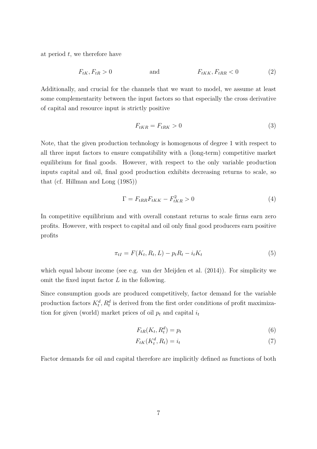at period *t*, we therefore have

$$
F_{tK}, F_{tR} > 0 \t\t and \t\t F_{tKK}, F_{tRR} < 0 \t\t (2)
$$

Additionally, and crucial for the channels that we want to model, we assume at least some complementarity between the input factors so that especially the cross derivative of capital and resource input is strictly positive

$$
F_{tKR} = F_{tRK} > 0\tag{3}
$$

Note, that the given production technology is homogenous of degree 1 with respect to all three input factors to ensure compatibility with a (long-term) competitive market equilibrium for final goods. However, with respect to the only variable production inputs capital and oil, final good production exhibits decreasing returns to scale, so that (cf. Hillman and Long (1985))

$$
\Gamma = F_{tRR}F_{tKK} - F_{tKR}^2 > 0\tag{4}
$$

In competitive equilibrium and with overall constant returns to scale firms earn zero profits. However, with respect to capital and oil only final good producers earn positive profits

$$
\pi_{tI} = F(K_t, R_t, L) - p_t R_t - i_t K_t \tag{5}
$$

which equal labour income (see e.g. van der Meijden et al. (2014)). For simplicity we omit the fixed input factor *L* in the following.

Since consumption goods are produced competitively, factor demand for the variable production factors  $K_t^d$ ,  $R_t^d$  is derived from the first order conditions of profit maximization for given (world) market prices of oil  $p_t$  and capital  $i_t$ 

$$
F_{tR}(K_t, R_t^d) = p_t \tag{6}
$$

$$
F_{tK}(K_t^d, R_t) = i_t \tag{7}
$$

Factor demands for oil and capital therefore are implicitly defined as functions of both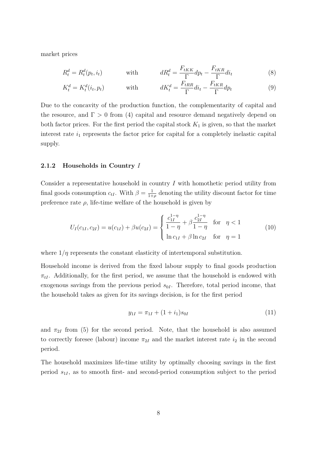market prices

$$
R_t^d = R_t^d(p_t, i_t) \qquad \text{with} \qquad dR_t^d = \frac{F_{tKK}}{\Gamma} dp_t - \frac{F_{tKR}}{\Gamma} di_t \qquad (8)
$$

$$
K_t^d = K_t^d(i_t, p_t) \qquad \text{with} \qquad dK_t^d = \frac{F_{tRR}}{\Gamma} di_t - \frac{F_{tKR}}{\Gamma} dp_t \qquad (9)
$$

Due to the concavity of the production function, the complementarity of capital and the resource, and  $\Gamma > 0$  from (4) capital and resource demand negatively depend on both factor prices. For the first period the capital stock  $K_1$  is given, so that the market interest rate  $i_1$  represents the factor price for capital for a completely inelastic capital supply.

#### **2.1.2 Households in Country** *I*

Consider a representative household in country *I* with homothetic period utility from final goods consumption  $c_{tI}$ . With  $\beta = \frac{1}{1+1}$  $\frac{1}{1+\rho}$  denoting the utility discount factor for time preference rate  $\rho$ , life-time welfare of the household is given by

$$
U_I(c_{1I}, c_{2I}) = u(c_{1I}) + \beta u(c_{2I}) = \begin{cases} \frac{c_{1I}^{1-\eta}}{1-\eta} + \beta \frac{c_{2I}^{1-\eta}}{1-\eta} & \text{for } \eta < 1\\ \ln c_{1I} + \beta \ln c_{2I} & \text{for } \eta = 1 \end{cases}
$$
(10)

where  $1/\eta$  represents the constant elasticity of intertemporal substitution.

Household income is derived from the fixed labour supply to final goods production  $\pi_{tI}$ . Additionally, for the first period, we assume that the household is endowed with exogenous savings from the previous period  $s_{0I}$ . Therefore, total period income, that the household takes as given for its savings decision, is for the first period

$$
y_{1I} = \pi_{1I} + (1 + i_1)s_{0I} \tag{11}
$$

and  $\pi_{2I}$  from (5) for the second period. Note, that the household is also assumed to correctly foresee (labour) income  $\pi_{2I}$  and the market interest rate  $i_2$  in the second period.

The household maximizes life-time utility by optimally choosing savings in the first period *s*1*<sup>I</sup>* , as to smooth first- and second-period consumption subject to the period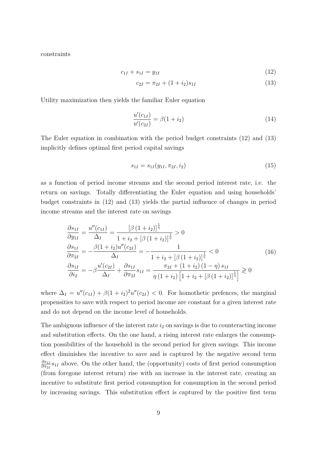constraints

$$
c_{1I} + s_{1I} = y_{1I} \tag{12}
$$

$$
c_{2I} = \pi_{2I} + (1 + i_2)s_{1I} \tag{13}
$$

Utility maximization then yields the familiar Euler equation

$$
\frac{u'(c_{1I})}{u'(c_{2I})} = \beta(1+i_2)
$$
\n(14)

The Euler equation in combination with the period budget constraints (12) and (13) implicitly defines optimal first period capital savings

$$
s_{1I} = s_{1I}(y_{1I}, \pi_{2I}, i_2) \tag{15}
$$

as a function of period income streams and the second period interest rate, i.e. the return on savings. Totally differentiating the Euler equation and using households' budget constraints in (12) and (13) yields the partial influence of changes in period income streams and the interest rate on savings

$$
\frac{\partial s_{1I}}{\partial y_{1I}} = \frac{u''(c_{1I})}{\Delta_I} = \frac{\left[\beta (1 + i_2)\right]^{\frac{1}{\eta}}}{1 + i_2 + \left[\beta (1 + i_2)\right]^{\frac{1}{\eta}}} > 0
$$
\n
$$
\frac{\partial s_{1I}}{\partial \pi_{2I}} = -\frac{\beta (1 + i_2)u''(c_{2I})}{\Delta_I} = -\frac{1}{1 + i_2 + \left[\beta (1 + i_2)\right]^{\frac{1}{\eta}}} < 0
$$
\n
$$
\frac{\partial s_{1I}}{\partial i_2} = -\beta \frac{u'(c_{2I})}{\Delta_I} + \frac{\partial s_{1I}}{\partial \pi_{2I}} s_{1I} = \frac{\pi_{2I} + (1 + i_2)(1 - \eta) s_{1I}}{\eta (1 + i_2) \left[1 + i_2 + \left[\beta (1 + i_2)\right]^{\frac{1}{\eta}}\right]} \ge 0
$$
\n(16)

where  $\Delta_I = u''(c_{1I}) + \beta(1 + i_2)^2 u''(c_{2I}) < 0$ . For homothetic prefences, the marginal propensities to save with respect to period income are constant for a given interest rate and do not depend on the income level of households.

The ambiguous influence of the interest rate  $i_2$  on savings is due to counteracting income and substitution effects. On the one hand, a rising interest rate enlarges the consumption possibilities of the household in the second period for given savings. This income effect diminishes the incentive to save and is captured by the negative second term *∂s*1*<sup>I</sup>*  $\frac{\partial s_{1I}}{\partial \pi_{2I}}s_{1I}$  above. On the other hand, the (opportunity) costs of first period consumption (from foregone interest return) rise with an increase in the interest rate, creating an incentive to substitute first period consumption for consumption in the second period by increasing savings. This substitution effect is captured by the positive first term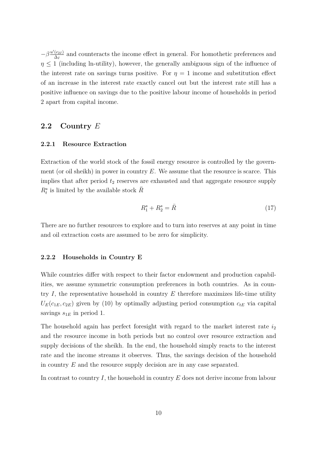$-\beta \frac{u'(c_{2I})}{\Delta I}$  $\frac{(c_{2I})}{\Delta_I}$  and counteracts the income effect in general. For homothetic preferences and  $\eta \leq 1$  (including ln-utility), however, the generally ambiguous sign of the influence of the interest rate on savings turns positive. For  $\eta = 1$  income and substitution effect of an increase in the interest rate exactly cancel out but the interest rate still has a positive influence on savings due to the positive labour income of households in period 2 apart from capital income.

## **2.2 Country** *E*

#### **2.2.1 Resource Extraction**

Extraction of the world stock of the fossil energy resource is controlled by the government (or oil sheikh) in power in country *E*. We assume that the resource is scarce. This implies that after period  $t_2$  reserves are exhausted and that aggregate resource supply  $R_t^s$  is limited by the available stock  $\bar{R}$ 

$$
R_1^s + R_2^s = \bar{R} \tag{17}
$$

There are no further resources to explore and to turn into reserves at any point in time and oil extraction costs are assumed to be zero for simplicity.

#### **2.2.2 Households in Country E**

While countries differ with respect to their factor endowment and production capabilities, we assume symmetric consumption preferences in both countries. As in country *I*, the representative household in country *E* therefore maximizes life-time utility  $U_E(c_{1E}, c_{2E})$  given by (10) by optimally adjusting period consumption  $c_{tE}$  via capital savings  $s_{1E}$  in period 1.

The household again has perfect foresight with regard to the market interest rate  $i_2$ and the resource income in both periods but no control over resource extraction and supply decisions of the sheikh. In the end, the household simply reacts to the interest rate and the income streams it observes. Thus, the savings decision of the household in country *E* and the resource supply decision are in any case separated.

In contrast to country *I*, the household in country *E* does not derive income from labour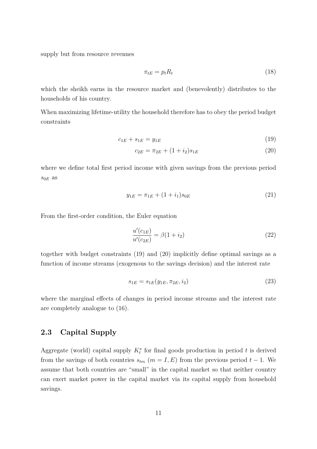supply but from resource revenues

$$
\pi_{tE} = p_t R_t \tag{18}
$$

which the sheikh earns in the resource market and (benevolently) distributes to the households of his country.

When maximizing lifetime-utility the household therefore has to obey the period budget constraints

$$
c_{1E} + s_{1E} = y_{1E} \tag{19}
$$

$$
c_{2E} = \pi_{2E} + (1 + i_2)s_{1E} \tag{20}
$$

where we define total first period income with given savings from the previous period  $s_{0E}$  as

$$
y_{1E} = \pi_{1E} + (1 + i_1)s_{0E} \tag{21}
$$

From the first-order condition, the Euler equation

$$
\frac{u'(c_{1E})}{u'(c_{2E})} = \beta(1 + i_2)
$$
\n(22)

together with budget constraints (19) and (20) implicitly define optimal savings as a function of income streams (exogenous to the savings decision) and the interest rate

$$
s_{1E} = s_{1E}(y_{1E}, \pi_{2E}, i_2) \tag{23}
$$

where the marginal effects of changes in period income streams and the interest rate are completely analogue to (16).

## **2.3 Capital Supply**

Aggregate (world) capital supply  $K_t^s$  for final goods production in period  $t$  is derived from the savings of both countries  $s_{tm}$  ( $m = I, E$ ) from the previous period  $t - 1$ . We assume that both countries are "small" in the capital market so that neither country can exert market power in the capital market via its capital supply from household savings.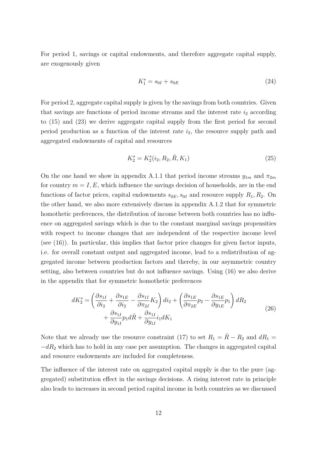For period 1, savings or capital endowments, and therefore aggregate capital supply, are exogenously given

$$
K_1^s = s_{0I} + s_{0E} \tag{24}
$$

For period 2, aggregate capital supply is given by the savings from both countries. Given that savings are functions of period income streams and the interest rate  $i_2$  according to (15) and (23) we derive aggregate capital supply from the first period for second period production as a function of the interest rate *i*2, the resource supply path and aggregated endowments of capital and resources

$$
K_2^s = K_2^s(i_2, R_2, \bar{R}, K_1)
$$
\n(25)

On the one hand we show in appendix A.1.1 that period income streams  $y_{1m}$  and  $\pi_{2m}$ for country  $m = I, E$ , which influence the savings decision of households, are in the end functions of factor prices, capital endowments  $s_{0E}$ ,  $s_{0I}$  and resource supply  $R_1$ ,  $R_2$ . On the other hand, we also more extensively discuss in appendix A.1.2 that for symmetric homothetic preferences, the distribution of income between both countries has no influence on aggregated savings which is due to the constant marginal savings propensities with respect to income changes that are independent of the respective income level (see  $(16)$ ). In particular, this implies that factor price changes for given factor inputs, i.e. for overall constant output and aggregated income, lead to a redistribution of aggregated income between production factors and thereby, in our asymmetric country setting, also between countries but do not influence savings. Using (16) we also derive in the appendix that for symmetric homothetic preferences

$$
dK_2^s = \left(\frac{\partial s_{1I}}{\partial i_2} + \frac{\partial s_{1E}}{\partial i_2} - \frac{\partial s_{1I}}{\partial \pi_{2I}} K_2\right) di_2 + \left(\frac{\partial s_{1E}}{\partial \pi_{2E}} p_2 - \frac{\partial s_{1E}}{\partial y_{1E}} p_1\right) dR_2 + \frac{\partial s_{1I}}{\partial y_{1I}} p_1 d\bar{R} + \frac{\partial s_{1I}}{\partial y_{1I}} i_1 dK_1
$$
\n(26)

Note that we already use the resource constraint (17) to set  $R_1 = \overline{R} - R_2$  and  $dR_1 =$  $-dR_2$  which has to hold in any case per assumption. The changes in aggregated capital and resource endowments are included for completeness.

The influence of the interest rate on aggregated capital supply is due to the pure (aggregated) substitution effect in the savings decisions. A rising interest rate in principle also leads to increases in second period capital income in both countries as we discussed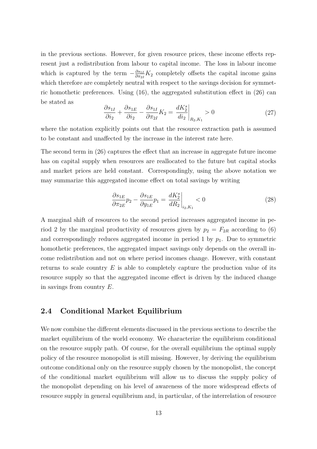in the previous sections. However, for given resource prices, these income effects represent just a redistribution from labour to capital income. The loss in labour income which is captured by the term  $-\frac{\partial s_{1I}}{\partial \pi \partial I}$  $\frac{\partial s_{1I}}{\partial \pi_{2I}} K_2$  completely offsets the capital income gains which therefore are completely neutral with respect to the savings decision for symmetric homothetic preferences. Using  $(16)$ , the aggregated substitution effect in  $(26)$  can be stated as

$$
\frac{\partial s_{1I}}{\partial i_2} + \frac{\partial s_{1E}}{\partial i_2} - \frac{\partial s_{1I}}{\partial \pi_{2I}} K_2 = \frac{dK_2^s}{di_2}\bigg|_{R_2, K_1} > 0
$$
\n(27)

where the notation explicitly points out that the resource extraction path is assumed to be constant and unaffected by the increase in the interest rate here.

The second term in (26) captures the effect that an increase in aggregate future income has on capital supply when resources are reallocated to the future but capital stocks and market prices are held constant. Correspondingly, using the above notation we may summarize this aggregated income effect on total savings by writing

$$
\frac{\partial s_{1E}}{\partial \pi_{2E}} p_2 - \frac{\partial s_{1E}}{\partial y_{1E}} p_1 = \frac{dK_2^s}{dR_2}\bigg|_{i_2, K_1} < 0 \tag{28}
$$

A marginal shift of resources to the second period increases aggregated income in period 2 by the marginal productivity of resources given by  $p_2 = F_{2R}$  according to (6) and correspondingly reduces aggregated income in period  $1$  by  $p_1$ . Due to symmetric homothetic preferences, the aggregated impact savings only depends on the overall income redistribution and not on where period incomes change. However, with constant returns to scale country *E* is able to completely capture the production value of its resource supply so that the aggregated income effect is driven by the induced change in savings from country *E*.

## **2.4 Conditional Market Equilibrium**

We now combine the different elements discussed in the previous sections to describe the market equilibrium of the world economy. We characterize the equilibrium conditional on the resource supply path. Of course, for the overall equilibrium the optimal supply policy of the resource monopolist is still missing. However, by deriving the equilibrium outcome conditional only on the resource supply chosen by the monopolist, the concept of the conditional market equilibrium will allow us to discuss the supply policy of the monopolist depending on his level of awareness of the more widespread effects of resource supply in general equilibrium and, in particular, of the interrelation of resource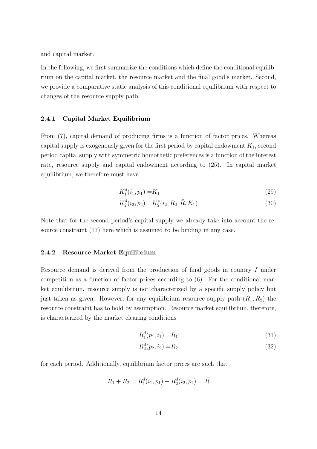and capital market.

In the following, we first summarize the conditions which define the conditional equilibrium on the capital market, the resource market and the final good's market. Second, we provide a comparative static analysis of this conditional equilibrium with respect to changes of the resource supply path.

#### **2.4.1 Capital Market Equilibrium**

From (7), capital demand of producing firms is a function of factor prices. Whereas capital supply is exogenously given for the first period by capital endowment *K*1, second period capital supply with symmetric homothetic preferences is a function of the interest rate, resource supply and capital endowment according to (25). In capital market equilibrium, we therefore must have

$$
K_1^d(i_1, p_1) = K_1 \tag{29}
$$

$$
K_2^d(i_2, p_2) = K_2^s(i_2, R_2, \bar{R}, K_1)
$$
\n(30)

Note that for the second period's capital supply we already take into account the resource constraint (17) here which is assumed to be binding in any case.

#### **2.4.2 Resource Market Equilibrium**

Resource demand is derived from the production of final goods in country *I* under competition as a function of factor prices according to (6). For the conditional market equilibrium, resource supply is not characterized by a specific supply policy but just taken as given. However, for any equilibrium resource supply path  $(R_1, R_2)$  the resource constraint has to hold by assumption. Resource market equilibrium, therefore, is characterized by the market clearing conditions

$$
R_1^d(p_1, i_1) = R_1 \tag{31}
$$

$$
R_2^d(p_2, i_2) = R_2 \tag{32}
$$

for each period. Additionally, equilibrium factor prices are such that

$$
R_1 + R_2 = R_1^d(i_1, p_1) + R_2^d(i_2, p_2) = \overline{R}
$$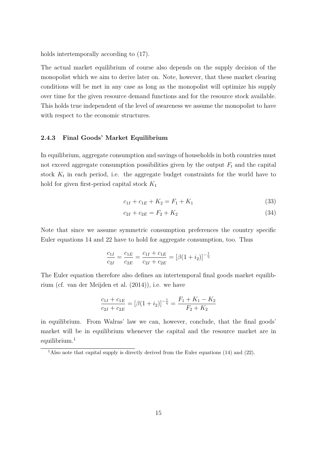holds intertemporally according to (17).

The actual market equilibrium of course also depends on the supply decision of the monopolist which we aim to derive later on. Note, however, that these market clearing conditions will be met in any case as long as the monopolist will optimize his supply over time for the given resource demand functions and for the resource stock available. This holds true independent of the level of awareness we assume the monopolist to have with respect to the economic structures.

#### **2.4.3 Final Goods' Market Equilibrium**

In equilibrium, aggregate consumption and savings of households in both countries must not exceed aggregate consumption possibilities given by the output  $F_t$  and the capital stock  $K_t$  in each period, i.e. the aggregate budget constraints for the world have to hold for given first-period capital stock *K*<sup>1</sup>

$$
c_{1I} + c_{1E} + K_2 = F_1 + K_1 \tag{33}
$$

$$
c_{2I} + c_{2E} = F_2 + K_2 \tag{34}
$$

Note that since we assume symmetric consumption preferences the country specific Euler equations 14 and 22 have to hold for aggregate consumption, too. Thus

$$
\frac{c_{1I}}{c_{2I}} = \frac{c_{1E}}{c_{2E}} = \frac{c_{1I} + c_{1E}}{c_{2I} + c_{2E}} = [\beta(1 + i_2)]^{-\frac{1}{\eta}}
$$

The Euler equation therefore also defines an intertemporal final goods market equilibrium (cf. van der Meijden et al. (2014)), i.e. we have

$$
\frac{c_{1I} + c_{1E}}{c_{2I} + c_{2E}} = [\beta(1 + i_2)]^{-\frac{1}{\eta}} = \frac{F_1 + K_1 - K_2}{F_2 + K_2}
$$

in equilibrium. From Walras' law we can, however, conclude, that the final goods' market will be in equilibrium whenever the capital and the resource market are in equilibrium.<sup>1</sup>

<sup>&</sup>lt;sup>1</sup>Also note that capital supply is directly derived from the Euler equations (14) and (22).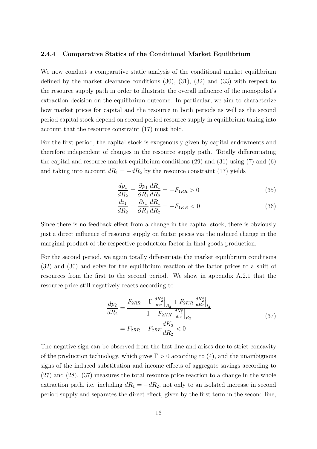#### **2.4.4 Comparative Statics of the Conditional Market Equilibrium**

We now conduct a comparative static analysis of the conditional market equilibrium defined by the market clearance conditions (30), (31), (32) and (33) with respect to the resource supply path in order to illustrate the overall influence of the monopolist's extraction decision on the equilibrium outcome. In particular, we aim to characterize how market prices for capital and the resource in both periods as well as the second period capital stock depend on second period resource supply in equilibrium taking into account that the resource constraint (17) must hold.

For the first period, the capital stock is exogenously given by capital endowments and therefore independent of changes in the resource supply path. Totally differentiating the capital and resource market equilibrium conditions (29) and (31) using (7) and (6) and taking into account  $dR_1 = -dR_2$  by the resource constraint (17) yields

$$
\frac{dp_1}{dR_2} = \frac{\partial p_1}{\partial R_1} \frac{dR_1}{dR_2} = -F_{1RR} > 0
$$
\n(35)

$$
\frac{di_1}{dR_2} = \frac{\partial i_1}{\partial R_1} \frac{dR_1}{dR_2} = -F_{1KR} < 0 \tag{36}
$$

Since there is no feedback effect from a change in the capital stock, there is obviously just a direct influence of resource supply on factor prices via the induced change in the marginal product of the respective production factor in final goods production.

For the second period, we again totally differentiate the market equilibrium conditions (32) and (30) and solve for the equilibrium reaction of the factor prices to a shift of resources from the first to the second period. We show in appendix A.2.1 that the resource price still negatively reacts according to

$$
\frac{dp_2}{dR_2} = \frac{F_{2RR} - \Gamma \frac{dK_2^s}{di_2}\Big|_{R_2} + F_{2KR} \frac{dK_2^s}{dR_2}\Big|_{i_2}}{1 - F_{2KK} \frac{dK_2^s}{di_2}\Big|_{R_2}}
$$
\n
$$
= F_{2RR} + F_{2RK} \frac{dK_2}{dR_2} < 0
$$
\n(37)

The negative sign can be observed from the first line and arises due to strict concavity of the production technology, which gives  $\Gamma > 0$  according to (4), and the unambiguous signs of the induced substitution and income effects of aggregate savings according to (27) and (28). (37) measures the total resource price reaction to a change in the whole extraction path, i.e. including  $dR_1 = -dR_2$ , not only to an isolated increase in second period supply and separates the direct effect, given by the first term in the second line,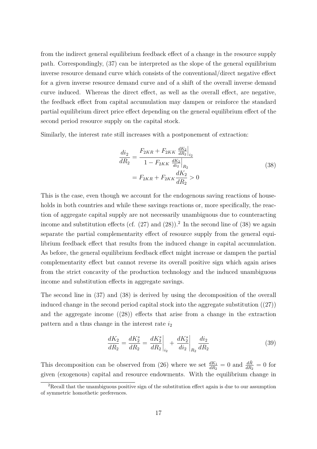from the indirect general equilibrium feedback effect of a change in the resource supply path. Correspondingly, (37) can be interpreted as the slope of the general equilibrium inverse resource demand curve which consists of the conventional/direct negative effect for a given inverse resource demand curve and of a shift of the overall inverse demand curve induced. Whereas the direct effect, as well as the overall effect, are negative, the feedback effect from capital accumulation may dampen or reinforce the standard partial equilibrium direct price effect depending on the general equilibrium effect of the second period resource supply on the capital stock.

Similarly, the interest rate still increases with a postponement of extraction:

$$
\frac{di_2}{dR_2} = \frac{F_{2KR} + F_{2KK} \frac{dK_2}{dR_2}\Big|_{i_2}}{1 - F_{2KK} \frac{dK_2}{di_2}\Big|_{R_2}}
$$
\n
$$
= F_{2KR} + F_{2KK} \frac{dK_2}{dR_2} > 0
$$
\n(38)

This is the case, even though we account for the endogenous saving reactions of households in both countries and while these savings reactions or, more specifically, the reaction of aggregate capital supply are not necessarily unambiguous due to counteracting income and substitution effects (cf.  $(27)$  and  $(28)$ ).<sup>2</sup> In the second line of  $(38)$  we again separate the partial complementarity effect of resource supply from the general equilibrium feedback effect that results from the induced change in capital accumulation. As before, the general equilibrium feedback effect might increase or dampen the partial complementarity effect but cannot reverse its overall positive sign which again arises from the strict concavity of the production technology and the induced unambiguous income and substitution effects in aggregate savings.

The second line in (37) and (38) is derived by using the decomposition of the overall induced change in the second period capital stock into the aggregate substitution  $(27)$ and the aggregate income  $(28)$  effects that arise from a change in the extraction pattern and a thus change in the interest rate *i*<sup>2</sup>

$$
\frac{dK_2}{dR_2} = \frac{dK_2^s}{dR_2} = \frac{dK_2^s}{dR_2}\bigg|_{i_2} + \frac{dK_2^s}{di_2}\bigg|_{R_2}\frac{di_2}{dR_2} \tag{39}
$$

This decomposition can be observed from (26) where we set  $\frac{dK_1}{dR_2} = 0$  and  $\frac{d\bar{R}}{dR_2} = 0$  for given (exogenous) capital and resource endowments. With the equilibrium change in

<sup>&</sup>lt;sup>2</sup>Recall that the unambiguous positive sign of the substitution effect again is due to our assumption of symmetric homothetic preferences.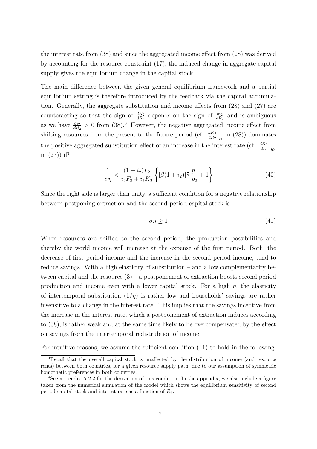the interest rate from (38) and since the aggregated income effect from (28) was derived by accounting for the resource constraint (17), the induced change in aggregate capital supply gives the equilibrium change in the capital stock.

The main difference between the given general equilibrium framework and a partial equilibrium setting is therefore introduced by the feedback via the capital accumulation. Generally, the aggregate substitution and income effects from (28) and (27) are counteracting so that the sign of  $\frac{dK_2}{dR_2}$  depends on the sign of  $\frac{di_2}{dR_2}$  and is ambiguous as we have  $\frac{di_2}{dR_2} > 0$  from (38).<sup>3</sup> However, the negative aggregated income effect from shifting resources from the present to the future period (cf.  $\frac{dK_2}{dR_2}$  $\Big|_{i_2}$  in (28)) dominates the positive aggregated substitution effect of an increase in the interest rate (cf.  $\frac{dK_2}{di_2}$  $\Big|_{R_2}$ in  $(27)$ ) if<sup>4</sup>

$$
\frac{1}{\sigma\eta} < \frac{(1+i_2)F_2}{i_2F_2 + i_2K_2} \left\{ \left[ \beta(1+i_2) \right]^{\frac{1}{\eta}} \frac{p_1}{p_2} + 1 \right\} \tag{40}
$$

Since the right side is larger than unity, a sufficient condition for a negative relationship between postponing extraction and the second period capital stock is

$$
\sigma \eta \ge 1 \tag{41}
$$

When resources are shifted to the second period, the production possibilities and thereby the world income will increase at the expense of the first period. Both, the decrease of first period income and the increase in the second period income, tend to reduce savings. With a high elasticity of substitution – and a low complementarity between capital and the resource  $(3)$  – a postponement of extraction boosts second period production and income even with a lower capital stock. For a high  $\eta$ , the elasticity of intertemporal substitution  $(1/\eta)$  is rather low and households' savings are rather insensitive to a change in the interest rate. This implies that the savings incentive from the increase in the interest rate, which a postponement of extraction induces according to (38), is rather weak and at the same time likely to be overcompensated by the effect on savings from the intertemporal redistrubtion of income.

For intuitive reasons, we assume the sufficient condition (41) to hold in the following.

<sup>3</sup>Recall that the overall capital stock is unaffected by the distribution of income (and resource rents) between both countries, for a given resource supply path, due to our assumption of symmetric homothetic preferences in both countries.

<sup>&</sup>lt;sup>4</sup>See appendix A.2.2 for the derivation of this condition. In the appendix, we also include a figure taken from the numerical simulation of the model which shows the equilibrium sensitivity of second period capital stock and interest rate as a function of *R*2.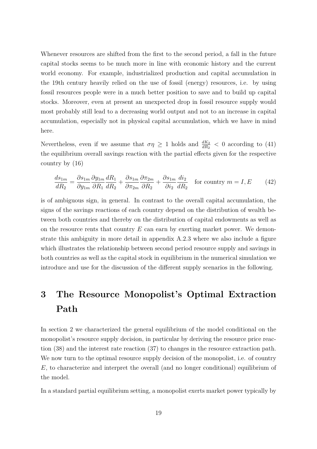Whenever resources are shifted from the first to the second period, a fall in the future capital stocks seems to be much more in line with economic history and the current world economy. For example, industrialized production and capital accumulation in the 19th century heavily relied on the use of fossil (energy) resources, i.e. by using fossil resources people were in a much better position to save and to build up capital stocks. Moreover, even at present an unexpected drop in fossil resource supply would most probably still lead to a decreasing world output and not to an increase in capital accumulation, especially not in physical capital accumulation, which we have in mind here.

Nevertheless, even if we assume that  $\sigma \eta \geq 1$  holds and  $\frac{dK_2}{dR_2} < 0$  according to (41) the equilibrium overall savings reaction with the partial effects given for the respective country by (16)

$$
\frac{ds_{1m}}{dR_2} = \frac{\partial s_{1m}}{\partial y_{1m}} \frac{\partial y_{1m}}{\partial R_1} \frac{dR_1}{dR_2} + \frac{\partial s_{1m}}{\partial \tau_{2m}} \frac{\partial \tau_{2m}}{\partial R_2} + \frac{\partial s_{1m}}{\partial i_2} \frac{di_2}{dR_2} \quad \text{for country } m = I, E \tag{42}
$$

is of ambiguous sign, in general. In contrast to the overall capital accumulation, the signs of the savings reactions of each country depend on the distribution of wealth between both countries and thereby on the distribution of capital endowments as well as on the resource rents that country *E* can earn by exerting market power. We demonstrate this ambiguity in more detail in appendix A.2.3 where we also include a figure which illustrates the relationship between second period resource supply and savings in both countries as well as the capital stock in equilibrium in the numerical simulation we introduce and use for the discussion of the different supply scenarios in the following.

# **3 The Resource Monopolist's Optimal Extraction Path**

In section 2 we characterized the general equilibrium of the model conditional on the monopolist's resource supply decision, in particular by deriving the resource price reaction (38) and the interest rate reaction (37) to changes in the resource extraction path. We now turn to the optimal resource supply decision of the monopolist, i.e. of country *E*, to characterize and interpret the overall (and no longer conditional) equilibrium of the model.

In a standard partial equilibrium setting, a monopolist exerts market power typically by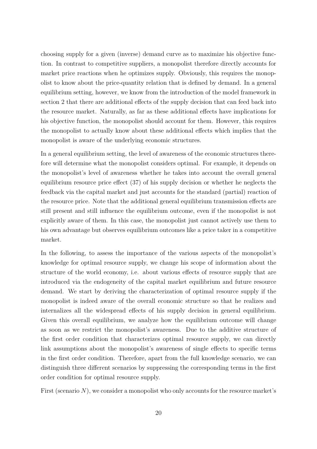choosing supply for a given (inverse) demand curve as to maximize his objective function. In contrast to competitive suppliers, a monopolist therefore directly accounts for market price reactions when he optimizes supply. Obviously, this requires the monopolist to know about the price-quantity relation that is defined by demand. In a general equilibrium setting, however, we know from the introduction of the model framework in section 2 that there are additional effects of the supply decision that can feed back into the resource market. Naturally, as far as these additional effects have implications for his objective function, the monopolist should account for them. However, this requires the monopolist to actually know about these additional effects which implies that the monopolist is aware of the underlying economic structures.

In a general equilibrium setting, the level of awareness of the economic structures therefore will determine what the monopolist considers optimal. For example, it depends on the monopolist's level of awareness whether he takes into account the overall general equilibrium resource price effect (37) of his supply decision or whether he neglects the feedback via the capital market and just accounts for the standard (partial) reaction of the resource price. Note that the additional general equilibrium transmission effects are still present and still influence the equilibrium outcome, even if the monopolist is not explicitly aware of them. In this case, the monopolist just cannot actively use them to his own advantage but observes equilibrium outcomes like a price taker in a competitive market.

In the following, to assess the importance of the various aspects of the monopolist's knowledge for optimal resource supply, we change his scope of information about the structure of the world economy, i.e. about various effects of resource supply that are introduced via the endogeneity of the capital market equilibrium and future resource demand. We start by deriving the characterization of optimal resource supply if the monopolist is indeed aware of the overall economic structure so that he realizes and internalizes all the widespread effects of his supply decision in general equilibrium. Given this overall equilibrium, we analyze how the equilibrium outcome will change as soon as we restrict the monopolist's awareness. Due to the additive structure of the first order condition that characterizes optimal resource supply, we can directly link assumptions about the monopolist's awareness of single effects to specific terms in the first order condition. Therefore, apart from the full knowledge scenario, we can distinguish three different scenarios by suppressing the corresponding terms in the first order condition for optimal resource supply.

First (scenario N), we consider a monopolist who only accounts for the resource market's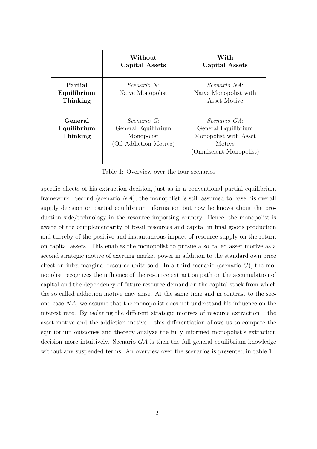|                                    | Without<br>Capital Assets                                                         | With<br>Capital Assets                                                                                    |
|------------------------------------|-----------------------------------------------------------------------------------|-----------------------------------------------------------------------------------------------------------|
| Partial<br>Equilibrium<br>Thinking | $Scenario$ N.<br>Naive Monopolist                                                 | <i>Scenario NA</i> :<br>Naive Monopolist with<br>Asset Motive                                             |
| General<br>Equilibrium<br>Thinking | <i>Scenario</i> G:<br>General Equilibrium<br>Monopolist<br>(Oil Addiction Motive) | <i>Scenario GA</i> :<br>General Equilibrium<br>Monopolist with Asset<br>Motive<br>(Omniscient Monopolist) |

Table 1: Overview over the four scenarios

specific effects of his extraction decision, just as in a conventional partial equilibrium framework. Second (scenario *NA*), the monopolist is still assumed to base his overall supply decision on partial equilibrium information but now he knows about the production side/technology in the resource importing country. Hence, the monopolist is aware of the complementarity of fossil resources and capital in final goods production and thereby of the positive and instantaneous impact of resource supply on the return on capital assets. This enables the monopolist to pursue a so called asset motive as a second strategic motive of exerting market power in addition to the standard own price effect on infra-marginal resource units sold. In a third scenario (scenario  $G$ ), the monopolist recognizes the influence of the resource extraction path on the accumulation of capital and the dependency of future resource demand on the capital stock from which the so called addiction motive may arise. At the same time and in contrast to the second case *NA*, we assume that the monopolist does not understand his influence on the interest rate. By isolating the different strategic motives of resource extraction – the asset motive and the addiction motive – this differentiation allows us to compare the equilibrium outcomes and thereby analyze the fully informed monopolist's extraction decision more intuitively. Scenario *GA* is then the full general equilibrium knowledge without any suspended terms. An overview over the scenarios is presented in table 1.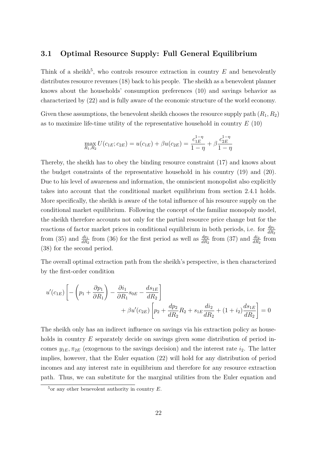# **3.1 Optimal Resource Supply: Full General Equilibrium**

Think of a sheikh<sup>5</sup>, who controls resource extraction in country  $E$  and benevolently distributes resource revenues (18) back to his people. The sheikh as a benevolent planner knows about the households' consumption preferences (10) and savings behavior as characterized by (22) and is fully aware of the economic structure of the world economy.

Given these assumptions, the benevolent sheikh chooses the resource supply path  $(R_1, R_2)$ as to maximize life-time utility of the representative household in country *E* (10)

$$
\max_{R_1, R_2} U(c_{1E}; c_{2E}) = u(c_{1E}) + \beta u(c_{2E}) = \frac{c_{1E}^{1-\eta}}{1-\eta} + \beta \frac{c_{2E}^{1-\eta}}{1-\eta}
$$

Thereby, the sheikh has to obey the binding resource constraint (17) and knows about the budget constraints of the representative household in his country (19) and (20). Due to his level of awareness and information, the omniscient monopolist also explicitly takes into account that the conditional market equilibrium from section 2.4.1 holds. More specifically, the sheikh is aware of the total influence of his resource supply on the conditional market equilibrium. Following the concept of the familiar monopoly model, the sheikh therefore accounts not only for the partial resource price change but for the reactions of factor market prices in conditional equilibrium in both periods, i.e. for  $\frac{dp_1}{dR_2}$ from (35) and  $\frac{di_1}{dR_2}$  from (36) for the first period as well as  $\frac{dp_2}{dR_2}$  from (37) and  $\frac{di_2}{dR_2}$  from (38) for the second period.

The overall optimal extraction path from the sheikh's perspective, is then characterized by the first-order condition

$$
u'(c_{1E})\left[-\left(p_{1} + \frac{\partial p_{1}}{\partial R_{1}}\right) - \frac{\partial i_{1}}{\partial R_{1}}s_{0E} - \frac{ds_{1E}}{dR_{2}}\right] + \beta u'(c_{2E})\left[p_{2} + \frac{dp_{2}}{dR_{2}}R_{2} + s_{1E}\frac{di_{2}}{dR_{2}} + (1+i_{2})\frac{ds_{1E}}{dR_{2}}\right] = 0
$$

The sheikh only has an indirect influence on savings via his extraction policy as households in country E separately decide on savings given some distribution of period incomes  $y_{1E}, \pi_{2E}$  (exogenous to the savings decision) and the interest rate  $i_2$ . The latter implies, however, that the Euler equation (22) will hold for any distribution of period incomes and any interest rate in equilibrium and therefore for any resource extraction path. Thus, we can substitute for the marginal utilities from the Euler equation and

 $5$ or any other benevolent authority in country  $E$ .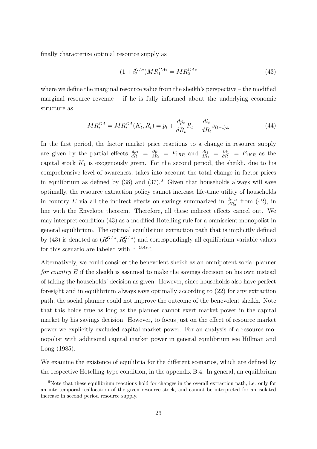finally characterize optimal resource supply as

$$
(1 + i_2^{GA*})MR_1^{GA*} = MR_2^{GA*}
$$
\n(43)

where we define the marginal resource value from the sheikh's perspective – the modified marginal resource revenue – if he is fully informed about the underlying economic structure as

$$
MR_t^{GA} = MR_t^{GA}(K_t, R_t) = p_t + \frac{dp_t}{dR_t}R_t + \frac{di_t}{dR_t}s_{(t-1)E}
$$
\n(44)

In the first period, the factor market price reactions to a change in resource supply are given by the partial effects  $\frac{dp_1}{dR_1} = \frac{\partial p_1}{\partial R_1}$  $\frac{\partial p_1}{\partial R_1} = F_{1RR}$  and  $\frac{di_1}{dR_1} = \frac{\partial i_1}{\partial R_1}$  $\frac{\partial i_1}{\partial R_1} = F_{1KR}$  as the capital stock  $K_1$  is exogenously given. For the second period, the sheikh, due to his comprehensive level of awareness, takes into account the total change in factor prices in equilibrium as defined by  $(38)$  and  $(37)$ .<sup>6</sup> Given that households always will save optimally, the resource extraction policy cannot increase life-time utility of households in country *E* via all the indirect effects on savings summarized in  $\frac{ds_{1E}}{dR_2}$  from (42), in line with the Envelope theorem. Therefore, all these indirect effects cancel out. We may interpret condition (43) as a modified Hotelling rule for a omniscient monopolist in general equilibrium. The optimal equilibrium extraction path that is implicitly defined by (43) is denoted as  $(R_1^{GA*}, R_2^{GA*})$  and correspondingly all equilibrium variable values for this scenario are labeled with "  $G_A^*$ ".

Alternatively, we could consider the benevolent sheikh as an omnipotent social planner *for country* E if the sheikh is assumed to make the savings decision on his own instead of taking the households' decision as given. However, since households also have perfect foresight and in equilibrium always save optimally according to (22) for any extraction path, the social planner could not improve the outcome of the benevolent sheikh. Note that this holds true as long as the planner cannot exert market power in the capital market by his savings decision. However, to focus just on the effect of resource market power we explicitly excluded capital market power. For an analysis of a resource monopolist with additional capital market power in general equilibrium see Hillman and Long (1985).

We examine the existence of equilibria for the different scenarios, which are defined by the respective Hotelling-type condition, in the appendix B.4. In general, an equilibrium

<sup>&</sup>lt;sup>6</sup>Note that these equilibrium reactions hold for changes in the overall extraction path, i.e. only for an intertemporal reallocation of the given resource stock, and cannot be interpreted for an isolated increase in second period resource supply.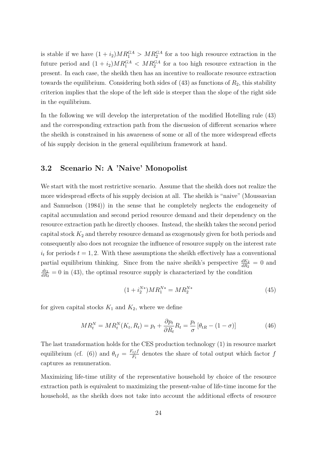is stable if we have  $(1 + i_2)MR_1^{GA} > MR_2^{GA}$  for a too high resource extraction in the future period and  $(1 + i_2)MR_1^{GA} < MR_2^{GA}$  for a too high resource extraction in the present. In each case, the sheikh then has an incentive to reallocate resource extraction towards the equilibrium. Considering both sides of  $(43)$  as functions of  $R_2$ , this stability criterion implies that the slope of the left side is steeper than the slope of the right side in the equilibrium.

In the following we will develop the interpretation of the modified Hotelling rule (43) and the corresponding extraction path from the discussion of different scenarios where the sheikh is constrained in his awareness of some or all of the more widespread effects of his supply decision in the general equilibrium framework at hand.

## **3.2 Scenario N: A 'Naive' Monopolist**

We start with the most restrictive scenario. Assume that the sheikh does not realize the more widespread effects of his supply decision at all. The sheikh is "naive" (Moussavian and Samuelson (1984)) in the sense that he completely neglects the endogeneity of capital accumulation and second period resource demand and their dependency on the resource extraction path he directly chooses. Instead, the sheikh takes the second period capital stock  $K_2$  and thereby resource demand as exogenously given for both periods and consequently also does not recognize the influence of resource supply on the interest rate  $i_t$  for periods  $t = 1, 2$ . With these assumptions the sheikh effectively has a conventional partial equilibrium thinking. Since from the naive sheikh's perspective  $\frac{dK_2}{dR_2} = 0$  and *di*<sup>2</sup>  $\frac{du_2}{dR_2} = 0$  in (43), the optimal resource supply is characterized by the condition

$$
(1 + i_2^{N*})MR_1^{N*} = MR_2^{N*}
$$
\n(45)

for given capital stocks  $K_1$  and  $K_2$ , where we define

$$
MR_t^N = MR_t^N(K_t, R_t) = p_t + \frac{\partial p_t}{\partial R_t} R_t = \frac{p_t}{\sigma} [\theta_{tR} - (1 - \sigma)] \tag{46}
$$

The last transformation holds for the CES production technology (1) in resource market equilibrium (cf. (6)) and  $\theta_{tf} = \frac{F_{tf}f}{F_t}$  $\frac{tf}{F_t}$  denotes the share of total output which factor *f* captures as remuneration.

Maximizing life-time utility of the representative household by choice of the resource extraction path is equivalent to maximizing the present-value of life-time income for the household, as the sheikh does not take into account the additional effects of resource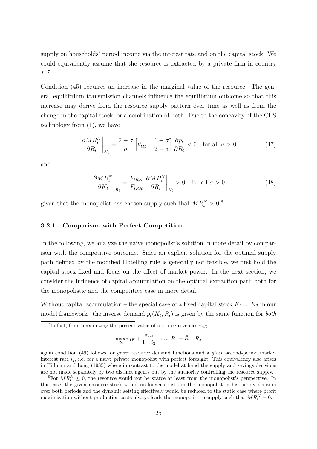supply on households' period income via the interest rate and on the capital stock. We could equivalently assume that the resource is extracted by a private firm in country *E*. 7

Condition (45) requires an increase in the marginal value of the resource. The general equilibrium transmission channels influence the equilibrium outcome so that this increase may derive from the resource supply pattern over time as well as from the change in the capital stock, or a combination of both. Due to the concavity of the CES technology from (1), we have

$$
\frac{\partial MR_t^N}{\partial R_t}\bigg|_{K_t} = \frac{2-\sigma}{\sigma} \left[\theta_{tR} - \frac{1-\sigma}{2-\sigma}\right] \frac{\partial p_t}{\partial R_t} < 0 \quad \text{for all } \sigma > 0 \tag{47}
$$

and

$$
\left. \frac{\partial M R_t^N}{\partial K_t} \right|_{R_t} = \frac{F_{tRK}}{F_{tRR}} \left. \frac{\partial M R_t^N}{\partial R_t} \right|_{K_t} > 0 \quad \text{for all } \sigma > 0 \tag{48}
$$

given that the monopolist has chosen supply such that  $MR_t^N > 0$ .<sup>8</sup>

### **3.2.1 Comparison with Perfect Competition**

In the following, we analyze the naive monopolist's solution in more detail by comparison with the competitive outcome. Since an explicit solution for the optimal supply path defined by the modified Hotelling rule is generally not feasible, we first hold the capital stock fixed and focus on the effect of market power. In the next section, we consider the influence of capital accumulation on the optimal extraction path both for the monopolistic and the competitive case in more detail.

Without capital accumulation – the special case of a fixed capital stock  $K_1 = K_2$  in our model framework –the inverse demand  $p_t(K_t, R_t)$  is given by the same function for *both* 

$$
\max_{R_2} \pi_{1E} + \frac{\pi_{2E}}{1 + i_2} \quad \text{s.t. } R_1 = \bar{R} - R_2
$$

again condition (49) follows for *given* resource demand functions and a *given* second-period market interest rate  $i_2$ , i.e. for a naive private monopolist with perfect foresight. This equivalency also arises in Hillman and Long (1985) where in contrast to the model at hand the supply and savings decisions are not made separately by two distinct agents but by the authority controlling the resource supply.

<sup>8</sup>For  $MR_t^N \leq 0$ , the resource would not be scarce at least from the monopolist's perspective. In this case, the given resource stock would no longer constrain the monopolist in his supply decision over both periods and the dynamic setting effectively would be reduced to the static case where profit maximization without production costs always leads the monopolist to supply such that  $MR_t^N = 0$ .

<sup>&</sup>lt;sup>7</sup>In fact, from maximizing the present value of resource revenues  $\pi_{tE}$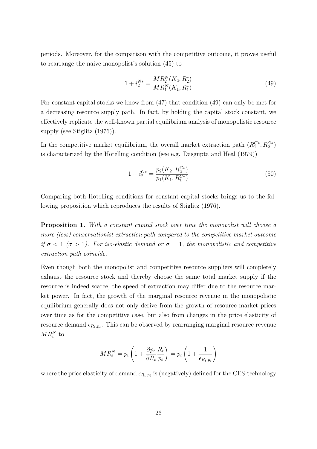periods. Moreover, for the comparison with the competitive outcome, it proves useful to rearrange the naive monopolist's solution (45) to

$$
1 + i_2^{N*} = \frac{MR_2^N(K_2, R_2^*)}{MR_1^N(K_1, R_1^*)}
$$
\n(49)

For constant capital stocks we know from (47) that condition (49) can only be met for a decreasing resource supply path. In fact, by holding the capital stock constant, we effectively replicate the well-known partial equilibrium analysis of monopolistic resource supply (see Stiglitz (1976)).

In the competitive market equilibrium, the overall market extraction path  $(R_1^{C*}, R_2^{C*})$ is characterized by the Hotelling condition (see e.g. Dasgupta and Heal (1979))

$$
1 + i_2^{C*} = \frac{p_2(K_2, R_2^{C*})}{p_1(K_1, R_1^{C*})}
$$
\n(50)

Comparing both Hotelling conditions for constant capital stocks brings us to the following proposition which reproduces the results of Stiglitz (1976).

**Proposition 1.** *With a constant capital stock over time the monopolist will choose a more (less) conservationist extraction path compared to the competitive market outcome if*  $\sigma$  < 1 ( $\sigma$  > 1). For iso-elastic demand or  $\sigma$  = 1, the monopolistic and competitive *extraction path coincide.*

Even though both the monopolist and competitive resource suppliers will completely exhaust the resource stock and thereby choose the same total market supply if the resource is indeed scarce, the speed of extraction may differ due to the resource market power. In fact, the growth of the marginal resource revenue in the monopolistic equilibrium generally does not only derive from the growth of resource market prices over time as for the competitive case, but also from changes in the price elasticity of resource demand  $\epsilon_{R_t, p_t}$ . This can be observed by rearranging marginal resource revenue  $MR_t^N$  to

$$
MR_t^N = p_t \left( 1 + \frac{\partial p_t}{\partial R_t} \frac{R_t}{p_t} \right) = p_t \left( 1 + \frac{1}{\epsilon_{R_t, p_t}} \right)
$$

where the price elasticity of demand  $\epsilon_{R_t,p_t}$  is (negatively) defined for the CES-technology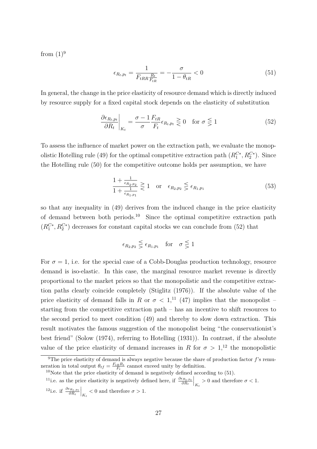from  $(1)^9$ 

$$
\epsilon_{R_t, p_t} = \frac{1}{F_{tRR} \frac{R_t}{F_{tR}}} = -\frac{\sigma}{1 - \theta_{tR}} < 0 \tag{51}
$$

In general, the change in the price elasticity of resource demand which is directly induced by resource supply for a fixed capital stock depends on the elasticity of substitution

$$
\left. \frac{\partial \epsilon_{R_t, p_t}}{\partial R_t} \right|_{K_t} = \frac{\sigma - 1}{\sigma} \frac{F_{tR}}{F_t} \epsilon_{R_t, p_t} \gtrless 0 \quad \text{for } \sigma \lesseqgtr 1 \tag{52}
$$

To assess the influence of market power on the extraction path, we evaluate the monopolistic Hotelling rule (49) for the optimal competitive extraction path  $(R_1^{C*}, R_2^{C*})$ . Since the Hotelling rule (50) for the competitive outcome holds per assumption, we have

$$
\frac{1 + \frac{1}{\epsilon_{R_2, p_2}}}{1 + \frac{1}{\epsilon_{R_1, p_1}}} \geq 1 \quad \text{or} \quad \epsilon_{R_2, p_2} \leq \epsilon_{R_1, p_1} \tag{53}
$$

so that any inequality in (49) derives from the induced change in the price elasticity of demand between both periods.<sup>10</sup> Since the optimal competitive extraction path  $(R_1^{C*}, R_2^{C*})$  decreases for constant capital stocks we can conclude from (52) that

$$
\epsilon_{R_2,p_2} \lesseqqgtr \epsilon_{R_1,p_1} \quad \text{for} \quad \sigma \lesssim 1
$$

For  $\sigma = 1$ , i.e. for the special case of a Cobb-Douglas production technology, resource demand is iso-elastic. In this case, the marginal resource market revenue is directly proportional to the market prices so that the monopolistic and the competitive extraction paths clearly coincide completely (Stiglitz (1976)). If the absolute value of the price elasticity of demand falls in *R* or  $\sigma$  < 1,<sup>11</sup> (47) implies that the monopolist – starting from the competitive extraction path – has an incentive to shift resources to the second period to meet condition (49) and thereby to slow down extraction. This result motivates the famous suggestion of the monopolist being "the conservationist's best friend" (Solow (1974), referring to Hotelling (1931)). In contrast, if the absolute value of the price elasticity of demand increases in *R* for  $\sigma > 1$ ,<sup>12</sup> the monopolistic

<sup>&</sup>lt;sup>9</sup>The price elasticity of demand is always negative because the share of production factor  $f$ 's remuneration in total output  $\theta_{tf} = \frac{F_{tR}R_t}{F_t}$  cannot exceed unity by definition.

 $10$ Note that the price elasticity of demand is negatively defined according to  $(51)$ .

<sup>&</sup>lt;sup>11</sup>i.e. as the price elasticity is negatively defined here, if  $\frac{\partial \epsilon_{R_t,p_t}}{\partial R_t}\Big|_{K_t} > 0$  and therefore  $\sigma < 1$ . <sup>12</sup>i.e. if  $\frac{\partial \epsilon_{R_t, p_t}}{\partial R_t}\Big|_{K_t} < 0$  and therefore  $\sigma > 1$ .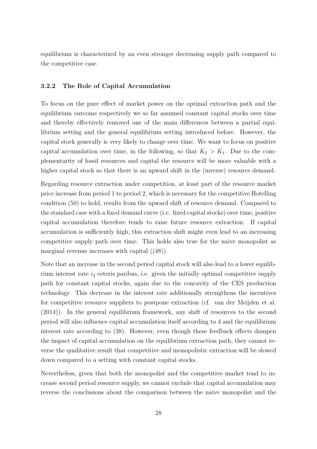equilibrium is characterized by an even stronger decreasing supply path compared to the competitive case.

#### **3.2.2 The Role of Capital Accumulation**

To focus on the pure effect of market power on the optimal extraction path and the equilibrium outcome respectively we so far assumed constant capital stocks over time and thereby effectively removed one of the main differences between a partial equilibrium setting and the general equilibrium setting introduced before. However, the capital stock generally is very likely to change over time. We want to focus on positive capital accumulation over time, in the following, so that  $K_2 > K_1$ . Due to the complementarity of fossil resources and capital the resource will be more valuable with a higher capital stock so that there is an upward shift in the (inverse) resource demand.

Regarding resource extraction under competition, at least part of the resource market price increase from period 1 to period 2, which is necessary for the competitive Hotelling condition (50) to hold, results from the upward shift of resource demand. Compared to the standard case with a fixed demand curve (i.e. fixed capital stocks) over time, positive capital accumulation therefore tends to raise future resource extraction. If capital accumulation is sufficiently high, this extraction shift might even lead to an increasing competitive supply path over time. This holds also true for the naive monopolist as marginal revenue increases with capital ((48)).

Note that an increase in the second period capital stock will also lead to a lower equilibrium interest rate *i*<sup>2</sup> ceteris paribus, i.e. given the initially optimal competitive supply path for constant capital stocks, again due to the concavity of the CES production technology. This decrease in the interest rate additionally strengthens the incentives for competitive resource suppliers to postpone extraction (cf. van der Meijden et al. (2014)). In the general equilibrium framework, any shift of resources to the second period will also influence capital accumulation itself according to 4 and the equilibrium interest rate according to (38). However, even though these feedback effects dampen the impact of capital accumulation on the equilibrium extraction path, they cannot reverse the qualitative result that competitive and monopolistic extraction will be slowed down compared to a setting with constant capital stocks.

Nevertheless, given that both the monopolist and the competitive market tend to increase second period resource supply, we cannot exclude that capital accumulation may reverse the conclusions about the comparison between the naive monopolist and the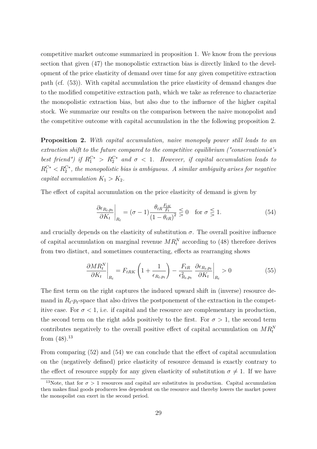competitive market outcome summarized in proposition 1. We know from the previous section that given (47) the monopolistic extraction bias is directly linked to the development of the price elasticity of demand over time for any given competitive extraction path (cf. (53)). With capital accumulation the price elasticity of demand changes due to the modified competitive extraction path, which we take as reference to characterize the monopolistic extraction bias, but also due to the influence of the higher capital stock. We summarize our results on the comparison between the naive monopolist and the competitive outcome with capital accumulation in the the following proposition 2.

**Proposition 2.** *With capital accumulation, naive monopoly power still leads to an extraction shift to the future compared to the competitive equilibrium ("conservationist's best friend") if*  $R_1^{C*} > R_2^{C*}$  *and*  $\sigma < 1$ *. However, if capital accumulation leads to*  $R_1^{C*} < R_2^{C*}$ , the monopolistic bias is ambiguous. A similar ambiguity arises for negative *capital accumulation*  $K_1 > K_2$ .

The effect of capital accumulation on the price elasticity of demand is given by

$$
\left. \frac{\partial \epsilon_{R_t, p_t}}{\partial K_t} \right|_{R_t} = (\sigma - 1) \frac{\theta_{tR} \frac{F_{tK}}{F_t}}{\left(1 - \theta_{tR}\right)^2} \lesssim 0 \quad \text{for } \sigma \lesssim 1. \tag{54}
$$

and crucially depends on the elasticity of substitution  $\sigma$ . The overall positive influence of capital accumulation on marginal revenue  $MR_t^N$  according to (48) therefore derives from two distinct, and sometimes counteracting, effects as rearranging shows

$$
\left. \frac{\partial M R_t^N}{\partial K_t} \right|_{R_t} = F_{tRK} \left( 1 + \frac{1}{\epsilon_{R_t, p_t}} \right) - \frac{F_{tR}}{\epsilon_{R_t, p_t}^2} \left. \frac{\partial \epsilon_{R_t, p_t}}{\partial K_t} \right|_{R_t} > 0 \tag{55}
$$

The first term on the right captures the induced upward shift in (inverse) resource demand in  $R_t$ - $p_t$ -space that also drives the postponement of the extraction in the competitive case. For  $\sigma$  < 1, i.e. if capital and the resource are complementary in production, the second term on the right adds positively to the first. For  $\sigma > 1$ , the second term contributes negatively to the overall positive effect of capital accumulation on  $MR_t^N$ from  $(48).^{13}$ 

From comparing (52) and (54) we can conclude that the effect of capital accumulation on the (negatively defined) price elasticity of resource demand is exactly contrary to the effect of resource supply for any given elasticity of substitution  $\sigma \neq 1$ . If we have

<sup>&</sup>lt;sup>13</sup>Note, that for  $\sigma > 1$  resources and capital are substitutes in production. Capital accumulation then makes final goods producers less dependent on the resource and thereby lowers the market power the monopolist can exert in the second period.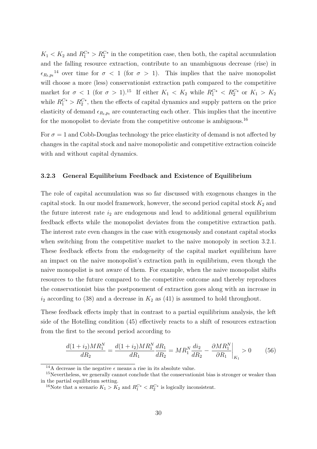$K_1 < K_2$  and  $R_1^{C*} > R_2^{C*}$  in the competition case, then both, the capital accumulation and the falling resource extraction, contribute to an unambiguous decrease (rise) in  $\epsilon_{R_t,p_t}$ <sup>14</sup> over time for  $\sigma < 1$  (for  $\sigma > 1$ ). This implies that the naive monopolist will choose a more (less) conservationist extraction path compared to the competitive market for  $\sigma$  < 1 (for  $\sigma$  > 1).<sup>15</sup> If either  $K_1$  <  $K_2$  while  $R_1^{C*}$  <  $R_2^{C*}$  or  $K_1 > K_2$ while  $R_1^{C*} > R_2^{C*}$ , then the effects of capital dynamics and supply pattern on the price elasticity of demand  $\epsilon_{R_t,p_t}$  are counteracting each other. This implies that the incentive for the monopolist to deviate from the competitive outcome is ambiguous.<sup>16</sup>

For  $\sigma = 1$  and Cobb-Douglas technology the price elasticity of demand is not affected by changes in the capital stock and naive monopolistic and competitive extraction coincide with and without capital dynamics.

#### **3.2.3 General Equilibrium Feedback and Existence of Equilibrium**

The role of capital accumulation was so far discussed with exogenous changes in the capital stock. In our model framework, however, the second period capital stock  $K_2$  and the future interest rate  $i_2$  are endogenous and lead to additional general equilibrium feedback effects while the monopolist deviates from the competitive extraction path. The interest rate even changes in the case with exogenously and constant capital stocks when switching from the competitive market to the naive monopoly in section 3.2.1. These feedback effects from the endogeneity of the capital market equilibrium have an impact on the naive monopolist's extraction path in equilibrium, even though the naive monopolist is not aware of them. For example, when the naive monopolist shifts resources to the future compared to the competitive outcome and thereby reproduces the conservationist bias the postponement of extraction goes along with an increase in  $i_2$  according to (38) and a decrease in  $K_2$  as (41) is assumed to hold throughout.

These feedback effects imply that in contrast to a partial equilibrium analysis, the left side of the Hotelling condition (45) effectively reacts to a shift of resources extraction from the first to the second period according to

$$
\frac{d(1+i_2)MR_1^N}{dR_2} = \frac{d(1+i_2)MR_1^N}{dR_1}\frac{dR_1}{dR_2} = MR_1^N\frac{di_2}{dR_2} - \frac{\partial MR_1^N}{\partial R_1}\bigg|_{K_1} > 0
$$
\n(56)

<sup>&</sup>lt;sup>14</sup>A decrease in the negative  $\epsilon$  means a rise in its absolute value.

<sup>&</sup>lt;sup>15</sup>Nevertheless, we generally cannot conclude that the conservationist bias is stronger or weaker than in the partial equilibrium setting.

<sup>&</sup>lt;sup>16</sup>Note that a scenario  $K_1 > K_2$  and  $R_1^{C*} < R_2^{C*}$  is logically inconsistent.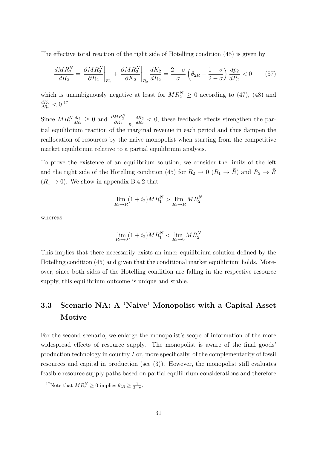The effective total reaction of the right side of Hotelling condition (45) is given by

$$
\frac{dMR_2^N}{dR_2} = \frac{\partial MR_2^N}{\partial R_2}\bigg|_{K_2} + \frac{\partial MR_2^N}{\partial K_2}\bigg|_{R_2}\frac{dK_2}{dR_2} = \frac{2-\sigma}{\sigma}\left(\theta_{2R} - \frac{1-\sigma}{2-\sigma}\right)\frac{dp_2}{dR_2} < 0\tag{57}
$$

which is unambiguously negative at least for  $MR_2^N \geq 0$  according to (47), (48) and *dK*<sup>2</sup>  $\frac{dK_2}{dR_2} < 0.17$ 

Since  $MR_1^N \frac{di_2}{dR_2}$  $\frac{di_2}{dR_2}$  ≥ 0 and  $\frac{\partial MR_2^N}{\partial K_2}$  $\Big|_{R_2}$ *dK*<sup>2</sup>  $\frac{dK_2}{dR_2}$  < 0, these feedback effects strengthen the partial equilibrium reaction of the marginal revenue in each period and thus dampen the reallocation of resources by the naive monopolist when starting from the competitive market equilibrium relative to a partial equilibrium analysis.

To prove the existence of an equilibrium solution, we consider the limits of the left and the right side of the Hotelling condition (45) for  $R_2 \to 0$  ( $R_1 \to \overline{R}$ ) and  $R_2 \to \overline{R}$  $(R_1 \rightarrow 0)$ . We show in appendix B.4.2 that

$$
\lim_{R_2 \to \bar{R}} (1 + i_2)MR_1^N > \lim_{R_2 \to \bar{R}} MR_2^N
$$

whereas

$$
\lim_{R_2 \to 0} (1 + i_2)MR_1^N < \lim_{R_2 \to 0} MR_2^N
$$

This implies that there necessarily exists an inner equilibrium solution defined by the Hotelling condition (45) and given that the conditional market equilibrium holds. Moreover, since both sides of the Hotelling condition are falling in the respective resource supply, this equilibrium outcome is unique and stable.

# **3.3 Scenario NA: A 'Naive' Monopolist with a Capital Asset Motive**

For the second scenario, we enlarge the monopolist's scope of information of the more widespread effects of resource supply. The monopolist is aware of the final goods' production technology in country *I* or, more specifically, of the complementarity of fossil resources and capital in production (see (3)). However, the monopolist still evaluates feasible resource supply paths based on partial equilibrium considerations and therefore

<sup>&</sup>lt;sup>17</sup>Note that  $MR_t^N \ge 0$  implies  $\theta_{tR} \ge \frac{1}{2-\sigma}$ .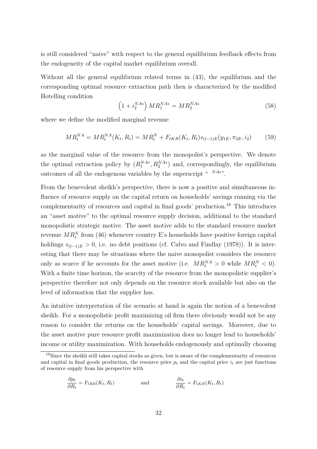is still considered "naive" with respect to the general equilibrium feedback effects from the endogeneity of the capital market equilibrium overall.

Without all the general equilibrium related terms in (43), the equilibrium and the corresponding optimal resource extraction path then is characterized by the modified Hotelling condition

$$
\left(1 + i_2^{NA*}\right)MR_1^{NA*} = MR_2^{NA*} \tag{58}
$$

where we define the modified marginal revenue

$$
MR_t^{NA} = MR_t^{NA}(K_t, R_t) = MR_t^N + F_{tKR}(K_t, R_t) s_{(t-1)E}(y_{1E}, \pi_{2E}, i_2)
$$
(59)

as the marginal value of the resource from the monopolist's perspective. We denote the optimal extraction policy by  $(R_1^{NA*}, R_2^{NA*})$  and, correspondingly, the equilibrium outcomes of all the endogenous variables by the superscript " <sup>NA∗</sup>".

From the benevolent sheikh's perspective, there is now a positive and simultaneous influence of resource supply on the capital return on households' savings running via the complementarity of resources and capital in final goods' production.<sup>18</sup> This introduces an "asset motive" to the optimal resource supply decision, additional to the standard monopolistic strategic motive. The asset motive adds to the standard resource market revenue  $MR_t^N$  from (46) whenever country E's households have positive foreign capital holdings  $s_{(t-1)E} > 0$ , i.e. no debt positions (cf. Calvo and Findlay (1978)). It is interesting that there may be situations where the naive monopolist considers the resource only as scarce if he accounts for the asset motive (i.e.  $MR_t^M > 0$  while  $MR_t^N < 0$ ). With a finite time horizon, the scarcity of the resource from the monopolistic supplier's perspective therefore not only depends on the resource stock available but also on the level of information that the supplier has.

An intuitive interpretation of the scenario at hand is again the notion of a benevolent sheikh. For a monopolistic profit maximizing oil firm there obviously would not be any reason to consider the returns on the households' capital savings. Moreover, due to the asset motive pure resource profit maximization does no longer lead to households' income or utility maximization. With households endogenously and optimally choosing

$$
\frac{\partial p_t}{\partial R_t} = F_{tRR}(K_t, R_t) \qquad \text{and} \qquad \frac{\partial i_t}{\partial R_t} = F_{tKR}(K_t, R_t)
$$

<sup>18</sup>Since the sheikh still takes capital stocks as given, but is aware of the complementarity of resources and capital in final goods production, the resource price  $p_t$  and the capital price  $i_t$  are just functions of resource supply from his perspective with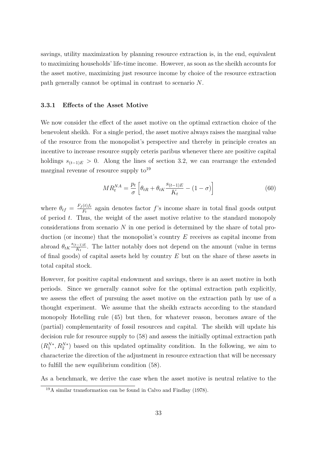savings, utility maximization by planning resource extraction is, in the end, equivalent to maximizing households' life-time income. However, as soon as the sheikh accounts for the asset motive, maximizing just resource income by choice of the resource extraction path generally cannot be optimal in contrast to scenario *N*.

#### **3.3.1 Effects of the Asset Motive**

We now consider the effect of the asset motive on the optimal extraction choice of the benevolent sheikh. For a single period, the asset motive always raises the marginal value of the resource from the monopolist's perspective and thereby in principle creates an incentive to increase resource supply ceteris paribus whenever there are positive capital holdings  $s_{(t-1)E} > 0$ . Along the lines of section 3.2, we can rearrange the extended marginal revenue of resource supply  $\mathrm{to}^{19}$ 

$$
MR_t^{NA} = \frac{p_t}{\sigma} \left[ \theta_{tR} + \theta_{tK} \frac{s_{(t-1)E}}{K_t} - (1 - \sigma) \right]
$$
 (60)

where  $\theta_{tf} = \frac{F_f(t)f_t}{F_t}$  $\frac{(t) f_t}{F_t}$  again denotes factor *f*'s income share in total final goods output of period *t*. Thus, the weight of the asset motive relative to the standard monopoly considerations from scenario *N* in one period is determined by the share of total production (or income) that the monopolist's country *E* receives as capital income from abroad  $\theta_{tK} \frac{s_{(t-1)E}}{K_t}$  $\frac{(-1)E}{K_t}$ . The latter notably does not depend on the amount (value in terms of final goods) of capital assets held by country *E* but on the share of these assets in total capital stock.

However, for positive capital endowment and savings, there is an asset motive in both periods. Since we generally cannot solve for the optimal extraction path explicitly, we assess the effect of pursuing the asset motive on the extraction path by use of a thought experiment. We assume that the sheikh extracts according to the standard monopoly Hotelling rule (45) but then, for whatever reason, becomes aware of the (partial) complementarity of fossil resources and capital. The sheikh will update his decision rule for resource supply to (58) and assess the initially optimal extraction path  $(R_1^{N*}, R_2^{N*})$  based on this updated optimality condition. In the following, we aim to characterize the direction of the adjustment in resource extraction that will be necessary to fulfill the new equilibrium condition (58).

As a benchmark, we derive the case when the asset motive is neutral relative to the

<sup>19</sup>A similar transformation can be found in Calvo and Findlay (1978).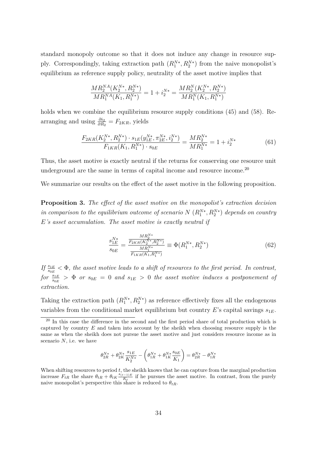standard monopoly outcome so that it does not induce any change in resource supply. Correspondingly, taking extraction path  $(R_1^{N*}, R_2^{N*})$  from the naive monopolist's equilibrium as reference supply policy, neutrality of the asset motive implies that

$$
\frac{MR_2^{NA}(K_2^{N*}, R_2^{N*})}{MR_1^{NA}(K_1, R_1^{N*})} = 1 + i_2^{N*} = \frac{MR_2^N(K_2^{N*}, R_2^{N*})}{MR_1^N(K_1, R_1^{N*})}
$$

holds when we combine the equilibrium resource supply conditions (45) and (58). Rearranging and using  $\frac{\partial i_2}{\partial R_2} = F_{2KR}$ , yields

$$
\frac{F_{2KR}(K_2^{N*}, R_2^{N*}) \cdot s_{1E}(y_{1E}^{N*}, \pi_{2E}^{N*}, i_2^{N*})}{F_{1KR}(K_1, R_1^{N*}) \cdot s_{0E}} = \frac{MR_2^{N*}}{MR_1^{N*}} = 1 + i_2^{N*}
$$
(61)

Thus, the asset motive is exactly neutral if the returns for conserving one resource unit underground are the same in terms of capital income and resource income.<sup>20</sup>

We summarize our results on the effect of the asset motive in the following proposition.

**Proposition 3.** *The effect of the asset motive on the monopolist's extraction decision in comparison to the equilibrium outcome of scenario*  $N(R_1^{N*}, R_2^{N*})$  *depends on country E's asset accumulation. The asset motive is exactly neutral if*

$$
\frac{s_{1E}^{N*}}{s_{0E}} = \frac{\frac{MR_2^{N*}}{F_{2KR}(K_2^{N*}, R_2^{N*})}}{\frac{MR_1^{N*}}{F_{1KR}(K_1, R_1^{N*})}} \equiv \Phi(R_1^{N*}, R_2^{N*})
$$
(62)

*If*  $\frac{s_{1E}}{s_{0E}}$  <  $\Phi$ , the asset motive leads to a shift of resources to the first period. In contrast,  $for \frac{s_{1E}}{s_{0E}} > \Phi$  *or*  $s_{0E} = 0$  *and*  $s_{1E} > 0$  *the asset motive induces a postponement of extraction.*

Taking the extraction path  $(R_1^{N*}, R_2^{N*})$  as reference effectively fixes all the endogenous variables from the conditional market equilibrium but country  $E$ 's capital savings  $s_{1E}$ .

$$
\theta_{2R}^{N*} + \theta_{2K}^{N*}\frac{s_{1E}}{K_2^{N*}} - \left(\theta_{1R}^{N*} + \theta_{1K}^{N*}\frac{s_{0E}}{K_1}\right) = \theta_{2R}^{N*} - \theta_{1R}^{N*}
$$

When shifting resources to period *t*, the sheikh knows that he can capture from the marginal production increase  $F_{tR}$  the share  $\theta_{tR} + \theta_{tK} \frac{s_{(t-1)E}}{K}$  $\frac{(-1)E}{K_t}$  if he pursues the asset motive. In contrast, from the purely naive monopolist's perspective this share is reduced to  $\theta_{tR}$ .

<sup>&</sup>lt;sup>20</sup> In this case the difference in the second and the first period share of total production which is captured by country *E* and taken into account by the sheikh when choosing resource supply is the same as when the sheikh does not pursue the asset motive and just considers resource income as in scenario *N*, i.e. we have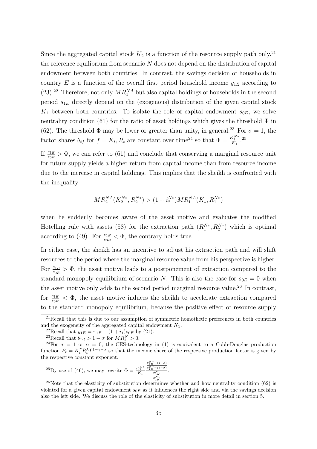Since the aggregated capital stock  $K_2$  is a function of the resource supply path only.<sup>21</sup> the reference equilibrium from scenario *N* does not depend on the distribution of capital endowment between both countries. In contrast, the savings decision of households in country *E* is a function of the overall first period household income  $y_{1E}$  according to  $(23).^{22}$  Therefore, not only  $MR_1^{NA}$  but also capital holdings of households in the second period *s*1*<sup>E</sup>* directly depend on the (exogenous) distribution of the given capital stock  $K_1$  between both countries. To isolate the role of capital endowment  $s_{0E}$ , we solve neutrality condition (61) for the ratio of asset holdings which gives the threshold  $\Phi$  in (62). The threshold  $\Phi$  may be lower or greater than unity, in general.<sup>23</sup> For  $\sigma = 1$ , the factor shares  $\theta_{tf}$  for  $f = K_t, R_t$  are constant over time<sup>24</sup> so that  $\Phi = \frac{K_2^{N*}}{K_1}$ .<sup>25</sup>

If  $\frac{s_{1E}}{s_{0E}} > \Phi$ , we can refer to (61) and conclude that conserving a marginal resource unit for future supply yields a higher return from capital income than from resource income due to the increase in capital holdings. This implies that the sheikh is confronted with the inequality

$$
MR_2^{NA}(K_2^{N*}, R_2^{N*}) > (1+i_2^{N*})MR_1^{NA}(K_1, R_1^{N*})
$$

when he suddenly becomes aware of the asset motive and evaluates the modified Hotelling rule with assets (58) for the extraction path  $(R_1^{N*}, R_2^{N*})$  which is optimal according to (49). For  $\frac{s_{1E}}{s_{0E}} < \Phi$ , the contrary holds true.

In either case, the sheikh has an incentive to adjust his extraction path and will shift resources to the period where the marginal resource value from his perspective is higher. For  $\frac{s_{1E}}{s_{0E}} > \Phi$ , the asset motive leads to a postponement of extraction compared to the standard monopoly equilibrium of scenario *N*. This is also the case for  $s_{0E} = 0$  when the asset motive only adds to the second period marginal resource value.<sup>26</sup> In contrast, for  $\frac{s_{1E}}{s_{0E}} < \Phi$ , the asset motive induces the sheikh to accelerate extraction compared to the standard monopoly equilibrium, because the positive effect of resource supply

 $^{23}$ Recall that  $\theta_{tR} > 1 - \sigma$  for  $MR_t^N > 0$ .

<sup>25</sup>By use of (46), we may rewrite 
$$
\Phi = \frac{K_2^{N*}}{K_1} \frac{\frac{\theta_{2R}^{N*} - (1 - \sigma)}{\theta_{1R}^{N*} - (1 - \sigma)}}{\frac{\theta_{2K}^{N*}}{\theta_{1K}^{N*}}}.
$$

<sup>26</sup>Note that the elasticity of substitution determines whether and how neutrality condition (62) is violated for a given capital endowment  $s_{0E}$  as it influences the right side and via the savings decision also the left side. We discuss the role of the elasticity of substitution in more detail in section 5.

<sup>&</sup>lt;sup>21</sup>Recall that this is due to our assumption of symmetric homothetic preferences in both countries and the exogeneity of the aggregated capital endowment *K*1.

<sup>&</sup>lt;sup>22</sup>Recall that  $y_{1E} = \pi_{1E} + (1 + i_1)s_{0E}$  by (21).

<sup>&</sup>lt;sup>24</sup>For  $\sigma = 1$  or  $\alpha = 0$ , the CES-technology in (1) is equivalent to a Cobb-Douglas production function  $F_t = K_t^{\gamma} R_t^{\lambda} L^{1-\gamma-\lambda}$  so that the income share of the respective production factor is given by the respective constant exponent.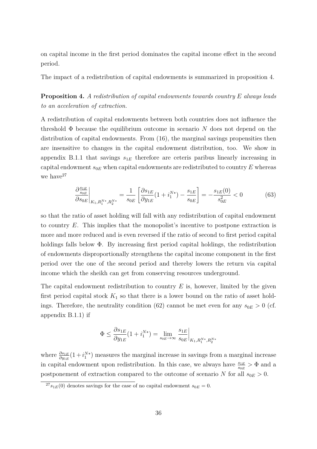on capital income in the first period dominates the capital income effect in the second period.

The impact of a redistribution of capital endowments is summarized in proposition 4.

**Proposition 4.** *A redistribution of capital endowments towards country E always leads to an acceleration of extraction.*

A redistribution of capital endowments between both countries does not influence the threshold Φ because the equilibrium outcome in scenario *N* does not depend on the distribution of capital endowments. From (16), the marginal savings propensities then are insensitive to changes in the capital endowment distribution, too. We show in appendix B.1.1 that savings  $s_{1E}$  therefore are ceteris paribus linearly increasing in capital endowment  $s_{0E}$  when capital endowments are redistributed to country  $E$  whereas we have  $27$ 

$$
\frac{\partial \frac{s_{1E}}{s_{0E}}}{\partial s_{0E}}\bigg|_{K_1, R_1^{N*}, R_2^{N*}} = \frac{1}{s_{0E}} \left[ \frac{\partial s_{1E}}{\partial y_{1E}} (1 + i_1^{N*}) - \frac{s_{1E}}{s_{0E}} \right] = -\frac{s_{1E}(0)}{s_{0E}^2} < 0 \tag{63}
$$

so that the ratio of asset holding will fall with any redistribution of capital endowment to country *E*. This implies that the monopolist's incentive to postpone extraction is more and more reduced and is even reversed if the ratio of second to first period capital holdings falls below Φ. By increasing first period capital holdings, the redistribution of endowments disproportionally strengthens the capital income component in the first period over the one of the second period and thereby lowers the return via capital income which the sheikh can get from conserving resources underground.

The capital endowment redistribution to country *E* is, however, limited by the given first period capital stock  $K_1$  so that there is a lower bound on the ratio of asset holdings. Therefore, the neutrality condition (62) cannot be met even for any  $s_{0E} > 0$  (cf. appendix B.1.1) if

$$
\Phi \le \frac{\partial s_{1E}}{\partial y_{1E}} (1 + i_1^{N*}) = \lim_{s_{0E} \to \infty} \frac{s_{1E}}{s_{0E}} \Big|_{K_1, R_1^{N*}, R_2^{N*}}
$$

where  $\frac{\partial s_{1E}}{\partial y_{1E}}(1+i_1^{N*})$  measures the marginal increase in savings from a marginal increase in capital endowment upon redistribution. In this case, we always have  $\frac{s_{1E}}{s_{0E}} > \Phi$  and a postponement of extraction compared to the outcome of scenario *N* for all  $s_{0E} > 0$ .

 $27_{s_{1E}}(0)$  denotes savings for the case of no capital endowment  $s_{0E} = 0$ .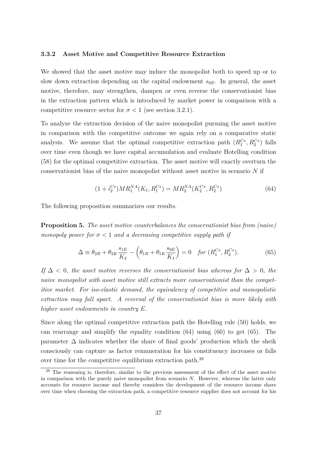### **3.3.2 Asset Motive and Competitive Resource Extraction**

We showed that the asset motive may induce the monopolist both to speed up or to slow down extraction depending on the capital endowment  $s_{0E}$ . In general, the asset motive, therefore, may strengthen, dampen or even reverse the conservationist bias in the extraction pattern which is introduced by market power in comparison with a competitive resource sector for  $\sigma < 1$  (see section 3.2.1).

To analyze the extraction decision of the naive monopolist pursuing the asset motive in comparison with the competitive outcome we again rely on a comparative static analysis. We assume that the optimal competitive extraction path  $(R_1^{C*}, R_2^{C*})$  falls over time even though we have capital accumulation and evaluate Hotelling condition (58) for the optimal competitive extraction. The asset motive will exactly overturn the conservationist bias of the naive monopolist without asset motive in scenario *N* if

$$
(1 + i_2^{C*})MR_1^{NA}(K_1, R_1^{C*}) = MR_2^{NA}(K_2^{C*}, R_2^{C*})
$$
\n(64)

The following proposition summarizes our results.

**Proposition 5.** *The asset motive counterbalances the conservationist bias from (naive) monopoly power for*  $\sigma < 1$  *and a decreasing competitive supply path if* 

$$
\Delta \equiv \theta_{2R} + \theta_{2K} \frac{s_{1E}}{K_2} - \left(\theta_{1R} + \theta_{1K} \frac{s_{0E}}{K_1}\right) = 0 \quad \text{for } (R_1^{C*}, R_2^{C*}).
$$
 (65)

*If*  $\Delta$  < 0*, the asset motive reverses the conservationist bias whereas for*  $\Delta$  > 0*, the naive monopolist with asset motive still extracts more conservationist than the competitive market. For iso-elastic demand, the equivalency of competitive and monopolistic extraction may fall apart. A reversal of the conservationist bias is more likely with higher asset endowments in country E.*

Since along the optimal competitive extraction path the Hotelling rule (50) holds, we can rearrange and simplify the equality condition (64) using (60) to get (65). The parameter  $\Delta$  indicates whether the share of final goods' production which the sheik consciously can capture as factor remuneration for his constituency increases or falls over time for the competitive equilibrium extraction path.<sup>28</sup>

<sup>&</sup>lt;sup>28</sup> The reasoning is, therefore, similar to the previous assessment of the effect of the asset motive in comparison with the purely naive monopolist from scenario *N*. However, whereas the latter only accounts for resource income and thereby considers the development of the resource income share over time when choosing the extraction path, a competitive resource supplier does not account for his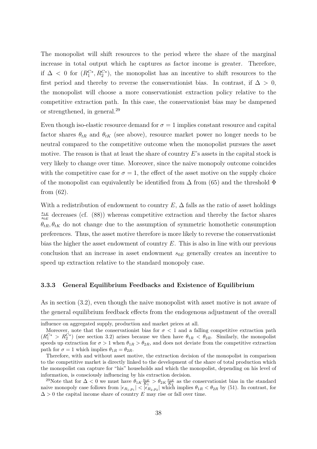The monopolist will shift resources to the period where the share of the marginal increase in total output which he captures as factor income is greater. Therefore, if  $\Delta$  < 0 for  $(R_1^{C*}, R_2^{C*})$ , the monopolist has an incentive to shift resources to the first period and thereby to reverse the conservationist bias. In contrast, if  $\Delta > 0$ , the monopolist will choose a more conservationist extraction policy relative to the competitive extraction path. In this case, the conservationist bias may be dampened or strengthened, in general.<sup>29</sup>

Even though iso-elastic resource demand for  $\sigma = 1$  implies constant resource and capital factor shares  $\theta_{tR}$  and  $\theta_{tK}$  (see above), resource market power no longer needs to be neutral compared to the competitive outcome when the monopolist pursues the asset motive. The reason is that at least the share of country *E*'s assets in the capital stock is very likely to change over time. Moreover, since the naive monopoly outcome coincides with the competitive case for  $\sigma = 1$ , the effect of the asset motive on the supply choice of the monopolist can equivalently be identified from  $\Delta$  from (65) and the threshold  $\Phi$ from (62).

With a redistribution of endowment to country  $E$ ,  $\Delta$  falls as the ratio of asset holdings *s*1*<sup>E</sup>*  $\frac{s_{1E}}{s_{0E}}$  decreases (cf. (88)) whereas competitive extraction and thereby the factor shares  $\theta_{tR}, \theta_{tK}$  do not change due to the assumption of symmetric homothetic consumption preferences. Thus, the asset motive therefore is more likely to reverse the conservationist bias the higher the asset endowment of country *E*. This is also in line with our previous conclusion that an increase in asset endowment *s*0*<sup>E</sup>* generally creates an incentive to speed up extraction relative to the standard monopoly case.

### **3.3.3 General Equilibrium Feedbacks and Existence of Equilibrium**

As in section (3.2), even though the naive monopolist with asset motive is not aware of the general equilibrium feedback effects from the endogenous adjustment of the overall

influence on aggregated supply, production and market prices at all.

Moreover, note that the conservationist bias for  $\sigma < 1$  and a falling competitive extraction path  $(R_1^{C*} > R_2^{C*})$  (see section 3.2) arises because we then have  $\theta_{1R} < \theta_{2R}$ . Similarly, the monopolist speeds up extraction for  $\sigma > 1$  when  $\theta_{1R} > \theta_{2R}$ , and does not deviate from the competitive extraction path for  $\sigma = 1$  which implies  $\theta_{1R} = \theta_{2R}$ .

Therefore, with and without asset motive, the extraction decision of the monopolist in comparison to the competitive market is directly linked to the development of the share of total production which the monopolist can capture for "his" households and which the monopolist, depending on his level of information, is consciously influencing by his extraction decision.

<sup>&</sup>lt;sup>29</sup>Note that for  $\Delta < 0$  we must have  $\theta_{1K} \frac{s_{0E}}{K_1} > \theta_{2K} \frac{s_{1E}}{K_2}$  as the conservationist bias in the standard naive monopoly case follows from  $|\epsilon_{R_1,p_1}| < |\epsilon_{R_2,p_2}|$  which implies  $\theta_{1R} < \theta_{2R}$  by (51). In contrast, for  $\Delta > 0$  the capital income share of country *E* may rise or fall over time.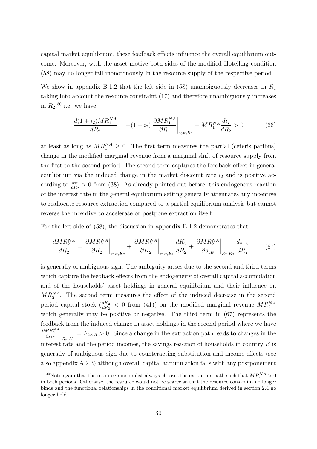capital market equilibrium, these feedback effects influence the overall equilibrium outcome. Moreover, with the asset motive both sides of the modified Hotelling condition (58) may no longer fall monotonously in the resource supply of the respective period.

We show in appendix B.1.2 that the left side in (58) unambiguously decreases in *R*<sup>1</sup> taking into account the resource constraint (17) and therefore unambiguously increases in  $R_2$ <sup>30</sup> i.e. we have

$$
\frac{d(1+i_2)MR_1^{NA}}{dR_2} = -(1+i_2) \left. \frac{\partial MR_1^{NA}}{\partial R_1} \right|_{s_{0E}, K_1} + MR_1^{NA} \frac{di_2}{dR_2} > 0 \tag{66}
$$

at least as long as  $MR_1^{NA} \geq 0$ . The first term measures the partial (ceteris paribus) change in the modified marginal revenue from a marginal shift of resource supply from the first to the second period. The second term captures the feedback effect in general equilibrium via the induced change in the market discount rate  $i_2$  and is positive according to  $\frac{di_2}{dR_2} > 0$  from (38). As already pointed out before, this endogenous reaction of the interest rate in the general equilibrium setting generally attenuates any incentive to reallocate resource extraction compared to a partial equilibrium analysis but cannot reverse the incentive to accelerate or postpone extraction itself.

For the left side of (58), the discussion in appendix B.1.2 demonstrates that

$$
\frac{dMR_2^{NA}}{dR_2} = \frac{\partial MR_2^{NA}}{\partial R_2}\bigg|_{s_{1E}, K_2} + \frac{\partial MR_2^{NA}}{\partial K_2}\bigg|_{s_{1E}, R_2} \frac{dK_2}{dR_2} + \frac{\partial MR_2^{NA}}{\partial s_{1E}}\bigg|_{R_2, K_2} \frac{ds_{1E}}{dR_2}
$$
(67)

is generally of ambiguous sign. The ambiguity arises due to the second and third terms which capture the feedback effects from the endogeneity of overall capital accumulation and of the households' asset holdings in general equilibrium and their influence on  $MR_2^{NA}$ . The second term measures the effect of the induced decrease in the second period capital stock  $\left(\frac{dK_2}{dR_2} \right)$  on the modified marginal revenue  $MR_2^{NA}$ which generally may be positive or negative. The third term in  $(67)$  represents the feedback from the induced change in asset holdings in the second period where we have  $\frac{\partial MR_2^{NA}}{\partial s_{1E}}$  $\Bigg|_{R_2,K_2}$  $= F_{2KR} > 0$ . Since a change in the extraction path leads to changes in the interest rate and the period incomes, the savings reaction of households in country *E* is generally of ambiguous sign due to counteracting substitution and income effects (see also appendix A.2.3) although overall capital accumulation falls with any postponement

<sup>&</sup>lt;sup>30</sup>Note again that the resource monopolist always chooses the extraction path such that  $MR_t^{NA} > 0$ in both periods. Otherwise, the resource would not be scarce so that the resource constraint no longer binds and the functional relationships in the conditional market equilibrium derived in section 2.4 no longer hold.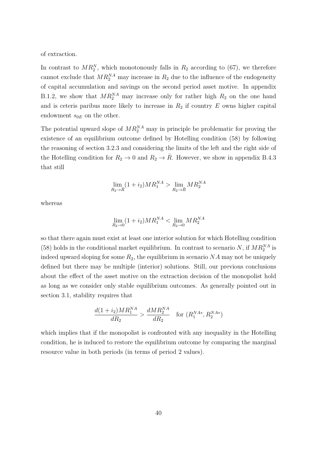of extraction.

In contrast to  $MR_2^N$ , which monotonously falls in  $R_2$  according to (67), we therefore cannot exclude that  $MR_2^{\text{NA}}$  may increase in  $R_2$  due to the influence of the endogeneity of capital accumulation and savings on the second period asset motive. In appendix B.1.2, we show that  $MR_2^{\text{NA}}$  may increase only for rather high  $R_2$  on the one hand and is ceteris paribus more likely to increase in  $R_2$  if country  $E$  owns higher capital endowment  $s_{0E}$  on the other.

The potential upward slope of  $MR_2^{\text{NA}}$  may in principle be problematic for proving the existence of an equilibrium outcome defined by Hotelling condition (58) by following the reasoning of section 3.2.3 and considering the limits of the left and the right side of the Hotelling condition for  $R_2 \to 0$  and  $R_2 \to \overline{R}$ . However, we show in appendix B.4.3 that still

$$
\lim_{R_2 \to \bar{R}} (1 + i_2)MR_1^{NA} > \lim_{R_2 \to \bar{R}} MR_2^{NA}
$$

whereas

$$
\lim_{R_2 \to 0} (1 + i_2) M R_1^{NA} < \lim_{R_2 \to 0} M R_2^{NA}
$$

so that there again must exist at least one interior solution for which Hotelling condition (58) holds in the conditional market equilibrium. In contrast to scenario *N*, if  $MR_2^{NA}$  is indeed upward sloping for some  $R_2$ , the equilibrium in scenario  $NA$  may not be uniquely defined but there may be multiple (interior) solutions. Still, our previous conclusions about the effect of the asset motive on the extraction decision of the monopolist hold as long as we consider only stable equilibrium outcomes. As generally pointed out in section 3.1, stability requires that

$$
\frac{d(1+i_2)MR_1^{NA}}{dR_2} > \frac{dMR_2^{NA}}{dR_2} \quad \text{for } (R_1^{NA*}, R_2^{NA*})
$$

which implies that if the monopolist is confronted with any inequality in the Hotelling condition, he is induced to restore the equilibrium outcome by comparing the marginal resource value in both periods (in terms of period 2 values).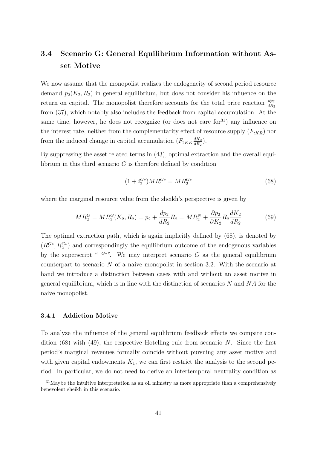# **3.4 Scenario G: General Equilibrium Information without Asset Motive**

We now assume that the monopolist realizes the endogeneity of second period resource demand  $p_2(K_2, R_2)$  in general equilibrium, but does not consider his influence on the return on capital. The monopolist therefore accounts for the total price reaction  $\frac{dp_2}{dR_2}$ from (37), which notably also includes the feedback from capital accumulation. At the same time, however, he does not recognize (or does not care for  $31$ ) any influence on the interest rate, neither from the complementarity effect of resource supply  $(F_{tKR})$  nor from the induced change in capital accumulation  $(F_{2KK}\frac{dK_2}{dR_2})$  $\frac{dK_2}{dR_2}$ .

By suppressing the asset related terms in (43), optimal extraction and the overall equilibrium in this third scenario  $G$  is therefore defined by condition

$$
(1 + i_2^{G*})MR_1^{G*} = MR_2^{G*}
$$
\n(68)

where the marginal resource value from the sheikh's perspective is given by

$$
MR_2^G = MR_2^G(K_2, R_2) = p_2 + \frac{dp_2}{dR_2}R_2 = MR_2^N + \frac{\partial p_2}{\partial K_2}R_2 \frac{dK_2}{dR_2}
$$
(69)

The optimal extraction path, which is again implicitly defined by (68), is denoted by  $(R_1^{G*}, R_2^{G*})$  and correspondingly the equilibrium outcome of the endogenous variables by the superscript "  $G^*$ ". We may interpret scenario G as the general equilibrium counterpart to scenario *N* of a naive monopolist in section 3.2. With the scenario at hand we introduce a distinction between cases with and without an asset motive in general equilibrium, which is in line with the distinction of scenarios *N* and *NA* for the naive monopolist.

### **3.4.1 Addiction Motive**

To analyze the influence of the general equilibrium feedback effects we compare condition (68) with (49), the respective Hotelling rule from scenario *N*. Since the first period's marginal revenues formally coincide without pursuing any asset motive and with given capital endowments  $K_1$ , we can first restrict the analysis to the second period. In particular, we do not need to derive an intertemporal neutrality condition as

 $31$ Maybe the intuitive interpretation as an oil ministry as more appropriate than a comprehensively benevolent sheikh in this scenario.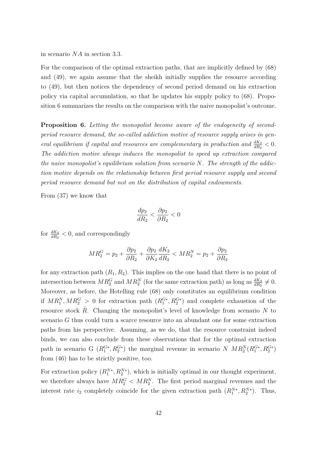in scenario *NA* in section 3.3.

For the comparison of the optimal extraction paths, that are implicitly defined by (68) and (49), we again assume that the sheikh initially supplies the resource according to (49), but then notices the dependency of second period demand on his extraction policy via capital accumulation, so that he updates his supply policy to (68). Proposition 6 summarizes the results on the comparison with the naive monopolist's outcome.

**Proposition 6.** *Letting the monopolist become aware of the endogeneity of secondperiod resource demand, the so-called addiction motive of resource supply arises in general equilibrium if capital and resources are complementary in production and*  $\frac{dK_2}{dR_2} < 0$ . *The addiction motive always induces the monopolist to speed up extraction compared the naive monopolist's equilibrium solution from scenario N. The strength of the addiction motive depends on the relationship between first period resource supply and second period resource demand but not on the distribution of capital endowments.*

From (37) we know that

$$
\frac{dp_2}{dR_2} < \frac{\partial p_2}{\partial R_2} < 0
$$

for  $\frac{dK_2}{dR_2} < 0$ , and correspondingly

$$
MR_2^G = p_2 + \frac{\partial p_2}{\partial R_2} + \frac{\partial p_2}{\partial K_2} \frac{dK_2}{dR_2} < MR_2^N = p_2 + \frac{\partial p_2}{\partial R_2}
$$

for any extraction path  $(R_1, R_2)$ . This implies on the one hand that there is no point of intersection between  $MR_2^G$  and  $MR_2^N$  (for the same extraction path) as long as  $\frac{dK_2}{dR_2} \neq 0$ . Moreover, as before, the Hotelling rule (68) only constitutes an equilibrium condition if  $MR_1^N, MR_2^G > 0$  for extraction path  $(R_1^{G*}, R_2^{G*})$  and complete exhaustion of the resource stock  $\bar{R}$ . Changing the monopolist's level of knowledge from scenario  $N$  to scenario *G* thus could turn a scarce resource into an abundant one for some extraction paths from his perspective. Assuming, as we do, that the resource constraint indeed binds, we can also conclude from these observations that for the optimal extraction path in scenario G  $(R_1^{G*}, R_2^{G*})$  the marginal revenue in scenario *N MR*<sup>N</sup><sub>2</sub> $(R_1^{G*}, R_2^{G*})$ from (46) has to be strictly positive, too.

For extraction policy  $(R_1^{N*}, R_2^{N*})$ , which is initially optimal in our thought experiment, we therefore always have  $MR_2^G < MR_2^N$ . The first period marginal revenues and the interest rate  $i_2$  completely coincide for the given extraction path  $(R_1^{N*}, R_2^{N*})$ . Thus,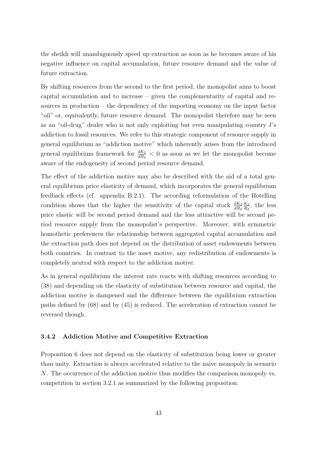the sheikh will unambiguously speed up extraction as soon as he becomes aware of his negative influence on capital accumulation, future resource demand and the value of future extraction.

By shifting resources from the second to the first period, the monopolist aims to boost capital accumulation and to increase – given the complementarity of capital and resources in production – the dependency of the importing economy on the input factor "oil" or, equivalently, future resource demand. The monopolist therefore may be seen as an "oil-drug" dealer who is not only exploiting but even manipulating country *I*'s addiction to fossil resources. We refer to this strategic component of resource supply in general equilibrium as "addiction motive" which inherently arises from the introduced general equilibrium framework for  $\frac{dK_2}{dR_2} < 0$  as soon as we let the monopolist become aware of the endogeneity of second period resource demand.

The effect of the addiction motive may also be described with the aid of a total general equilibrium price elasticity of demand, which incorporates the general equilibrium feedback effects (cf. appendix B.2.1). The according reformulation of the Hotelling condition shows that the higher the sensitivity of the capital stock  $\frac{dK_2}{dR_2}$ *K*<sup>2</sup>  $\frac{K_2}{R_2}$ , the less price elastic will be second period demand and the less attractive will be second period resource supply from the monopolist's perspective. Moreover, with symmetric homothetic preferences the relationship between aggregated capital accumulation and the extraction path does not depend on the distribution of asset endowments between both countries. In contrast to the asset motive, any redistribution of endowments is completely neutral with respect to the addiction motive.

As in general equilibrium the interest rate reacts with shifting resources according to (38) and depending on the elasticity of substitution between resource and capital, the addiction motive is dampened and the difference between the equilibrium extraction paths defined by (68) and by (45) is reduced. The acceleration of extraction cannot be reversed though.

### **3.4.2 Addiction Motive and Competitive Extraction**

Proposition 6 does not depend on the elasticity of substitution being lower or greater than unity. Extraction is always accelerated relative to the naive monopoly in scenario *N*. The occurrence of the addiction motive thus modifies the comparison monopoly vs. competition in section 3.2.1 as summarized by the following proposition.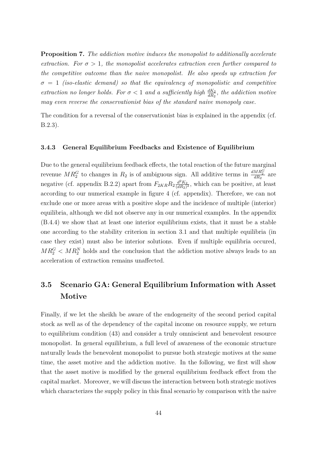**Proposition 7.** *The addiction motive induces the monopolist to additionally accelerate extraction.* For  $\sigma > 1$ , the monopolist accelerates extraction even further compared to *the competitive outcome than the naive monopolist. He also speeds up extraction for*  $\sigma = 1$  *(iso-elastic demand) so that the equivalency of monopolistic and competitive extraction no longer holds. For*  $\sigma < 1$  *and a sufficiently high*  $\frac{dK_2}{dR_2}$ , the addiction motive *may even reverse the conservationist bias of the standard naive monopoly case.*

The condition for a reversal of the conservationist bias is explained in the appendix (cf. B.2.3).

### **3.4.3 General Equilibrium Feedbacks and Existence of Equilibrium**

Due to the general equilibrium feedback effects, the total reaction of the future marginal revenue  $MR_2^G$  to changes in  $R_2$  is of ambiguous sign. All additive terms in  $\frac{dMR_2^G}{dR_2}$  are negative (cf. appendix B.2.2) apart from  $F_{2KR}R_2 \frac{d^2 K_2}{(dR_2)}$  $\frac{d^2 K_2}{(dR_2)^2}$ , which can be positive, at least according to our numerical example in figure 4 (cf. appendix). Therefore, we can not exclude one or more areas with a positive slope and the incidence of multiple (interior) equilibria, although we did not observe any in our numerical examples. In the appendix (B.4.4) we show that at least one interior equilibrium exists, that it must be a stable one according to the stability criterion in section 3.1 and that multiple equilibria (in case they exist) must also be interior solutions. Even if multiple equilibria occured,  $MR_2^G$  <  $MR_2^N$  holds and the conclusion that the addiction motive always leads to an acceleration of extraction remains unaffected.

# **3.5 Scenario GA: General Equilibrium Information with Asset Motive**

Finally, if we let the sheikh be aware of the endogeneity of the second period capital stock as well as of the dependency of the capital income on resource supply, we return to equilibrium condition (43) and consider a truly omniscient and benevolent resource monopolist. In general equilibrium, a full level of awareness of the economic structure naturally leads the benevolent monopolist to pursue both strategic motives at the same time, the asset motive and the addiction motive. In the following, we first will show that the asset motive is modified by the general equilibrium feedback effect from the capital market. Moreover, we will discuss the interaction between both strategic motives which characterizes the supply policy in this final scenario by comparison with the naive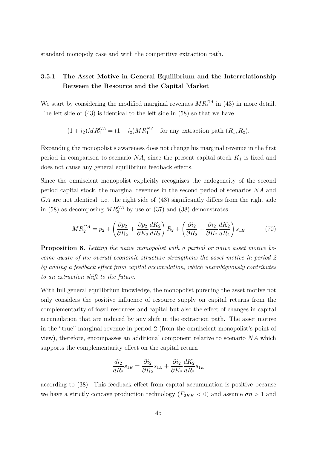standard monopoly case and with the competitive extraction path.

## **3.5.1 The Asset Motive in General Equilibrium and the Interrelationship Between the Resource and the Capital Market**

We start by considering the modified marginal revenues  $MR_t^{GA}$  in (43) in more detail. The left side of (43) is identical to the left side in (58) so that we have

 $(1 + i_2)MR_1^{GA} = (1 + i_2)MR_1^{NA}$  for any extraction path  $(R_1, R_2)$ .

Expanding the monopolist's awareness does not change his marginal revenue in the first period in comparison to scenario *NA*, since the present capital stock *K*<sup>1</sup> is fixed and does not cause any general equilibrium feedback effects.

Since the omniscient monopolist explicitly recognizes the endogeneity of the second period capital stock, the marginal revenues in the second period of scenarios *NA* and *GA* are not identical, i.e. the right side of (43) significantly differs from the right side in (58) as decomposing  $MR_2^{GA}$  by use of (37) and (38) demonstrates

$$
MR_2^{GA} = p_2 + \left(\frac{\partial p_2}{\partial R_2} + \frac{\partial p_2}{\partial K_2} \frac{dK_2}{dR_2}\right) R_2 + \left(\frac{\partial i_2}{\partial R_2} + \frac{\partial i_2}{\partial K_2} \frac{dK_2}{dR_2}\right) s_{1E}
$$
(70)

**Proposition 8.** *Letting the naive monopolist with a partial or naive asset motive become aware of the overall economic structure strengthens the asset motive in period 2 by adding a feedback effect from capital accumulation, which unambiguously contributes to an extraction shift to the future.*

With full general equilibrium knowledge, the monopolist pursuing the asset motive not only considers the positive influence of resource supply on capital returns from the complementarity of fossil resources and capital but also the effect of changes in capital accumulation that are induced by any shift in the extraction path. The asset motive in the "true" marginal revenue in period 2 (from the omniscient monopolist's point of view), therefore, encompasses an additional component relative to scenario *NA* which supports the complementarity effect on the capital return

$$
\frac{di_2}{dR_2}s_{1E} = \frac{\partial i_2}{\partial R_2}s_{1E} + \frac{\partial i_2}{\partial K_2}\frac{dK_2}{dR_2}s_{1E}
$$

according to (38). This feedback effect from capital accumulation is positive because we have a strictly concave production technology  $(F_{2KK} < 0)$  and assume  $\sigma \eta > 1$  and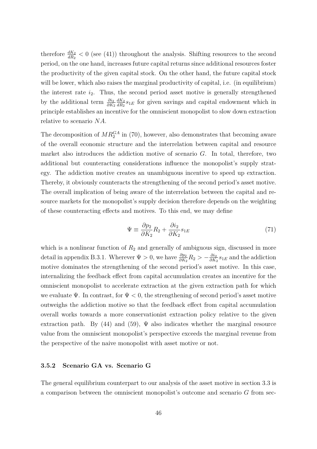therefore  $\frac{dK_2}{dR_2} < 0$  (see (41)) throughout the analysis. Shifting resources to the second period, on the one hand, increases future capital returns since additional resources foster the productivity of the given capital stock. On the other hand, the future capital stock will be lower, which also raises the marginal productivity of capital, i.e. (in equilibrium) the interest rate *i*2. Thus, the second period asset motive is generally strengthened by the additional term  $\frac{\partial i_2}{\partial K_2}$ *dK*<sup>2</sup>  $\frac{dK_2}{dR_2} s_{1E}$  for given savings and capital endowment which in principle establishes an incentive for the omniscient monopolist to slow down extraction relative to scenario *NA*.

The decomposition of  $MR_2^{GA}$  in (70), however, also demonstrates that becoming aware of the overall economic structure and the interrelation between capital and resource market also introduces the addiction motive of scenario *G*. In total, therefore, two additional but counteracting considerations influence the monopolist's supply strategy. The addiction motive creates an unambiguous incentive to speed up extraction. Thereby, it obviously counteracts the strengthening of the second period's asset motive. The overall implication of being aware of the interrelation between the capital and resource markets for the monopolist's supply decision therefore depends on the weighting of these counteracting effects and motives. To this end, we may define

$$
\Psi \equiv \frac{\partial p_2}{\partial K_2} R_2 + \frac{\partial i_2}{\partial K_2} s_{1E} \tag{71}
$$

which is a nonlinear function of  $R_2$  and generally of ambiguous sign, discussed in more detail in appendix B.3.1. Wherever  $\Psi > 0$ , we have  $\frac{\partial p_2}{\partial K_2} R_2 > -\frac{\partial i_2}{\partial K_2}$  $\frac{\partial i_2}{\partial K_2} s_{1E}$  and the addiction motive dominates the strengthening of the second period's asset motive. In this case, internalizing the feedback effect from capital accumulation creates an incentive for the omniscient monopolist to accelerate extraction at the given extraction path for which we evaluate  $\Psi$ . In contrast, for  $\Psi < 0$ , the strengthening of second period's asset motive outweighs the addiction motive so that the feedback effect from capital accumulation overall works towards a more conservationist extraction policy relative to the given extraction path. By (44) and (59),  $\Psi$  also indicates whether the marginal resource value from the omniscient monopolist's perspective exceeds the marginal revenue from the perspective of the naive monopolist with asset motive or not.

### **3.5.2 Scenario GA vs. Scenario G**

The general equilibrium counterpart to our analysis of the asset motive in section 3.3 is a comparison between the omniscient monopolist's outcome and scenario *G* from sec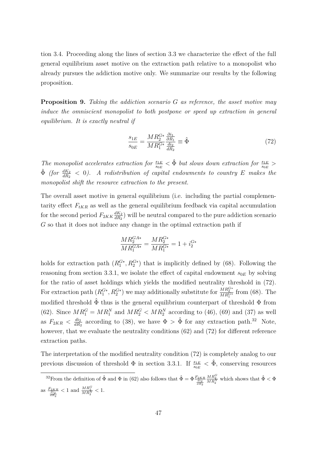tion 3.4. Proceeding along the lines of section 3.3 we characterize the effect of the full general equilibrium asset motive on the extraction path relative to a monopolist who already pursues the addiction motive only. We summarize our results by the following proposition.

**Proposition 9.** *Taking the addiction scenario G as reference, the asset motive may induce the omniscient monopolist to both postpone or speed up extraction in general equilibrium. It is exactly neutral if*

$$
\frac{s_{1E}}{s_{0E}} = \frac{MR_2^{G*}}{MR_1^{G*}} \frac{\frac{\partial i_1}{\partial R_1}}{\frac{di_2}{dR_2}} \equiv \hat{\Phi}
$$
\n(72)

*The monopolist accelerates extraction for*  $\frac{s_{1E}}{s_{0E}} < \hat{\Phi}$  *but slows down extraction for*  $\frac{s_{1E}}{s_{0E}} >$  $\hat{\Phi}$  *(for*  $\frac{dK_2}{dR_2}$  < 0*).* A redistribution of capital endowments to country E makes the *monopolist shift the resource extraction to the present.*

The overall asset motive in general equilibrium (i.e. including the partial complementarity effect  $F_{tKR}$  as well as the general equilibrium feedback via capital accumulation for the second period  $F_{2KK} \frac{dK_2}{dR_2}$  $\frac{dK_2}{dR_2}$  will be neutral compared to the pure addiction scenario *G* so that it does not induce any change in the optimal extraction path if

$$
\frac{MR_{2}^{GA*}}{MR_{1}^{GA*}} = \frac{MR_{2}^{G*}}{MR_{1}^{G*}} = 1 + i_{2}^{G*}
$$

holds for extraction path  $(R_1^{G*}, R_2^{G*})$  that is implicitly defined by (68). Following the reasoning from section 3.3.1, we isolate the effect of capital endowment  $s_{0E}$  by solving for the ratio of asset holdings which yields the modified neutrality threshold in (72). For extraction path  $(R_1^{G*}, R_2^{G*})$  we may additionally substitute for  $\frac{MR_2^{G*}}{MR_1^{G*}}$  from (68). The modified threshold  $\hat{\Phi}$  thus is the general equilibrium counterpart of threshold  $\Phi$  from (62). Since  $MR_1^G = MR_1^N$  and  $MR_2^G < MR_2^N$  according to (46), (69) and (37) as well as  $F_{2KR} < \frac{di_2}{dR}$  $\frac{di_2}{dR_2}$  according to (38), we have  $\Phi > \hat{\Phi}$  for any extraction path.<sup>32</sup> Note, however, that we evaluate the neutrality conditions (62) and (72) for different reference extraction paths.

The interpretation of the modified neutrality condition (72) is completely analog to our previous discussion of threshold  $\Phi$  in section 3.3.1. If  $\frac{s_{1E}}{s_{0E}} < \hat{\Phi}$ , conserving resources

<sup>&</sup>lt;sup>32</sup> From the definition of  $\hat{\Phi}$  and  $\Phi$  in (62) also follows that  $\hat{\Phi} = \Phi \frac{F_{2}K R}{\frac{dip}{dR_2}}$  $\frac{MR_{2}^{G}}{MR_{2}^{N}}$  which shows that  $\hat{\Phi} < \Phi$ as  $\frac{F_{2KR}}{\frac{di_2}{dR_2}} < 1$  and  $\frac{MR_2^G}{MR_2^N} < 1$ .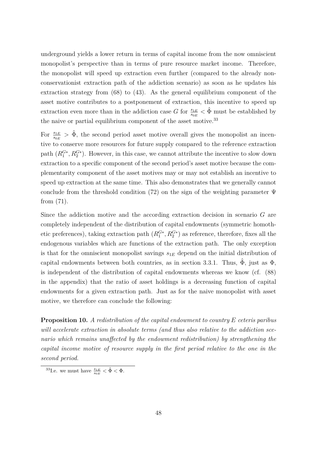underground yields a lower return in terms of capital income from the now omniscient monopolist's perspective than in terms of pure resource market income. Therefore, the monopolist will speed up extraction even further (compared to the already nonconservationist extraction path of the addiction scenario) as soon as he updates his extraction strategy from (68) to (43). As the general equilibrium component of the asset motive contributes to a postponement of extraction, this incentive to speed up extraction even more than in the addiction case *G* for  $\frac{s_{1E}}{s_{0E}} < \hat{\Phi}$  must be established by the naive or partial equilibrium component of the asset motive. $33$ 

For  $\frac{s_{1E}}{s_{0E}} > \hat{\Phi}$ , the second period asset motive overall gives the monopolist an incentive to conserve more resources for future supply compared to the reference extraction path  $(R_1^{G*}, R_2^{G*})$ . However, in this case, we cannot attribute the incentive to slow down extraction to a specific component of the second period's asset motive because the complementarity component of the asset motives may or may not establish an incentive to speed up extraction at the same time. This also demonstrates that we generally cannot conclude from the threshold condition (72) on the sign of the weighting parameter  $\Psi$ from (71).

Since the addiction motive and the according extraction decision in scenario *G* are completely independent of the distribution of capital endowments (symmetric homothetic preferences), taking extraction path  $(R_1^{G*}, R_2^{G*})$  as reference, therefore, fixes all the endogenous variables which are functions of the extraction path. The only exception is that for the omniscient monopolist savings  $s_{1E}$  depend on the initial distribution of capital endowments between both countries, as in section 3.3.1. Thus,  $\Phi$ , just as  $\Phi$ , is independent of the distribution of capital endowments whereas we know (cf. (88) in the appendix) that the ratio of asset holdings is a decreasing function of capital endowments for a given extraction path. Just as for the naive monopolist with asset motive, we therefore can conclude the following:

**Proposition 10.** *A redistribution of the capital endowment to country E ceteris paribus will accelerate extraction in absolute terms (and thus also relative to the addiction scenario which remains unaffected by the endowment redistribution) by strengthening the capital income motive of resource supply in the first period relative to the one in the second period.*

<sup>&</sup>lt;sup>33</sup>I.e. we must have  $\frac{s_{1E}}{s_{0E}} < \hat{\Phi} < \Phi$ .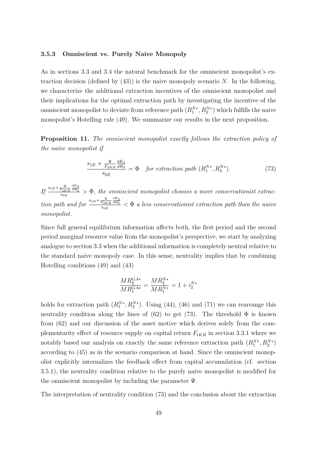#### **3.5.3 Omniscient vs. Purely Naive Monopoly**

As in sections 3.3 and 3.4 the natural benchmark for the omniscient monopolist's extraction decision (defined by (43)) is the naive monopoly scenario *N*. In the following, we characterize the additional extraction incentives of the omniscient monopolist and their implications for the optimal extraction path by investigating the incentive of the omniscient monopolist to deviate from reference path  $(R_1^{N*}, R_2^{N*})$  which fulfills the naive monopolist's Hotelling rule (49). We summarize our results in the next proposition.

**Proposition 11.** *The omniscient monopolist exactly follows the extraction policy of the naive monopolist if*

$$
\frac{s_{1E} + \frac{\Psi}{F_{2KR}} \frac{dK_2}{dR_2}}{s_{0E}} = \Phi \quad \text{for extraction path } (R_1^{N*}, R_2^{N*}). \tag{73}
$$

 $\iint \frac{s_{1E} + \frac{\Psi}{F_{2KR}} \frac{dK_2}{dR_2}}{s_{2E}}$  $\frac{f_{2KR} dR_2}{g_{0E}} > \Phi$ , the omniscient monopolist chooses a more conservationist extrac*tion path and for*  $\frac{s_{1E} + \frac{\Psi}{F_{2KR}} \frac{dK_2}{dR_2}}{s_{2E}}$  $\frac{f_{2KR} dR_2}{s_{0E}} < \Phi$  *a less conservationist extraction path than the naive monopolist.*

Since full general equilibrium information affects both, the first period and the second period marginal resource value from the monopolist's perspective, we start by analyzing analogue to section 3.3 when the additional information is completely neutral relative to the standard naive monopoly case. In this sense, neutrality implies that by combining Hotelling conditions (49) and (43)

$$
\frac{M R_2^{GA*}}{M R_1^{GA*}} = \frac{M R_2^{N*}}{M R_1^{N*}} = 1 + i_2^{N*}
$$

holds for extraction path  $(R_1^{N*}, R_2^{N*})$ . Using (44), (46) and (71) we can rearrange this neutrality condition along the lines of  $(62)$  to get  $(73)$ . The threshold  $\Phi$  is known from (62) and our discussion of the asset motive which derives solely from the complementarity effect of resource supply on capital return  $F_{tKR}$  in section 3.3.1 where we notably based our analysis on exactly the same reference extraction path  $(R_1^{N*}, R_2^{N*})$ according to (45) as in the scenario comparison at hand. Since the omniscient monopolist explicitly internalizes the feedback effect from capital accumulation (cf. section 3.5.1), the neutrality condition relative to the purely naive monopolist is modified for the omniscient monopolist by including the parameter  $\Psi$ .

The interpretation of neutrality condition (73) and the conclusion about the extraction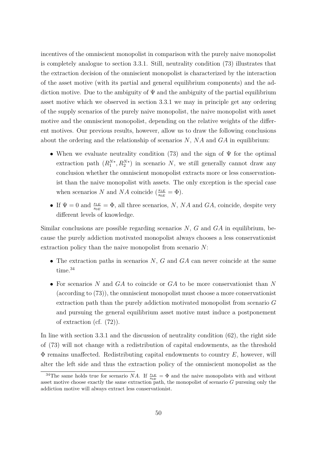incentives of the omniscient monopolist in comparison with the purely naive monopolist is completely analogue to section 3.3.1. Still, neutrality condition (73) illustrates that the extraction decision of the omniscient monopolist is characterized by the interaction of the asset motive (with its partial and general equilibrium components) and the addiction motive. Due to the ambiguity of  $\Psi$  and the ambiguity of the partial equilibrium asset motive which we observed in section 3.3.1 we may in principle get any ordering of the supply scenarios of the purely naive monopolist, the naive monopolist with asset motive and the omniscient monopolist, depending on the relative weights of the different motives. Our previous results, however, allow us to draw the following conclusions about the ordering and the relationship of scenarios *N*, *NA* and *GA* in equilibrium:

- When we evaluate neutrality condition (73) and the sign of  $\Psi$  for the optimal extraction path  $(R_1^{N*}, R_2^{N*})$  in scenario *N*, we still generally cannot draw any conclusion whether the omniscient monopolist extracts more or less conservationist than the naive monopolist with assets. The only exception is the special case when scenarios *N* and *NA* coincide ( $\frac{s_{1E}}{s_{0E}} = \Phi$ ).
- If  $\Psi = 0$  and  $\frac{s_{1E}}{s_{0E}} = \Phi$ , all three scenarios, *N*, *NA* and *GA*, coincide, despite very different levels of knowledge.

Similar conclusions are possible regarding scenarios *N*, *G* and *GA* in equilibrium, because the purely addiction motivated monopolist always chooses a less conservationist extraction policy than the naive monopolist from scenario *N*:

- The extraction paths in scenarios *N*, *G* and *GA* can never coincide at the same time.<sup>34</sup>
- For scenarios *N* and *GA* to coincide or *GA* to be more conservationist than *N* (according to (73)), the omniscient monopolist must choose a more conservationist extraction path than the purely addiction motivated monopolist from scenario *G* and pursuing the general equilibrium asset motive must induce a postponement of extraction (cf. (72)).

In line with section 3.3.1 and the discussion of neutrality condition (62), the right side of (73) will not change with a redistribution of capital endowments, as the threshold Φ remains unaffected. Redistributing capital endowments to country *E*, however, will alter the left side and thus the extraction policy of the omniscient monopolist as the

<sup>&</sup>lt;sup>34</sup>The same holds true for scenario *NA*. If  $\frac{s_{1E}}{s_{0E}} = \Phi$  and the naive monopolists with and without asset motive choose exactly the same extraction path, the monopolist of scenario *G* pursuing only the addiction motive will always extract less conservationist.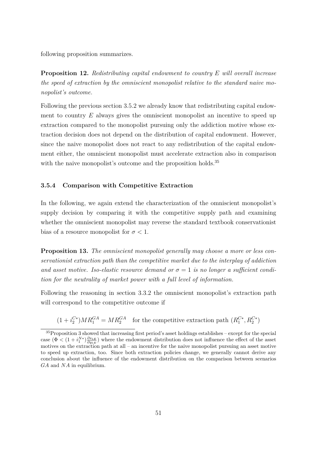following proposition summarizes.

**Proposition 12.** *Redistributing capital endowment to country E will overall increase the speed of extraction by the omniscient monopolist relative to the standard naive monopolist's outcome.*

Following the previous section 3.5.2 we already know that redistributing capital endowment to country *E* always gives the omniscient monopolist an incentive to speed up extraction compared to the monopolist pursuing only the addiction motive whose extraction decision does not depend on the distribution of capital endowment. However, since the naive monopolist does not react to any redistribution of the capital endowment either, the omniscient monopolist must accelerate extraction also in comparison with the naive monopolist's outcome and the proposition holds.<sup>35</sup>

### **3.5.4 Comparison with Competitive Extraction**

In the following, we again extend the characterization of the omniscient monopolist's supply decision by comparing it with the competitive supply path and examining whether the omniscient monopolist may reverse the standard textbook conservationist bias of a resource monopolist for  $\sigma < 1$ .

**Proposition 13.** *The omniscient monopolist generally may choose a more or less conservationist extraction path than the competitive market due to the interplay of addiction and asset motive. Iso-elastic resource demand or*  $\sigma = 1$  *is no longer a sufficient condition for the neutrality of market power with a full level of information.*

Following the reasoning in section 3.3.2 the omniscient monopolist's extraction path will correspond to the competitive outcome if

 $(1 + i_2^{C*})$  $C^*$ ) $MR_1^{GA} = MR_2^{GA}$  for the competitive extraction path  $(R_1^{C*})$  $R_1^{C*}, R_2^{C*}$ 

<sup>35</sup>Proposition 3 showed that increasing first period's asset holdings establishes – except for the special case  $(\Phi \lt (1 + i_1^{N*}) \frac{\partial s_{1E}}{\partial y_{1E}})$  where the endowment distribution does not influence the effect of the asset motives on the extraction path at all – an incentive for the naive monopolist pursuing an asset motive to speed up extraction, too. Since both extraction policies change, we generally cannot derive any conclusion about the influence of the endowment distribution on the comparison between scenarios *GA* and *NA* in equilibrium.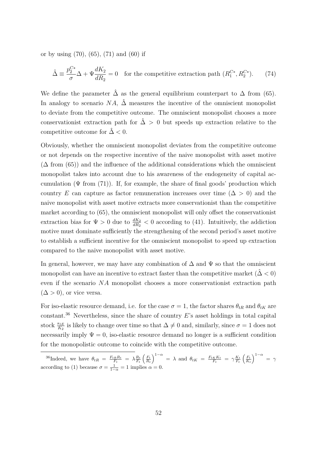or by using (70), (65), (71) and (60) if

$$
\hat{\Delta} \equiv \frac{p_2^{C*}}{\sigma} \Delta + \Psi \frac{dK_2}{dR_2} = 0
$$
 for the competitive extraction path  $(R_1^{C*}, R_2^{C*})$ . (74)

We define the parameter  $\hat{\Delta}$  as the general equilibrium counterpart to  $\Delta$  from (65). In analogy to scenario *NA*,  $\hat{\Delta}$  measures the incentive of the omniscient monopolist to deviate from the competitive outcome. The omniscient monopolist chooses a more conservationist extraction path for  $\hat{\Delta} > 0$  but speeds up extraction relative to the competitive outcome for  $\hat{\Delta}$  < 0.

Obviously, whether the omniscient monopolist deviates from the competitive outcome or not depends on the respective incentive of the naive monopolist with asset motive  $(\Delta \text{ from } (65))$  and the influence of the additional considerations which the omniscient monopolist takes into account due to his awareness of the endogeneity of capital accumulation  $(\Psi \text{ from } (71))$ . If, for example, the share of final goods' production which country *E* can capture as factor remuneration increases over time ( $\Delta > 0$ ) and the naive monopolist with asset motive extracts more conservationist than the competitive market according to (65), the omniscient monopolist will only offset the conservationist extraction bias for  $\Psi > 0$  due to  $\frac{dK_2}{dR_2} < 0$  according to (41). Intuitively, the addiction motive must dominate sufficiently the strengthening of the second period's asset motive to establish a sufficient incentive for the omniscient monopolist to speed up extraction compared to the naive monopolist with asset motive.

In general, however, we may have any combination of  $\Delta$  and  $\Psi$  so that the omniscient monopolist can have an incentive to extract faster than the competitive market  $(\hat{\Delta} < 0)$ even if the scenario *NA* monopolist chooses a more conservationist extraction path  $(\Delta > 0)$ , or vice versa.

For iso-elastic resource demand, i.e. for the case  $\sigma = 1$ , the factor shares  $\theta_{tR}$  and  $\theta_{tK}$  are constant.<sup>36</sup> Nevertheless, since the share of country *E*'s asset holdings in total capital stock  $\frac{s_{1E}}{K_2}$  is likely to change over time so that  $\Delta \neq 0$  and, similarly, since  $\sigma = 1$  does not necessarily imply  $\Psi = 0$ , iso-elastic resource demand no longer is a sufficient condition for the monopolistic outcome to coincide with the competitive outcome.

<sup>&</sup>lt;sup>36</sup>Indeed, we have  $\theta_{tR} = \frac{F_{tR}R_t}{F_t} = \lambda \frac{R_t}{F_t} \left(\frac{F_t}{R_t}\right)^{1-\alpha} = \lambda$  and  $\theta_{tK} = \frac{F_{tK}K_t}{F_t} = \gamma \frac{K_t}{F_t} \left(\frac{F_t}{K_t}\right)^{1-\alpha} = \gamma$ according to (1) because  $\sigma = \frac{1}{1-\alpha} = 1$  implies  $\alpha = 0$ .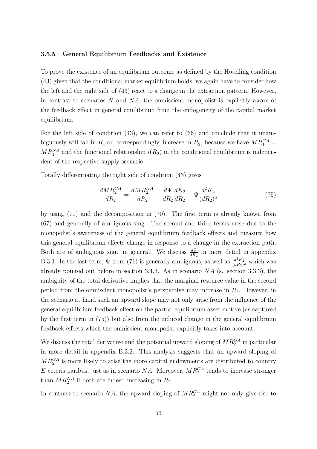### **3.5.5 General Equilibrium Feedbacks and Existence**

To prove the existence of an equilibrium outcome as defined by the Hotelling condition (43) given that the conditional market equilibrium holds, we again have to consider how the left and the right side of (43) react to a change in the extraction pattern. However, in contrast to scenarios *N* and *NA*, the omniscient monopolist is explicitly aware of the feedback effect in general equilibrium from the endogeneity of the capital market equilibrium.

For the left side of condition (43), we can refer to (66) and conclude that it unambiguously will fall in  $R_1$  or, correspondingly, increase in  $R_2$ , because we have  $MR_1^{GA} =$  $MR_1^{NA}$  and the functional relationship  $i(R_2)$  in the conditional equilibrium is independent of the respective supply scenario.

Totally differentiating the right side of condition (43) gives

$$
\frac{dMR_2^{GA}}{dR_2} = \frac{dMR_2^{NA}}{dR_2} + \frac{d\Psi}{dR_2}\frac{dK_2}{dR_2} + \Psi \frac{d^2K_2}{(dR_2)^2}
$$
(75)

by using (71) and the decomposition in (70). The first term is already known from (67) and generally of ambiguous sing. The second and third terms arise due to the monopolist's awareness of the general equilibrium feedback effects and measure how this general equilibrium effects change in response to a change in the extraction path. Both are of ambiguous sign, in general. We discuss  $\frac{d\Psi}{dR_2}$  in more detail in appendix B.3.1. In the last term,  $\Psi$  from (71) is generally ambiguous, as well as  $\frac{d^2 K_2}{(dR_2)}$  $\frac{d^2 K_2}{(dR_2)^2}$  which was already pointed out before in section 3.4.3. As in scenario *NA* (s. section 3.3.3), the ambiguity of the total derivative implies that the marginal resource value in the second period from the omniscient monopolist's perspective may increase in *R*2. However, in the scenario at hand such an upward slope may not only arise from the influence of the general equilibrium feedback effect on the partial equilibrium asset motive (as captured by the first term in (75)) but also from the induced change in the general equilibrium feedback effects which the omniscient monopolist explicitly takes into account.

We discuss the total derivative and the potential upward sloping of  $MR_2^{GA}$  in particular in more detail in appendix B.3.2. This analysis suggests that an upward sloping of  $MR_2^{GA}$  is more likely to arise the more capital endowments are distributed to country  $E$  ceteris paribus, just as in scenario  $NA$ . Moreover,  $MR_2^{GA}$  tends to increase stronger than  $MR_2^{NA}$  if both are indeed increasing in  $R_2$ .

In contrast to scenario  $NA$ , the upward sloping of  $MR_2^{GA}$  might not only give rise to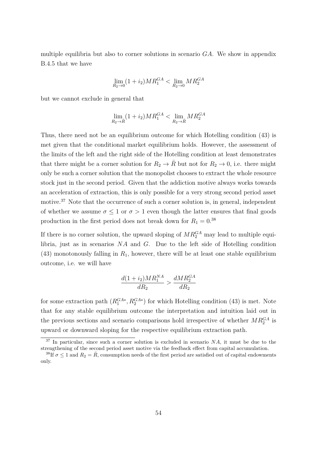multiple equilibria but also to corner solutions in scenario *GA*. We show in appendix B.4.5 that we have

$$
\lim_{R_2 \to 0} (1 + i_2)MR_1^{GA} < \lim_{R_2 \to 0} MR_2^{GA}
$$

but we cannot exclude in general that

$$
\lim_{R_2 \to \bar{R}} (1 + i_2) M R_1^{GA} < \lim_{R_2 \to \bar{R}} M R_2^{GA}
$$

Thus, there need not be an equilibrium outcome for which Hotelling condition (43) is met given that the conditional market equilibrium holds. However, the assessment of the limits of the left and the right side of the Hotelling condition at least demonstrates that there might be a corner solution for  $R_2 \to \overline{R}$  but not for  $R_2 \to 0$ , i.e. there might only be such a corner solution that the monopolist chooses to extract the whole resource stock just in the second period. Given that the addiction motive always works towards an acceleration of extraction, this is only possible for a very strong second period asset motive.<sup>37</sup> Note that the occurrence of such a corner solution is, in general, independent of whether we assume  $\sigma \leq 1$  or  $\sigma > 1$  even though the latter ensures that final goods production in the first period does not break down for  $R_1 = 0.^{38}$ 

If there is no corner solution, the upward sloping of  $MR_2^{GA}$  may lead to multiple equilibria, just as in scenarios *NA* and *G*. Due to the left side of Hotelling condition  $(43)$  monotonously falling in  $R_1$ , however, there will be at least one stable equilibrium outcome, i.e. we will have

$$
\frac{d(1+i_2)MR_1^{NA}}{dR_2} > \frac{dMR_2^{GA}}{dR_2}
$$

for some extraction path  $(R_1^{GA*}, R_2^{GA*})$  for which Hotelling condition (43) is met. Note that for any stable equilibrium outcome the interpretation and intuition laid out in the previous sections and scenario comparisons hold irrespective of whether  $MR_2^{GA}$  is upward or downward sloping for the respective equilibrium extraction path.

<sup>37</sup> In particular, since such a corner solution is excluded in scenario *NA*, it must be due to the strengthening of the second period asset motive via the feedback effect from capital accumulation.

<sup>&</sup>lt;sup>38</sup>If  $\sigma \leq 1$  and  $R_2 = \overline{R}$ , consumption needs of the first period are satisfied out of capital endowments only.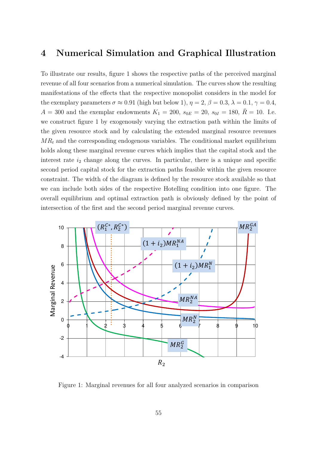## **4 Numerical Simulation and Graphical Illustration**

To illustrate our results, figure 1 shows the respective paths of the perceived marginal revenue of all four scenarios from a numerical simulation. The curves show the resulting manifestations of the effects that the respective monopolist considers in the model for the exemplary parameters  $\sigma \approx 0.91$  (high but below 1),  $\eta = 2$ ,  $\beta = 0.3$ ,  $\lambda = 0.1$ ,  $\gamma = 0.4$ , *A* = 300 and the exemplar endowments  $K_1 = 200$ ,  $s_{0E} = 20$ ,  $s_{0I} = 180$ ,  $\bar{R} = 10$ . I.e. we construct figure 1 by exogenously varying the extraction path within the limits of the given resource stock and by calculating the extended marginal resource revenues  $MR<sub>t</sub>$  and the corresponding endogenous variables. The conditional market equilibrium holds along these marginal revenue curves which implies that the capital stock and the interest rate  $i_2$  change along the curves. In particular, there is a unique and specific second period capital stock for the extraction paths feasible within the given resource constraint. The width of the diagram is defined by the resource stock available so that we can include both sides of the respective Hotelling condition into one figure. The overall equilibrium and optimal extraction path is obviously defined by the point of intersection of the first and the second period marginal revenue curves.



Figure 1: Marginal revenues for all four analyzed scenarios in comparison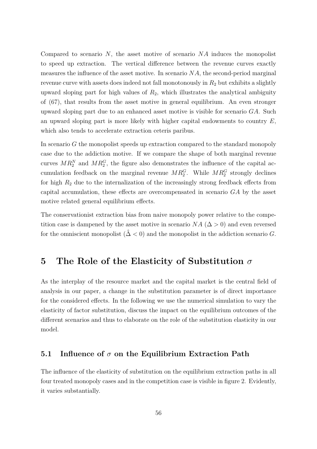Compared to scenario *N*, the asset motive of scenario *NA* induces the monopolist to speed up extraction. The vertical difference between the revenue curves exactly measures the influence of the asset motive. In scenario *NA*, the second-period marginal revenue curve with assets does indeed not fall monotonously in *R*<sup>2</sup> but exhibits a slightly upward sloping part for high values of *R*2, which illustrates the analytical ambiguity of (67), that results from the asset motive in general equilibrium. An even stronger upward sloping part due to an enhanced asset motive is visible for scenario *GA*. Such an upward sloping part is more likely with higher capital endowments to country *E*, which also tends to accelerate extraction ceteris paribus.

In scenario *G* the monopolist speeds up extraction compared to the standard monopoly case due to the addiction motive. If we compare the shape of both marginal revenue curves  $MR_2^N$  and  $MR_2^G$ , the figure also demonstrates the influence of the capital accumulation feedback on the marginal revenue  $MR_2^G$ . While  $MR_2^G$  strongly declines for high *R*<sup>2</sup> due to the internalization of the increasingly strong feedback effects from capital accumulation, these effects are overcompensated in scenario *GA* by the asset motive related general equilibrium effects.

The conservationist extraction bias from naive monopoly power relative to the competition case is dampened by the asset motive in scenario *NA* ( $\Delta > 0$ ) and even reversed for the omniscient monopolist  $(\hat{\Delta} < 0)$  and the monopolist in the addiction scenario *G*.

## **5 The Role of the Elasticity of Substitution** *σ*

As the interplay of the resource market and the capital market is the central field of analysis in our paper, a change in the substitution parameter is of direct importance for the considered effects. In the following we use the numerical simulation to vary the elasticity of factor substitution, discuss the impact on the equilibrium outcomes of the different scenarios and thus to elaborate on the role of the substitution elasticity in our model.

## **5.1 Influence of** *σ* **on the Equilibrium Extraction Path**

The influence of the elasticity of substitution on the equilibrium extraction paths in all four treated monopoly cases and in the competition case is visible in figure 2. Evidently, it varies substantially.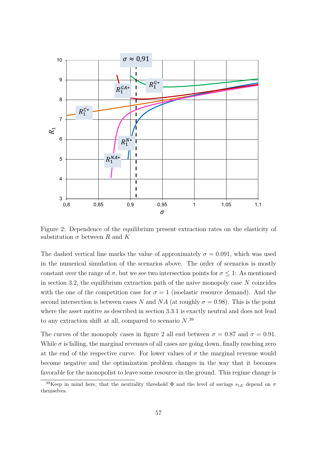

Figure 2: Dependence of the equilibrium present extraction rates on the elasticity of substitution  $\sigma$  between *R* and *K* 

The dashed vertical line marks the value of approximately  $\sigma = 0.091$ , which was used in the numerical simulation of the scenarios above. The order of scenarios is mostly constant over the range of  $\sigma$ , but we see two intersection points for  $\sigma \leq 1$ : As mentioned in section 3.2, the equilibrium extraction path of the naive monopoly case *N* coincides with the one of the competition case for  $\sigma = 1$  (isoelastic resource demand). And the second intersection is between cases *N* and *NA* (at roughly  $\sigma = 0.98$ ). This is the point where the asset motive as described in section 3.3.1 is exactly neutral and does not lead to any extraction shift at all, compared to scenario *N*. 39

The curves of the monopoly cases in figure 2 all end between  $\sigma = 0.87$  and  $\sigma = 0.91$ . While  $\sigma$  is falling, the marginal revenues of all cases are going down, finally reaching zero at the end of the respective curve. For lower values of  $\sigma$  the marginal revenue would become negative and the optimization problem changes in the way that it becomes favorable for the monopolist to leave some resource in the ground. This regime change is

<sup>&</sup>lt;sup>39</sup>Keep in mind here, that the neutrality threshold  $\Phi$  and the level of savings  $s_{1E}$  depend on  $\sigma$ themselves.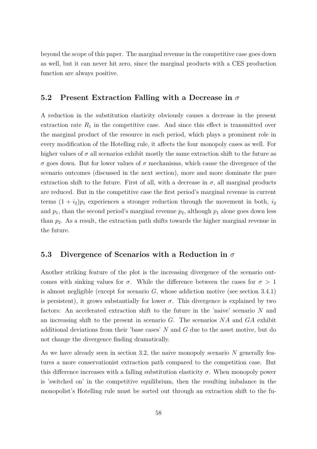beyond the scope of this paper. The marginal revenue in the competitive case goes down as well, but it can never hit zero, since the marginal products with a CES production function are always positive.

### **5.2 Present Extraction Falling with a Decrease in** *σ*

A reduction in the substitution elasticity obviously causes a decrease in the present extraction rate  $R_1$  in the competitive case. And since this effect is transmitted over the marginal product of the resource in each period, which plays a prominent role in every modification of the Hotelling rule, it affects the four monopoly cases as well. For higher values of  $\sigma$  all scenarios exhibit mostly the same extraction shift to the future as *σ* goes down. But for lower values of *σ* mechanisms, which cause the divergence of the scenario outcomes (discussed in the next section), more and more dominate the pure extraction shift to the future. First of all, with a decrease in  $\sigma$ , all marginal products are reduced. But in the competitive case the first period's marginal revenue in current terms  $(1 + i_2)p_1$  experiences a stronger reduction through the movement in both,  $i_2$ and  $p_1$ , than the second period's marginal revenue  $p_2$ , although  $p_1$  alone goes down less than *p*2. As a result, the extraction path shifts towards the higher marginal revenue in the future.

### **5.3 Divergence of Scenarios with a Reduction in** *σ*

Another striking feature of the plot is the increasing divergence of the scenario outcomes with sinking values for  $\sigma$ . While the difference between the cases for  $\sigma > 1$ is almost negligible (except for scenario *G*, whose addiction motive (see section 3.4.1) is persistent), it grows substantially for lower  $\sigma$ . This divergence is explained by two factors: An accelerated extraction shift to the future in the 'naive' scenario *N* and an increasing shift to the present in scenario *G*. The scenarios *NA* and *GA* exhibit additional deviations from their 'base cases' *N* and *G* due to the asset motive, but do not change the divergence finding dramatically.

As we have already seen in section 3.2, the naive monopoly scenario *N* generally features a more conservationist extraction path compared to the competition case. But this difference increases with a falling substitution elasticity  $\sigma$ . When monopoly power is 'switched on' in the competitive equilibrium, then the resulting imbalance in the monopolist's Hotelling rule must be sorted out through an extraction shift to the fu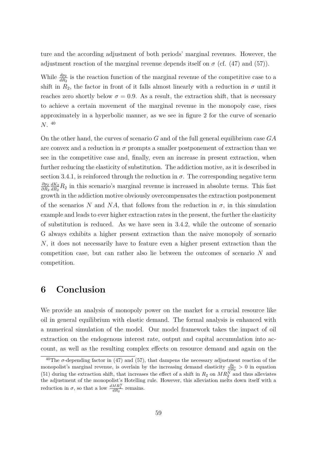ture and the according adjustment of both periods' marginal revenues. However, the adjustment reaction of the marginal revenue depends itself on  $\sigma$  (cf. (47) and (57)).

While  $\frac{dp_2}{dR_2}$  is the reaction function of the marginal revenue of the competitive case to a shift in  $R_2$ , the factor in front of it falls almost linearly with a reduction in  $\sigma$  until it reaches zero shortly below  $\sigma = 0.9$ . As a result, the extraction shift, that is necessary to achieve a certain movement of the marginal revenue in the monopoly case, rises approximately in a hyperbolic manner, as we see in figure 2 for the curve of scenario *N*. 40

On the other hand, the curves of scenario *G* and of the full general equilibrium case *GA* are convex and a reduction in  $\sigma$  prompts a smaller postponement of extraction than we see in the competitive case and, finally, even an increase in present extraction, when further reducing the elasticity of substitution. The addiction motive, as it is described in section 3.4.1, is reinforced through the reduction in  $\sigma$ . The corresponding negative term *∂p*<sup>2</sup> *∂R*<sup>2</sup> *dK*<sup>2</sup>  $\frac{dK_2}{dR_2}R_2$  in this scenario's marginal revenue is increased in absolute terms. This fast growth in the addiction motive obviously overcompensates the extraction postponement of the scenarios N and NA, that follows from the reduction in  $\sigma$ , in this simulation example and leads to ever higher extraction rates in the present, the further the elasticity of substitution is reduced. As we have seen in 3.4.2, while the outcome of scenario G always exhibits a higher present extraction than the naive monopoly of scenario *N*, it does not necessarily have to feature even a higher present extraction than the competition case, but can rather also lie between the outcomes of scenario *N* and competition.

## **6 Conclusion**

We provide an analysis of monopoly power on the market for a crucial resource like oil in general equilibrium with elastic demand. The formal analysis is enhanced with a numerical simulation of the model. Our model framework takes the impact of oil extraction on the endogenous interest rate, output and capital accumulation into account, as well as the resulting complex effects on resource demand and again on the

<sup>&</sup>lt;sup>40</sup>The  $\sigma$ -depending factor in (47) and (57), that dampens the necessary adjustment reaction of the monopolist's marginal revenue, is overlain by the increasing demand elasticity  $\frac{\partial \epsilon}{\partial R_2} > 0$  in equation (51) during the extraction shift, that increases the effect of a shift in  $R_2$  on  $MR_2^N$  and thus alleviates the adjustment of the monopolist's Hotelling rule. However, this alleviation melts down itself with a reduction in  $\sigma$ , so that a low  $\frac{dMR_2^N}{dR_2}$  remains.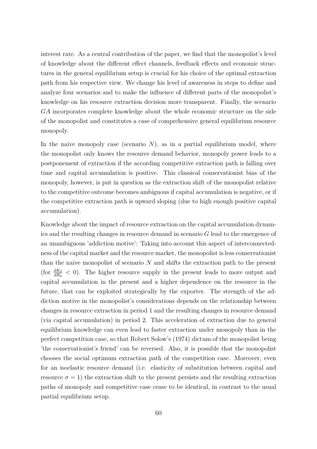interest rate. As a central contribution of the paper, we find that the monopolist's level of knowledge about the different effect channels, feedback effects and economic structures in the general equilibrium setup is crucial for his choice of the optimal extraction path from his respective view. We change his level of awareness in steps to define and analyze four scenarios and to make the influence of different parts of the monopolist's knowledge on his resource extraction decision more transparent. Finally, the scenario *GA* incorporates complete knowledge about the whole economic structure on the side of the monopolist and constitutes a case of comprehensive general equilibrium resource monopoly.

In the naive monopoly case (scenario  $N$ ), as in a partial equilibrium model, where the monopolist only knows the resource demand behavior, monopoly power leads to a postponement of extraction if the according competitive extraction path is falling over time and capital accumulation is positive. This classical conservationist bias of the monopoly, however, is put in question as the extraction shift of the monopolist relative to the competitive outcome becomes ambiguous if capital accumulation is negative, or if the competitive extraction path is upward sloping (due to high enough positive capital accumulation).

Knowledge about the impact of resource extraction on the capital accumulation dynamics and the resulting changes in resource demand in scenario *G* lead to the emergence of an unambiguous 'addiction motive': Taking into account this aspect of interconnectedness of the capital market and the resource market, the monopolist is less conservationist than the naive monopolist of scenario *N* and shifts the extraction path to the present (for  $\frac{dK_2}{dR_2}$  < 0). The higher resource supply in the present leads to more output and capital accumulation in the present and a higher dependence on the resource in the future, that can be exploited strategically by the exporter. The strength of the addiction motive in the monopolist's considerations depends on the relationship between changes in resource extraction in period 1 and the resulting changes in resource demand (via capital accumulation) in period 2. This acceleration of extraction due to general equilibrium knowledge can even lead to faster extraction under monopoly than in the perfect competition case, so that Robert Solow's (1974) dictum of the monopolist being 'the conservationist's friend' can be reversed. Also, it is possible that the monopolist chooses the social optimum extraction path of the competition case. Moreover, even for an isoelastic resource demand (i.e. elasticity of substitution between capital and resource  $\sigma = 1$ ) the extraction shift to the present persists and the resulting extraction paths of monopoly and competitive case cease to be identical, in contrast to the usual partial equilibrium setup.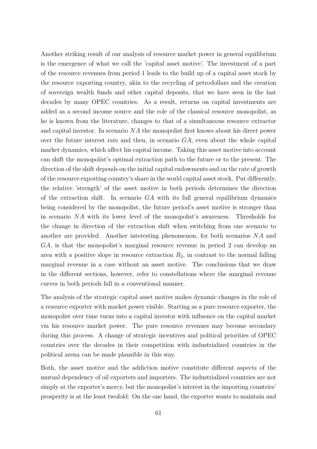Another striking result of our analysis of resource market power in general equilibrium is the emergence of what we call the 'capital asset motive'. The investment of a part of the resource revenues from period 1 leads to the build up of a capital asset stock by the resource exporting country, akin to the recycling of petrodollars and the creation of sovereign wealth funds and other capital deposits, that we have seen in the last decades by many OPEC countries. As a result, returns on capital investments are added as a second income source and the role of the classical resource monopolist, as he is known from the literature, changes to that of a simultaneous resource extractor and capital investor. In scenario *NA* the monopolist first knows about his direct power over the future interest rate and then, in scenario *GA*, even about the whole capital market dynamics, which affect his capital income. Taking this asset motive into account can shift the monopolist's optimal extraction path to the future or to the present. The direction of the shift depends on the initial capital endowments and on the rate of growth of the resource exporting country's share in the world capital asset stock. Put differently, the relative 'strength' of the asset motive in both periods determines the direction of the extraction shift. In scenario *GA* with its full general equilibrium dynamics being considered by the monopolist, the future period's asset motive is stronger than in scenario *NA* with its lower level of the monopolist's awareness. Thresholds for the change in direction of the extraction shift when switching from one scenario to another are provided. Another interesting phenomenon, for both scenarios *NA* and *GA*, is that the monopolist's marginal resource revenue in period 2 can develop an area with a positive slope in resource extraction  $R_2$ , in contrast to the normal falling marginal revenue in a case without an asset motive. The conclusions that we draw in the different sections, however, refer to constellations where the marginal revenue curves in both periods fall in a conventional manner.

The analysis of the strategic capital asset motive makes dynamic changes in the role of a resource exporter with market power visible. Starting as a pure resource exporter, the monopolist over time turns into a capital investor with influence on the capital market via his resource market power. The pure resource revenues may become secondary during this process. A change of strategic incentives and political priorities of OPEC countries over the decades in their competition with industrialized countries in the political arena can be made plausible in this way.

Both, the asset motive and the addiction motive constitute different aspects of the mutual dependency of oil exporters and importers. The industrialized countries are not simply at the exporter's mercy, but the monopolist's interest in the importing countries' prosperity is at the least twofold: On the one hand, the exporter wants to maintain and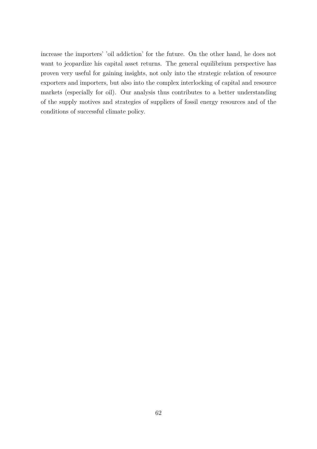increase the importers' 'oil addiction' for the future. On the other hand, he does not want to jeopardize his capital asset returns. The general equilibrium perspective has proven very useful for gaining insights, not only into the strategic relation of resource exporters and importers, but also into the complex interlocking of capital and resource markets (especially for oil). Our analysis thus contributes to a better understanding of the supply motives and strategies of suppliers of fossil energy resources and of the conditions of successful climate policy.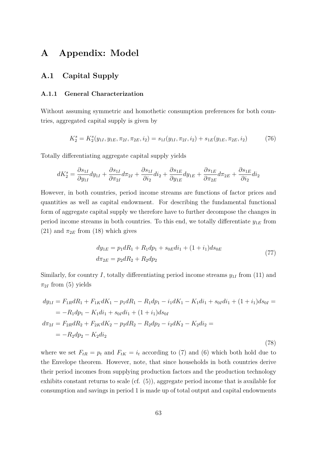# **A Appendix: Model**

## **A.1 Capital Supply**

### **A.1.1 General Characterization**

Without assuming symmetric and homothetic consumption preferences for both countries, aggregated capital supply is given by

$$
K_2^s = K_2^s(y_{1I}, y_{1E}, \pi_{2I}, \pi_{2E}, i_2) = s_{1I}(y_{1I}, \pi_{2I}, i_2) + s_{1E}(y_{1E}, \pi_{2E}, i_2)
$$
(76)

Totally differentiating aggregate capital supply yields

$$
dK_2^s = \frac{\partial s_{1I}}{\partial y_{1I}} dy_{1I} + \frac{\partial s_{1I}}{\partial \pi_{2I}} d\pi_{2I} + \frac{\partial s_{1I}}{\partial i_2} di_2 + \frac{\partial s_{1E}}{\partial y_{1E}} dy_{1E} + \frac{\partial s_{1E}}{\partial \pi_{2E}} d\pi_{2E} + \frac{\partial s_{1E}}{\partial i_2} di_2
$$

However, in both countries, period income streams are functions of factor prices and quantities as well as capital endowment. For describing the fundamental functional form of aggregate capital supply we therefore have to further decompose the changes in period income streams in both countries. To this end, we totally differentiate  $y_{1E}$  from  $(21)$  and  $\pi_{2E}$  from (18) which gives

$$
dy_{1E} = p_1 dR_1 + R_1 dp_1 + s_{0E} di_1 + (1 + i_1) ds_{0E}
$$
  

$$
d\pi_{2E} = p_2 dR_2 + R_2 dp_2
$$
 (77)

Similarly, for country *I*, totally differentiating period income streams  $y_{1I}$  from (11) and  $\pi_{2I}$  from (5) yields

$$
dy_{1I} = F_{1R}dR_1 + F_{1K}dK_1 - p_1dR_1 - R_1dp_1 - i_1dK_1 - K_1di_1 + s_{0I}di_1 + (1 + i_1)ds_{0I} =
$$
  
\n
$$
= -R_1dp_1 - K_1di_1 + s_{0I}di_1 + (1 + i_1)ds_{0I}
$$
  
\n
$$
d\pi_{2I} = F_{2R}dR_2 + F_{2K}dK_2 - p_2dR_2 - R_2dp_2 - i_2dK_2 - K_2di_2 =
$$
  
\n
$$
= -R_2dp_2 - K_2di_2
$$
\n(78)

where we set  $F_{tR} = p_t$  and  $F_{tK} = i_t$  according to (7) and (6) which both hold due to the Envelope theorem. However, note, that since households in both countries derive their period incomes from supplying production factors and the production technology exhibits constant returns to scale (cf. (5)), aggregate period income that is available for consumption and savings in period 1 is made up of total output and capital endowments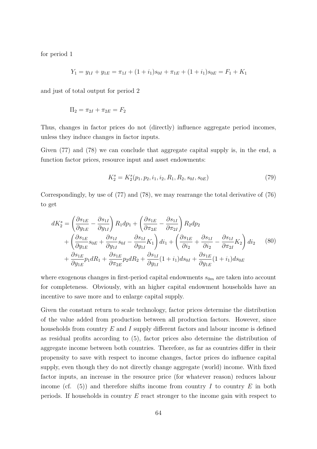for period 1

$$
Y_1 = y_{1I} + y_{1E} = \pi_{1I} + (1 + i_1)s_{0I} + \pi_{1E} + (1 + i_1)s_{0E} = F_1 + K_1
$$

and just of total output for period 2

$$
\Pi_2 = \pi_{2I} + \pi_{2E} = F_2
$$

Thus, changes in factor prices do not (directly) influence aggregate period incomes, unless they induce changes in factor inputs.

Given (77) and (78) we can conclude that aggregate capital supply is, in the end, a function factor prices, resource input and asset endowments:

$$
K_2^s = K_2^s(p_1, p_2, i_1, i_2, R_1, R_2, s_{0I}, s_{0E})
$$
\n(79)

Correspondingly, by use of (77) and (78), we may rearrange the total derivative of (76) to get

$$
dK_2^s = \left(\frac{\partial s_{1E}}{\partial y_{1E}} - \frac{\partial s_{1I}}{\partial y_{1I}}\right) R_1 dp_1 + \left(\frac{\partial s_{1E}}{\partial \pi_{2E}} - \frac{\partial s_{1I}}{\partial \pi_{2I}}\right) R_2 dp_2
$$
  
+ 
$$
\left(\frac{\partial s_{1E}}{\partial y_{1E}} s_{0E} + \frac{\partial s_{1I}}{\partial y_{1I}} s_{0I} - \frac{\partial s_{1I}}{\partial y_{1I}} K_1\right) di_1 + \left(\frac{\partial s_{1E}}{\partial i_2} + \frac{\partial s_{1I}}{\partial i_2} - \frac{\partial s_{1I}}{\partial \pi_{2I}} K_2\right) di_2 \qquad (80)
$$

$$
+ \frac{\partial s_{1E}}{\partial y_{1E}} p_1 dR_1 + \frac{\partial s_{1E}}{\partial \pi_{2E}} p_2 dR_2 + \frac{\partial s_{1I}}{\partial y_{1I}} (1 + i_1) ds_{0I} + \frac{\partial s_{1E}}{\partial y_{1E}} (1 + i_1) ds_{0E}
$$

where exogenous changes in first-period capital endowments  $s_{0m}$  are taken into account for completeness. Obviously, with an higher capital endowment households have an incentive to save more and to enlarge capital supply.

Given the constant return to scale technology, factor prices determine the distribution of the value added from production between all production factors. However, since households from country *E* and *I* supply different factors and labour income is defined as residual profits according to (5), factor prices also determine the distribution of aggregate income between both countries. Therefore, as far as countries differ in their propensity to save with respect to income changes, factor prices do influence capital supply, even though they do not directly change aggregate (world) income. With fixed factor inputs, an increase in the resource price (for whatever reason) reduces labour income (cf.  $(5)$ ) and therefore shifts income from country *I* to country *E* in both periods. If households in country *E* react stronger to the income gain with respect to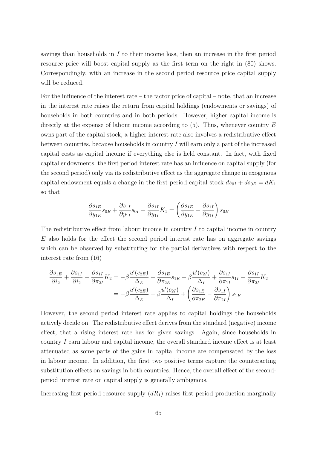savings than households in *I* to their income loss, then an increase in the first period resource price will boost capital supply as the first term on the right in (80) shows. Correspondingly, with an increase in the second period resource price capital supply will be reduced.

For the influence of the interest rate – the factor price of capital – note, that an increase in the interest rate raises the return from capital holdings (endowments or savings) of households in both countries and in both periods. However, higher capital income is directly at the expense of labour income according to (5). Thus, whenever country *E* owns part of the capital stock, a higher interest rate also involves a redistributive effect between countries, because households in country *I* will earn only a part of the increased capital costs as capital income if everything else is held constant. In fact, with fixed capital endowments, the first period interest rate has an influence on capital supply (for the second period) only via its redistributive effect as the aggregate change in exogenous capital endowment equals a change in the first period capital stock  $ds_{0I} + ds_{0E} = dK_1$ so that

$$
\frac{\partial s_{1E}}{\partial y_{1E}} s_{0E} + \frac{\partial s_{1I}}{\partial y_{1I}} s_{0I} - \frac{\partial s_{1I}}{\partial y_{1I}} K_1 = \left(\frac{\partial s_{1E}}{\partial y_{1E}} - \frac{\partial s_{1I}}{\partial y_{1I}}\right) s_{0E}
$$

The redistributive effect from labour income in country *I* to capital income in country *E* also holds for the effect the second period interest rate has on aggregate savings which can be observed by substituting for the partial derivatives with respect to the interest rate from (16)

$$
\frac{\partial s_{1E}}{\partial i_2} + \frac{\partial s_{1I}}{\partial i_2} - \frac{\partial s_{1I}}{\partial \pi_{2I}} K_2 = -\beta \frac{u'(c_{2E})}{\Delta_E} + \frac{\partial s_{1E}}{\partial \pi_{2E}} s_{1E} - \beta \frac{u'(c_{2I})}{\Delta_I} + \frac{\partial s_{1I}}{\partial \pi_{1I}} s_{1I} - \frac{\partial s_{1I}}{\partial \pi_{2I}} K_2
$$

$$
= -\beta \frac{u'(c_{2E})}{\Delta_E} - \beta \frac{u'(c_{2I})}{\Delta_I} + \left(\frac{\partial s_{1E}}{\partial \pi_{2E}} - \frac{\partial s_{1I}}{\partial \pi_{2I}}\right) s_{1E}
$$

However, the second period interest rate applies to capital holdings the households actively decide on. The redistributive effect derives from the standard (negative) income effect, that a rising interest rate has for given savings. Again, since households in country *I* earn labour and capital income, the overall standard income effect is at least attenuated as some parts of the gains in capital income are compensated by the loss in labour income. In addition, the first two positive terms capture the counteracting substitution effects on savings in both countries. Hence, the overall effect of the secondperiod interest rate on capital supply is generally ambiguous.

Increasing first period resource supply  $(dR_1)$  raises first period production marginally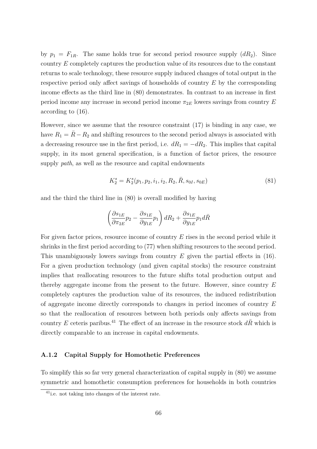by  $p_1 = F_{1R}$ . The same holds true for second period resource supply  $(dR_2)$ . Since country *E* completely captures the production value of its resources due to the constant returns to scale technology, these resource supply induced changes of total output in the respective period only affect savings of households of country *E* by the corresponding income effects as the third line in (80) demonstrates. In contrast to an increase in first period income any increase in second period income  $\pi_{2E}$  lowers savings from country *E* according to (16).

However, since we assume that the resource constraint (17) is binding in any case, we have  $R_1 = \overline{R} - R_2$  and shifting resources to the second period always is associated with a decreasing resource use in the first period, i.e.  $dR_1 = -dR_2$ . This implies that capital supply, in its most general specification, is a function of factor prices, the resource supply *path*, as well as the resource and capital endowments

$$
K_2^s = K_2^s(p_1, p_2, i_1, i_2, R_2, \bar{R}, s_{0I}, s_{0E})
$$
\n(81)

and the third the third line in (80) is overall modified by having

$$
\left(\frac{\partial s_{1E}}{\partial \pi_{2E}} p_2 - \frac{\partial s_{1E}}{\partial y_{1E}} p_1\right) dR_2 + \frac{\partial s_{1E}}{\partial y_{1E}} p_1 d\overline{R}
$$

For given factor prices, resource income of country *E* rises in the second period while it shrinks in the first period according to (77) when shifting resources to the second period. This unambiguously lowers savings from country *E* given the partial effects in (16). For a given production technology (and given capital stocks) the resource constraint implies that reallocating resources to the future shifts total production output and thereby aggregate income from the present to the future. However, since country *E* completely captures the production value of its resources, the induced redistribution of aggregate income directly corresponds to changes in period incomes of country *E* so that the reallocation of resources between both periods only affects savings from country *E* ceteris paribus.<sup>41</sup> The effect of an increase in the resource stock  $d\overline{R}$  which is directly comparable to an increase in capital endowments.

### **A.1.2 Capital Supply for Homothetic Preferences**

To simplify this so far very general characterization of capital supply in (80) we assume symmetric and homothetic consumption preferences for households in both countries

<sup>41</sup>i.e. not taking into changes of the interest rate.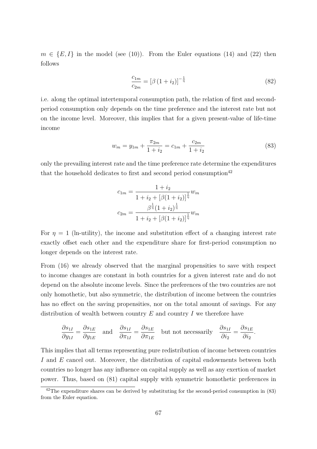$m \in \{E, I\}$  in the model (see (10)). From the Euler equations (14) and (22) then follows

$$
\frac{c_{1m}}{c_{2m}} = \left[\beta \left(1 + i_2\right)\right]^{-\frac{1}{\eta}}\tag{82}
$$

i.e. along the optimal intertemporal consumption path, the relation of first and secondperiod consumption only depends on the time preference and the interest rate but not on the income level. Moreover, this implies that for a given present-value of life-time income

$$
w_m = y_{1m} + \frac{\pi_{2m}}{1+i_2} = c_{1m} + \frac{c_{2m}}{1+i_2}
$$
\n(83)

only the prevailing interest rate and the time preference rate determine the expenditures that the household dedicates to first and second period consumption<sup>42</sup>

$$
c_{1m} = \frac{1 + i_2}{1 + i_2 + \left[\beta(1 + i_2)\right]^{\frac{1}{\eta}}} w_m
$$

$$
c_{2m} = \frac{\beta^{\frac{1}{\eta}}(1 + i_2)^{\frac{1}{\eta}}}{1 + i_2 + \left[\beta(1 + i_2)\right]^{\frac{1}{\eta}}} w_m
$$

For  $\eta = 1$  (ln-utility), the income and substitution effect of a changing interest rate exactly offset each other and the expenditure share for first-period consumption no longer depends on the interest rate.

From (16) we already observed that the marginal propensities to save with respect to income changes are constant in both countries for a given interest rate and do not depend on the absolute income levels. Since the preferences of the two countries are not only homothetic, but also symmetric, the distribution of income between the countries has no effect on the saving propensities, nor on the total amount of savings. For any distribution of wealth between country *E* and country *I* we therefore have

$$
\frac{\partial s_{1I}}{\partial y_{1I}} = \frac{\partial s_{1E}}{\partial y_{1E}} \quad \text{and} \quad \frac{\partial s_{1I}}{\partial \pi_{1I}} = \frac{\partial s_{1E}}{\partial \pi_{1E}} \quad \text{but not necessarily} \quad \frac{\partial s_{1I}}{\partial i_2} = \frac{\partial s_{1E}}{\partial i_2}.
$$

This implies that all terms representing pure redistribution of income between countries *I* and *E* cancel out. Moreover, the distribution of capital endowments between both countries no longer has any influence on capital supply as well as any exertion of market power. Thus, based on (81) capital supply with symmetric homothetic preferences in

 $42$ The expenditure shares can be derived by substituting for the second-period consumption in (83) from the Euler equation.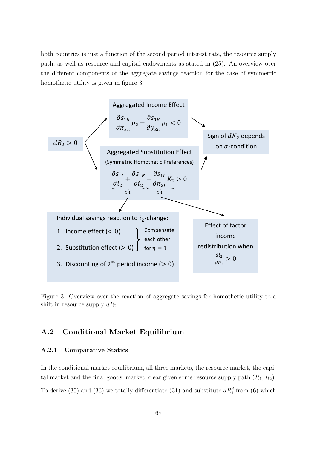both countries is just a function of the second period interest rate, the resource supply path, as well as resource and capital endowments as stated in (25). An overview over the different components of the aggregate savings reaction for the case of symmetric homothetic utility is given in figure 3.



Figure 3: Overview over the reaction of aggregate savings for homothetic utility to a shift in resource supply  $dR_2$ 

### **A.2 Conditional Market Equilibrium**

### **A.2.1 Comparative Statics**

In the conditional market equilibrium, all three markets, the resource market, the capital market and the final goods' market, clear given some resource supply path  $(R_1, R_2)$ . To derive (35) and (36) we totally differentiate (31) and substitute  $dR_1^d$  from (6) which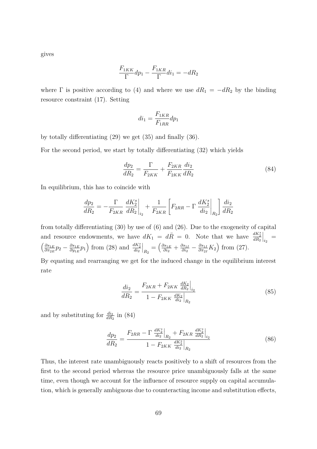gives

$$
\frac{F_{1KK}}{\Gamma} dp_1 - \frac{F_{1KR}}{\Gamma} di_1 = -dR_2
$$

where  $\Gamma$  is positive according to (4) and where we use  $dR_1 = -dR_2$  by the binding resource constraint (17). Setting

$$
di_1 = \frac{F_{1KR}}{F_{1RR}} dp_1
$$

by totally differentiating (29) we get (35) and finally (36).

For the second period, we start by totally differentiating (32) which yields

$$
\frac{dp_2}{dR_2} = \frac{\Gamma}{F_{2KK}} + \frac{F_{2KR}}{F_{2KK}} \frac{di_2}{dR_2}
$$
\n(84)

In equilibrium, this has to coincide with

$$
\frac{dp_2}{dR_2} = -\frac{\Gamma}{F_{2KR}} \left. \frac{dK_2^s}{dR_2} \right|_{i_2} + \frac{1}{F_{2KR}} \left[ F_{2RR} - \Gamma \left. \frac{dK_2^s}{di_2} \right|_{R_2} \right] \frac{di_2}{dR_2}
$$

from totally differentiating (30) by use of (6) and (26). Due to the exogeneity of capital and resource endowments, we have  $dK_1 = d\overline{R} = 0$ . Note that we have  $\frac{dK_2^s}{dR_2}$  $\Big|_{i_2} \, = \,$  *∂s*1*<sup>E</sup>*  $\frac{\partial s_{1E}}{\partial \pi_{2E}} p_{2} - \frac{\partial s_{1E}}{\partial y_{1E}}$  $\frac{\partial s_{1E}}{\partial y_{1E}} p_1$  from (28) and  $\frac{dK_2^s}{di_2}$  $\Big|_{R_2} = \Big(\frac{\partial s_{1E}}{\partial i_2}$  $\frac{\partial s_{1E}}{\partial i_2} + \frac{\partial s_{1I}}{\partial i_2}$  $\frac{\partial s_{1I}}{\partial i_{2}}-\frac{\partial s_{1I}}{\partial \pi_{2I}}$  $\frac{\partial s_{1I}}{\partial \pi_{2I}} K_2$  from (27).

By equating and rearranging we get for the induced change in the equilibrium interest rate

$$
\frac{di_2}{dR_2} = \frac{F_{2KR} + F_{2KK} \frac{dK_2}{dR_2}\Big|_{i_2}}{1 - F_{2KK} \frac{dK_2}{di_2}\Big|_{R_2}}
$$
(85)

and by substituting for  $\frac{di_2}{dR_2}$  in (84)

$$
\frac{dp_2}{dR_2} = \frac{F_{2RR} - \Gamma \left. \frac{dK_2^s}{di_2} \right|_{R_2} + F_{2KR} \left. \frac{dK_2^s}{dR_2} \right|_{i_2}}{1 - F_{2KK} \left. \frac{dK_2^s}{di_2} \right|_{R_2}}
$$
\n(86)

Thus, the interest rate unambiguously reacts positively to a shift of resources from the first to the second period whereas the resource price unambiguously falls at the same time, even though we account for the influence of resource supply on capital accumulation, which is generally ambiguous due to counteracting income and substitution effects,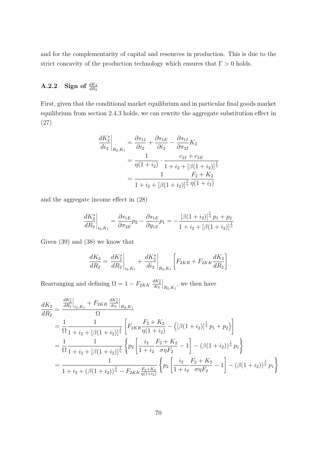and for the complementarity of capital and resources in production. This is due to the strict concavity of the production technology which ensures that  $\Gamma > 0$  holds.

# **A.2.2** Sign of  $\frac{dK_2}{dR_2}$

First, given that the conditional market equilibrium and in particular final goods market equilibrium from section 2.4.3 holds, we can rewrite the aggregate substitution effect in (27)

$$
\frac{dK_2^s}{di_2}\bigg|_{R_2,K_1} = \frac{\partial s_{1I}}{\partial i_2} + \frac{\partial s_{1E}}{\partial i_2} - \frac{\partial s_{1I}}{\partial \pi_{2I}} K_2
$$

$$
= \frac{1}{\eta(1+i_2)} \cdot \frac{c_{2I} + c_{2E}}{1 + i_2 + [\beta(1+i_2)]^{\frac{1}{\eta}}}
$$

$$
= \frac{1}{1 + i_2 + [\beta(1+i_2)]^{\frac{1}{\eta}}}\frac{F_2 + K_2}{\eta(1+i_2)}
$$

and the aggregate income effect in (28)

$$
\frac{dK_2^s}{dR_2}\bigg|_{i_2,K_1} = \frac{\partial s_{1E}}{\partial \pi_{2E}} p_2 - \frac{\partial s_{1E}}{\partial y_{1E}} p_1 = -\frac{\left[\beta(1+i_2)\right]^{\frac{1}{\eta}} p_1 + p_2}{1+i_2 + \left[\beta(1+i_2)\right]^{\frac{1}{\eta}}}
$$

Given (39) and (38) we know that

$$
\frac{dK_2}{dR_2} = \frac{dK_2^s}{dR_2}\bigg|_{i_2, K_1} + \frac{dK_2^s}{di_2}\bigg|_{R_2, K_1} \left[F_{2KR} + F_{2KK}\frac{dK_2}{dR_2}\right]
$$

Rearranging and defining  $\Omega = 1 - F_{2KK} \frac{dK_2^s}{di_2}$  $\Big|_{R_2,K_1}$ , we then have

$$
\frac{dK_2}{dR_2} = \frac{\frac{dK_2^s}{dR_2}\Big|_{i_2, K_1} + F_{2KR} \frac{dK_2^s}{di_2}\Big|_{R_2, K_1}}{\Omega}
$$
\n
$$
= \frac{1}{\Omega} \frac{1}{1 + i_2 + [\beta(1 + i_2)]^{\frac{1}{\eta}}} \left[ F_{2KR} \frac{F_2 + K_2}{\eta(1 + i_2)} - \left( [\beta(1 + i_2)]^{\frac{1}{\eta}} p_1 + p_2 \right) \right]
$$
\n
$$
= \frac{1}{\Omega} \frac{1}{1 + i_2 + [\beta(1 + i_2)]^{\frac{1}{\eta}}} \left\{ p_2 \left[ \frac{i_2}{1 + i_2} \frac{F_2 + K_2}{\sigma \eta F_2} - 1 \right] - (\beta(1 + i_2))^{\frac{1}{\eta}} p_1 \right\}
$$
\n
$$
= \frac{1}{1 + i_2 + (\beta(1 + i_2))^{\frac{1}{\eta}} - F_{2KK} \frac{F_2 + K_2}{\eta(1 + i_2)}} \left\{ p_2 \left[ \frac{i_2}{1 + i_2} \frac{F_2 + K_2}{\sigma \eta F_2} - 1 \right] - (\beta(1 + i_2))^{\frac{1}{\eta}} p_1 \right\}
$$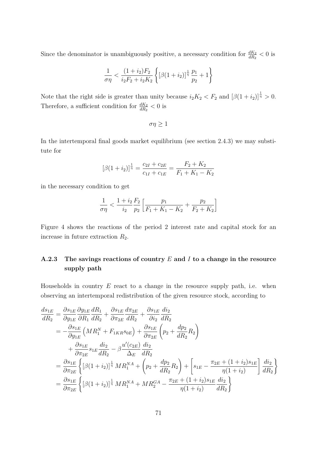Since the denominator is unambiguously positive, a necessary condition for  $\frac{dK_2}{dR_2} < 0$  is

$$
\frac{1}{\sigma \eta} < \frac{(1+i_2)F_2}{i_2 F_2 + i_2 K_2} \left\{ \left[ \beta (1+i_2) \right]^{\frac{1}{\eta}} \frac{p_1}{p_2} + 1 \right\}
$$

Note that the right side is greater than unity because  $i_2K_2 < F_2$  and  $[\beta(1+i_2)]^{\frac{1}{\eta}} > 0$ . Therefore, a sufficient condition for  $\frac{dK_2}{dR_2} < 0$  is

 $\sigma\eta \geq 1$ 

In the intertemporal final goods market equilibrium (see section 2.4.3) we may substitute for

$$
[\beta(1+i_2)]^{\frac{1}{\eta}} = \frac{c_{2I} + c_{2E}}{c_{1I} + c_{1E}} = \frac{F_2 + K_2}{F_1 + K_1 - K_2}
$$

in the necessary condition to get

$$
\frac{1}{\sigma \eta} < \frac{1+i_2}{i_2} \frac{F_2}{p_2} \left[ \frac{p_1}{F_1 + K_1 - K_2} + \frac{p_2}{F_2 + K_2} \right]
$$

Figure 4 shows the reactions of the period 2 interest rate and capital stock for an increase in future extraction *R*2.

## **A.2.3 The savings reactions of country** *E* **and** *I* **to a change in the resource supply path**

Households in country *E* react to a change in the resource supply path, i.e. when observing an intertemporal redistribution of the given resource stock, according to

$$
\frac{ds_{1E}}{dR_2} = \frac{\partial s_{1E}}{\partial y_{1E}} \frac{\partial y_{1E}}{\partial R_1} \frac{dR_1}{dR_2} + \frac{\partial s_{1E}}{\partial \pi_{2E}} \frac{d\pi_{2E}}{dR_2} + \frac{\partial s_{1E}}{\partial i_2} \frac{di_2}{dR_2} \n= -\frac{\partial s_{1E}}{\partial y_{1E}} \left( M R_1^N + F_{1KR} s_{0E} \right) + \frac{\partial s_{1E}}{\partial \pi_{2E}} \left( p_2 + \frac{dp_2}{dR_2} R_2 \right) \n+ \frac{\partial s_{1E}}{\partial \pi_{2E}} s_{1E} \frac{di_2}{dR_2} - \beta \frac{u'(c_{2E})}{\Delta_E} \frac{di_2}{dR_2} \n= \frac{\partial s_{1E}}{\partial \pi_{2E}} \left\{ \left[ \beta (1 + i_2) \right]^{\frac{1}{\eta}} M R_1^{NA} + \left( p_2 + \frac{dp_2}{dR_2} R_2 \right) + \left[ s_{1E} - \frac{\pi_{2E} + (1 + i_2)s_{1E}}{\eta (1 + i_2)} \right] \frac{di_2}{dR_2} \right\} \n= \frac{\partial s_{1E}}{\partial \pi_{2E}} \left\{ \left[ \beta (1 + i_2) \right]^{\frac{1}{\eta}} M R_1^{NA} + M R_2^{GA} - \frac{\pi_{2E} + (1 + i_2)s_{1E}}{\eta (1 + i_2)} \frac{di_2}{dR_2} \right\}
$$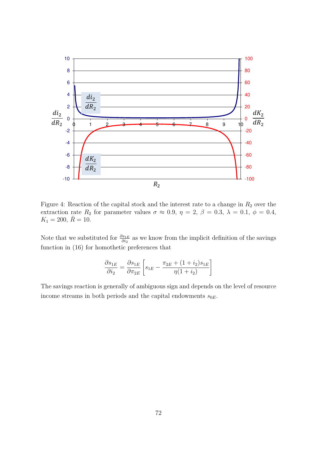

Figure 4: Reaction of the capital stock and the interest rate to a change in  $R_2$  over the extraction rate  $R_2$  for parameter values  $\sigma \approx 0.9$ ,  $\eta = 2$ ,  $\beta = 0.3$ ,  $\lambda = 0.1$ ,  $\phi = 0.4$ ,  $K_1 = 200, \ \bar{R} = 10.$ 

Note that we substituted for  $\frac{\partial s_{1E}}{\partial i_2}$  as we know from the implicit definition of the savings function in (16) for homothetic preferences that

$$
\frac{\partial s_{1E}}{\partial i_2} = \frac{\partial s_{1E}}{\partial \pi_{2E}} \left[ s_{1E} - \frac{\pi_{2E} + (1 + i_2)s_{1E}}{\eta(1 + i_2)} \right]
$$

The savings reaction is generally of ambiguous sign and depends on the level of resource income streams in both periods and the capital endowments  $s_{0E}$ .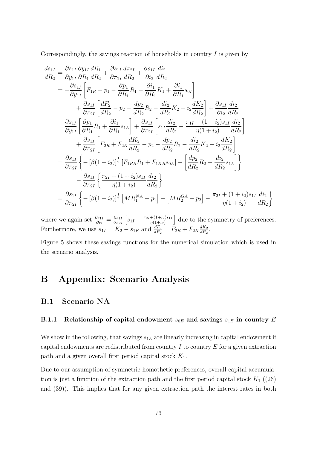Correspondingly, the savings reaction of households in country *I* is given by

$$
\frac{ds_{1I}}{dR_2} = \frac{\partial s_{1I}}{\partial y_{1I}} \frac{\partial y_{1I}}{\partial R_1} \frac{dR_1}{dR_2} + \frac{\partial s_{1I}}{\partial \pi_{2I}} \frac{d\pi_{2I}}{dR_2} + \frac{\partial s_{1I}}{\partial i_2} \frac{di_2}{dR_2} \n= -\frac{\partial s_{1I}}{\partial y_{1I}} \left[ F_{1R} - p_1 - \frac{\partial p_1}{\partial R_1} R_1 - \frac{\partial i_1}{\partial R_1} K_1 + \frac{\partial i_1}{\partial R_1} s_{0I} \right] \n+ \frac{\partial s_{1I}}{\partial \pi_{2I}} \left[ \frac{dF_2}{dR_2} - p_2 - \frac{dp_2}{dR_2} R_2 - \frac{di_2}{dR_2} K_2 - i_2 \frac{dK_2}{dR_2} \right] + \frac{\partial s_{1I}}{\partial i_2} \frac{di_2}{dR_2} \n= \frac{\partial s_{1I}}{\partial y_{1I}} \left[ \frac{\partial p_1}{\partial R_1} R_1 + \frac{\partial i_1}{\partial R_1} s_{1E} \right] + \frac{\partial s_{1I}}{\partial \pi_{2I}} \left[ s_{1I} \frac{di_2}{dR_2} - \frac{\pi_{1I} + (1 + i_2)s_{1I}}{\eta(1 + i_2)} \frac{di_2}{dR_2} \right] \n+ \frac{\partial s_{1I}}{\partial \pi_{2I}} \left[ F_{2R} + F_{2K} \frac{dK_2}{dR_2} - p_2 - \frac{dp_2}{dR_2} R_2 - \frac{di_2}{dR_2} K_2 - i_2 \frac{dK_2}{dR_2} \right] \n= \frac{\partial s_{1I}}{\partial \pi_{2I}} \left\{ -[\beta(1 + i_2)]^{\frac{1}{\eta}} \left[ F_{1RR} R_1 + F_{1KR} s_{0E} \right] - \left[ \frac{dp_2}{dR_2} R_2 + \frac{di_2}{dR_2} s_{1E} \right] \right\} \n- \frac{\partial s_{1I}}{\partial \pi_{2I}} \left\{ \frac{\pi_{2I} + (1 + i_2)s_{1I}}{\eta(1 + i_2)} \frac{
$$

where we again set  $\frac{\partial s_{1I}}{\partial i_2} = \frac{\partial s_{1I}}{\partial \pi_{2I}}$ *∂π*2*<sup>I</sup>*  $s_{1I} - \frac{\pi_{2I} + (1+i_2)s_{1I}}{n(1+i_2)}$  $\eta(1+i_2)$ due to the symmetry of preferences. Furthermore, we use  $s_{1I} = K_2 - s_{1E}$  and  $\frac{dF_2}{dR_2} = F_{2R} + F_{2K} \frac{dK_2}{dR_2}$  $\frac{dK_2}{dR_2}$ .

Figure 5 shows these savings functions for the numerical simulation which is used in the scenario analysis.

# **B Appendix: Scenario Analysis**

## **B.1 Scenario NA**

## **B.1.1** Relationship of capital endowment  $s_{0E}$  and savings  $s_{1E}$  in country *E*

We show in the following, that savings  $s_{1E}$  are linearly increasing in capital endowment if capital endowments are redistributed from country *I* to country *E* for a given extraction path and a given overall first period capital stock *K*1.

Due to our assumption of symmetric homothetic preferences, overall capital accumulation is just a function of the extraction path and the first period capital stock  $K_1$  ((26)) and (39)). This implies that for any given extraction path the interest rates in both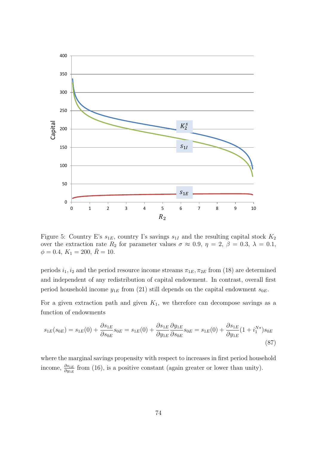

Figure 5: Country E's  $s_{1E}$ , country I's savings  $s_{1I}$  and the resulting capital stock  $K_2$ over the extraction rate  $R_2$  for parameter values  $\sigma \approx 0.9$ ,  $\eta = 2$ ,  $\beta = 0.3$ ,  $\lambda = 0.1$ ,  $\phi = 0.4, K_1 = 200, \bar{R} = 10.$ 

periods  $i_1, i_2$  and the period resource income streams  $\pi_{1E}, \pi_{2E}$  from (18) are determined and independent of any redistribution of capital endowment. In contrast, overall first period household income  $y_{1E}$  from (21) still depends on the capital endowment  $s_{0E}$ .

For a given extraction path and given  $K_1$ , we therefore can decompose savings as a function of endowments

$$
s_{1E}(s_{0E}) = s_{1E}(0) + \frac{\partial s_{1E}}{\partial s_{0E}} s_{0E} = s_{1E}(0) + \frac{\partial s_{1E}}{\partial y_{1E}} \frac{\partial y_{1E}}{\partial s_{0E}} s_{0E} = s_{1E}(0) + \frac{\partial s_{1E}}{\partial y_{1E}} (1 + i_1^{N*}) s_{0E}
$$
\n(87)

where the marginal savings propensity with respect to increases in first period household income,  $\frac{\partial s_{1E}}{\partial y_{1E}}$  from (16), is a positive constant (again greater or lower than unity).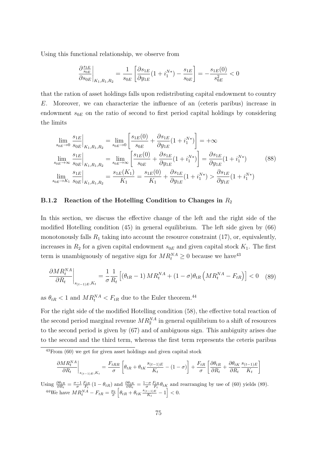Using this functional relationship, we observe from

$$
\frac{\partial \frac{s_{1E}}{s_{0E}}}{\partial s_{0E}}\bigg|_{K_1,R_1,R_2} = \frac{1}{s_{0E}}\left[ \frac{\partial s_{1E}}{\partial y_{1E}}(1+i_1^{N*}) - \frac{s_{1E}}{s_{0E}}\right] = -\frac{s_{1E}(0)}{s_{0E}^2} < 0
$$

that the ration of asset holdings falls upon redistributing capital endowment to country *E*. Moreover, we can characterize the influence of an (ceteris paribus) increase in endowment  $s_{0E}$  on the ratio of second to first period capital holdings by considering the limits

$$
\lim_{s_{0E} \to 0} \frac{s_{1E}}{s_{0E}} \Big|_{K_1, R_1, R_2} = \lim_{s_{0E} \to 0} \left[ \frac{s_{1E}(0)}{s_{0E}} + \frac{\partial s_{1E}}{\partial y_{1E}} (1 + i_1^{N*}) \right] = +\infty
$$
\n
$$
\lim_{s_{0E} \to \infty} \frac{s_{1E}}{s_{0E}} \Big|_{K_1, R_1, R_2} = \lim_{s_{0E} \to \infty} \left[ \frac{s_{1E}(0)}{s_{0E}} + \frac{\partial s_{1E}}{\partial y_{1E}} (1 + i_1^{N*}) \right] = \frac{\partial s_{1E}}{\partial y_{1E}} (1 + i_1^{N*})
$$
\n
$$
\lim_{s_{0E} \to K_1} \frac{s_{1E}}{s_{0E}} \Big|_{K_1, R_1, R_2} = \frac{s_{1E}(K_1)}{K_1} = \frac{s_{1E}(0)}{K_1} + \frac{\partial s_{1E}}{\partial y_{1E}} (1 + i_1^{N*}) > \frac{\partial s_{1E}}{\partial y_{1E}} (1 + i_1^{N*})
$$
\n
$$
(88)
$$

#### **B.1.2** Reaction of the Hotelling Condition to Changes in  $R_2$

In this section, we discuss the effective change of the left and the right side of the modified Hotelling condition (45) in general equilibrium. The left side given by (66) monotonously falls  $R_1$  taking into account the resource constraint  $(17)$ , or, equivalently, increases in  $R_2$  for a given capital endowment  $s_{0E}$  and given capital stock  $K_1$ . The first term is unambiguously of negative sign for  $MR_t^{NA} \geq 0$  because we have<sup>43</sup>

$$
\frac{\partial MR_t^{NA}}{\partial R_t}\bigg|_{s_{(t-1)E}, K_t} = \frac{1}{\sigma} \frac{1}{R_t} \left[ \left(\theta_{tR} - 1\right) MR_t^{NA} + (1 - \sigma)\theta_{tR} \left(MR_t^{NA} - F_{tR}\right) \right] < 0 \quad (89)
$$

as  $\theta_{tR} < 1$  and  $MR_t^{NA} < F_{tR}$  due to the Euler theorem.<sup>44</sup>

For the right side of the modified Hotelling condition (58), the effective total reaction of the second period marginal revenue  $MR_2^{NA}$  in general equilibrium to a shift of resources to the second period is given by (67) and of ambiguous sign. This ambiguity arises due to the second and the third term, whereas the first term represents the ceteris paribus

$$
\frac{\partial MR_t^{NA}}{\partial R_t}\bigg|_{s_{(t-1)E}, K_t} = \frac{F_{tRR}}{\sigma} \left[ \theta_{tR} + \theta_{tK} \frac{s_{(t-1)E}}{K_t} - (1 - \sigma) \right] + \frac{F_{tR}}{\sigma} \left[ \frac{\partial \theta_{tR}}{\partial R_t} + \frac{\partial \theta_{tK}}{\partial R_t} \frac{s_{(t-1)E}}{K_t} \right]
$$

Using  $\frac{\partial \theta_{tR}}{\partial R_t} = \frac{\sigma - 1}{\sigma} \frac{F_{tR}}{F_t} (1 - \theta_{tR})$  and  $\frac{\partial \theta_{tK}}{\partial R_t} = \frac{1 - \sigma}{\sigma} \frac{F_{tR}}{F_t} \theta_{tK}$  and rearranging by use of (60) yields (89).  $^{44}$ We have  $MR_t^{NA} - F_{tR} = \frac{p_2}{\sigma} \left[ \theta_{tR} + \theta_{tK} \frac{s_{(t-1)E}}{K_t} \right]$  $\frac{f_{t-1/E}}{K_t} - 1$  < 0.

 $43$ From (60) we get for given asset holdings and given capital stock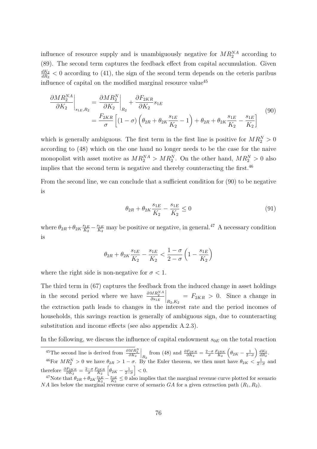influence of resource supply and is unambiguously negative for  $MR_2^{NA}$  according to (89). The second term captures the feedback effect from capital accumulation. Given *dK*<sup>2</sup>  $\frac{dK_2}{dR_2}$  < 0 according to (41), the sign of the second term depends on the ceteris paribus influence of capital on the modified marginal resource value<sup>45</sup>

$$
\frac{\partial MR_2^{NA}}{\partial K_2}\bigg|_{s_{1E},R_2} = \frac{\partial MR_2^N}{\partial K_2}\bigg|_{R_2} + \frac{\partial F_{2KR}}{\partial K_2}s_{1E}
$$
\n
$$
= \frac{F_{2KR}}{\sigma} \left[ (1-\sigma) \left( \theta_{2R} + \theta_{2K} \frac{s_{1E}}{K_2} - 1 \right) + \theta_{2R} + \theta_{2K} \frac{s_{1E}}{K_2} - \frac{s_{1E}}{K_2} \right] \tag{90}
$$

which is generally ambiguous. The first term in the first line is positive for  $MR_2^N > 0$ according to (48) which on the one hand no longer needs to be the case for the naive monopolist with asset motive as  $MR_2^N > MR_2^N$ . On the other hand,  $MR_2^N > 0$  also implies that the second term is negative and thereby counteracting the first.  $^{46}$ 

From the second line, we can conclude that a sufficient condition for (90) to be negative is

$$
\theta_{2R} + \theta_{2K} \frac{s_{1E}}{K_2} - \frac{s_{1E}}{K_2} \le 0
$$
\n(91)

where  $\theta_{2R} + \theta_{2K} \frac{s_{1E}}{K_2}$  $\frac{s_{1E}}{K_2} - \frac{s_{1E}}{K_2}$  $\frac{s_{1E}}{K_2}$  may be positive or negative, in general.<sup>47</sup> A necessary condition is

$$
\theta_{2R} + \theta_{2K} \frac{s_{1E}}{K_2} - \frac{s_{1E}}{K_2} < \frac{1 - \sigma}{2 - \sigma} \left( 1 - \frac{s_{1E}}{K_2} \right)
$$

where the right side is non-negative for  $\sigma < 1$ .

The third term in (67) captures the feedback from the induced change in asset holdings in the second period where we have  $\frac{\partial MR_2^{NA}}{\partial s_{1E}}$  $\Big|_{R_2,K_2}$  $= F_{2KR} > 0$ . Since a change in the extraction path leads to changes in the interest rate and the period incomes of households, this savings reaction is generally of ambiguous sign, due to counteracting substitution and income effects (see also appendix A.2.3).

In the following, we discuss the influence of capital endowment  $s_{0E}$  on the total reaction

<sup>&</sup>lt;sup>45</sup>The second line is derived from  $\frac{\partial MR_2^N}{\partial K_2}$  $\Big|_{R_2}$  from (48) and  $\frac{\partial F_{2KR}}{\partial K_2} = \frac{2-\sigma}{\sigma} \frac{F_{2RK}}{K_2} \left( \theta_{2K} - \frac{1}{2-\sigma} \right) \frac{dK_2}{dR_2}.$ <sup>46</sup>For  $MR_2^N > 0$  we have  $\theta_{2R} > 1 - \sigma$ . By the Euler theorem, we then must have  $\theta_{2K} < \frac{1}{2-\sigma}$  and therefore  $\frac{\partial F_{2KR}}{\partial K_2} = \frac{2-\sigma}{\sigma} \frac{F_{2KR}}{K_2} \left[ \theta_{2K} - \frac{1}{2-\sigma} \right] < 0.$ 

<sup>&</sup>lt;sup>47</sup>Note that  $\theta_{2R} + \theta_{2K} \frac{s_{1E}}{K_2} - \frac{s_{1E}}{K_2} \leq 0$  also implies that the marginal revenue curve plotted for scenario *NA* lies below the marginal revenue curve of scenario *GA* for a given extraction path (*R*1*, R*2).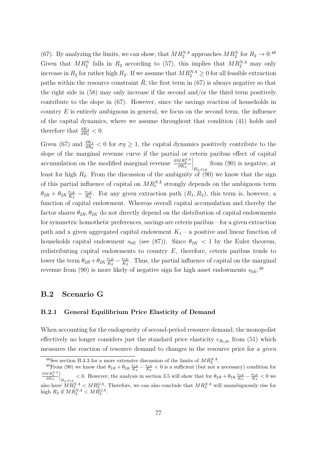(67). By analyzing the limits, we can show, that  $MR_2^{\text{NA}}$  approaches  $MR_2^{\text{N}}$  for  $R_2 \to 0.48$ Given that  $MR_2^N$  falls in  $R_2$  according to (57), this implies that  $MR_2^{NA}$  may only increase in  $R_2$  for rather high  $R_2$ . If we assume that  $MR_2^{NA} \geq 0$  for all feasible extraction paths within the resource constraint  $\bar{R}$ , the first term in (67) is always negative so that the right side in  $(58)$  may only increase if the second and/or the third term positively contribute to the slope in (67). However, since the savings reaction of households in country *E* is entirely ambiguous in general, we focus on the second term, the influence of the capital dynamics, where we assume throughout that condition (41) holds and therefore that  $\frac{dK_2}{dR_2} < 0$ .

Given (67) and  $\frac{dK_2}{dR_2}$  < 0 for  $\sigma\eta \geq 1$ , the capital dynamics positively contribute to the slope of the marginal revenue curve if the partial or ceteris paribus effect of capital accumulation on the modified marginal revenue  $\frac{\partial MR_2^{\text{NA}}}{\partial K_2}$  $\Bigg|_{R_2,s_{1E}}$ from (90) is negative, at least for high  $R_2$ . From the discussion of the ambiguity of (90) we know that the sign of this partial influence of capital on  $MR_t^{NA}$  strongly depends on the ambiguous term  $\theta_{2R} + \theta_{2K} \frac{s_{1E}}{K_2}$  $\frac{s_{1E}}{K_2} - \frac{s_{1E}}{K_2}$  $\frac{\mathscr{B}_{1E}}{K_2}$ . For any given extraction path  $(R_1, R_2)$ , this term is, however, a function of capital endowment. Whereas overall capital accumulation and thereby the factor shares  $\theta_{2R}$ ,  $\theta_{2K}$  do not directly depend on the distribution of capital endowments for symmetric homothetic preferences, savings are ceteris paribus – for a given extraction path and a given aggregated capital endowment  $K_1$  – a positive and linear function of households capital endowment  $s_{0E}$  (see (87)). Since  $\theta_{2K}$  < 1 by the Euler theorem, redistributing capital endowments to country *E*, therefore, ceteris paribus tends to lower the term  $\theta_{2R} + \theta_{2K} \frac{s_{1E}}{K_2}$  $\frac{s_{1E}}{K_2} - \frac{s_{1E}}{K_2}$  $\frac{s_{1E}}{K_2}$ . Thus, the partial influence of capital on the marginal revenue from (90) is more likely of negative sign for high asset endowments  $s_{0E}$ .<sup>49</sup>

## **B.2 Scenario G**

### **B.2.1 General Equilibrium Price Elasticity of Demand**

When accounting for the endogeneity of second-period resource demand, the monopolist effectively no longer considers just the standard price elasticity  $\epsilon_{R_t,p_t}$  from (51) which measures the reaction of resource demand to changes in the resource price for a *given*

<sup>&</sup>lt;sup>48</sup>See section B.4.3 for a more extensive discussion of the limits of  $MR_2^{NA}$ .

<sup>&</sup>lt;sup>49</sup> From (90) we know that  $\theta_{2R} + \theta_{2K} \frac{s_{1E}}{K_2} - \frac{s_{1E}}{K_2} < 0$  is a sufficient (but not a necessary) condition for  $\frac{\partial MR_2^{NA}}{\partial K_2}$  $\left| \frac{R_{2,81E}}{R_{2,81E}} - \frac{s_{1E}}{K_{2}} \right| < 0$  we show that for  $\theta_{2R} + \theta_{2K} \frac{s_{1E}}{K_{2}} - \frac{s_{1E}}{K_{2}} \right| < 0$  we also have  $MR_2^{NA} < MR_2^{GA}$ . Therefore, we can also conclude that  $MR_2^{NA}$  will unambiguously rise for high  $R_2$  if  $MR_2^{NA} < MR_2^{GA}$ .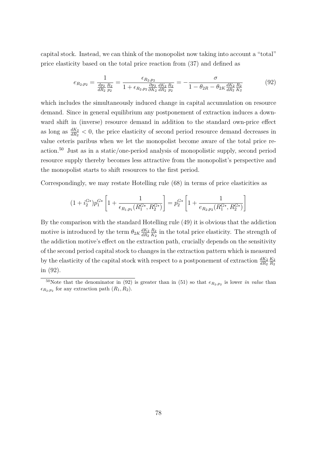capital stock. Instead, we can think of the monopolist now taking into account a "total" price elasticity based on the total price reaction from (37) and defined as

$$
e_{R_2,p_2} = \frac{1}{\frac{dp_2}{dR_2} \frac{R_2}{p_2}} = \frac{\epsilon_{R_2,p_2}}{1 + \epsilon_{R_2,p_2} \frac{\partial p_2}{\partial K_2} \frac{dK_2}{dR_2} \frac{R_2}{p_2}} = -\frac{\sigma}{1 - \theta_{2R} - \theta_{2K} \frac{dK_2}{dR_2} \frac{R_2}{K_2}}
$$
(92)

which includes the simultaneously induced change in capital accumulation on resource demand. Since in general equilibrium any postponement of extraction induces a downward shift in (inverse) resource demand in addition to the standard own-price effect as long as  $\frac{dK_2}{dR_2}$  < 0, the price elasticity of second period resource demand decreases in value ceteris paribus when we let the monopolist become aware of the total price reaction.<sup>50</sup> Just as in a static/one-period analysis of monopolistic supply, second period resource supply thereby becomes less attractive from the monopolist's perspective and the monopolist starts to shift resources to the first period.

Correspondingly, we may restate Hotelling rule (68) in terms of price elasticities as

$$
(1+i_2^{G*})p_1^{G*}\left[1+\frac{1}{\epsilon_{R_1,p_1}(R_1^{G*},R_2^{G*})}\right]=p_2^{G*}\left[1+\frac{1}{\epsilon_{R_2,p_2}(R_1^{G*},R_2^{G*})}\right]
$$

By the comparison with the standard Hotelling rule (49) it is obvious that the addiction motive is introduced by the term  $\theta_{2K} \frac{dK_2}{dR_2}$ *dR*<sup>2</sup> *R*<sup>2</sup>  $\frac{R_2}{K_2}$  in the total price elasticity. The strength of the addiction motive's effect on the extraction path, crucially depends on the sensitivity of the second period capital stock to changes in the extraction pattern which is measured by the elasticity of the capital stock with respect to a postponement of extraction  $\frac{dK_2}{dR_2}$ *K*<sup>2</sup> *R*<sup>2</sup> in (92).

<sup>&</sup>lt;sup>50</sup>Note that the denominator in (92) is greater than in (51) so that  $e_{R_2,p_2}$  is lower *in value* than  $\epsilon_{R_2,p_2}$  for any extraction path  $(R_1, R_2)$ .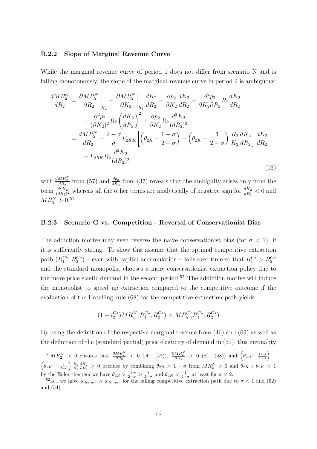#### **B.2.2 Slope of Marginal Revenue Curve**

While the marginal revenue curve of period 1 does not differ from scenario N and is falling monotonously, the slope of the marginal revenue curve in period 2 is ambiguous:

$$
\frac{dMR_2^G}{dR_2} = \frac{\partial MR_2^N}{\partial R_2}\Big|_{K_2} + \frac{\partial MR_2^N}{\partial K_2}\Big|_{R_2} \frac{dK_2}{dR_2} + \frac{\partial p_2}{\partial K_2} \frac{dK_2}{dR_2} + \frac{\partial^2 p_2}{\partial K_2 \partial R_2} R_2 \frac{dK_2}{dR_2} \n+ \frac{\partial^2 p_2}{(\partial K_2)^2} R_2 \left(\frac{dK_2}{dR_2}\right)^2 + \frac{\partial p_2}{\partial K_2} R_2 \frac{d^2 K_2}{(dR_2)^2} \n= \frac{dMR_2^N}{dR_2} + \frac{2-\sigma}{\sigma} F_{2KR} \left[ \left(\theta_{2R} - \frac{1-\sigma}{2-\sigma}\right) + \left(\theta_{2K} - \frac{1}{2-\sigma}\right) \frac{R_2}{K_2} \frac{dK_2}{dR_2} \right] \frac{dK_2}{dR_2} \n+ F_{2RK} R_2 \frac{d^2 K_2}{(dR_2)^2}
$$
\n(93)

with  $\frac{dMR_2^N}{dR_2}$  from (57) and  $\frac{dp_2}{dR_2}$  from (37) reveals that the ambiguity arises only from the term  $\frac{d^2 K_2}{(dR_2)}$  $\frac{d^2 K_2}{(dR_2)^2}$  whereas all the other terms are analytically of negative sign for  $\frac{dK_2}{dR_2} < 0$  and  $MR_2^N > 0.51$ 

#### **B.2.3 Scenario G vs. Competition - Reversal of Conservationist Bias**

The addiction motive may even reverse the naive conservationist bias (for  $\sigma < 1$ ), if it is sufficiently strong. To show this assume that the optimal competitive extraction path  $(R_1^{C*}, R_2^{C*})$  – even with capital accumulation – falls over time so that  $R_1^{C*} > R_2^{C*}$ and the standard monopolist chooses a more conservationist extraction policy due to the more price elastic demand in the second period.<sup>52</sup> The addiction motive will induce the monopolist to speed up extraction compared to the competitive outcome if the evaluation of the Hotelling rule (68) for the competitive extraction path yields

$$
(1 + i_2^{C*})MR_1^N(R_1^{C*}, R_2^{C*}) > MR_2^G(R_1^{C*}, R_2^{C*})
$$

By using the definition of the respective marginal revenue from (46) and (69) as well as the definition of the (standard partial) price elasticity of demand in (51), this inequality

 ${}^{51}MR_2^N > 0$  ensures that  $\frac{\partial MR_2^N}{\partial R_2} < 0$  (cf. (47)),  $\frac{\partial MR_2^N}{\partial K_2} > 0$  (cf. (48)) and  $(\theta_{2R} - \frac{1-\sigma}{2-\sigma}) +$  $\left(\theta_{2K} - \frac{1}{2-\sigma}\right) \frac{R_2}{K_2} \frac{dK_2}{dR_2} > 0$  because by combining  $\theta_{2R} > 1 - \sigma$  from  $MR_2^N > 0$  and  $\theta_{2R} + \theta_{2K} < 1$ by the Euler theorem we have  $\theta_{2R} > \frac{1+\sigma}{2-\sigma} > \frac{1}{2-\sigma}$  and  $\theta_{2K} < \frac{1}{2-\sigma}$  at least for  $\sigma < 2$ .

<sup>&</sup>lt;sup>52</sup>i.e. we have  $|\epsilon_{R_2,p_2}| > |\epsilon_{R_1,p_1}|$  for the falling competitive extraction path due to  $\sigma < 1$  and (52) and (54).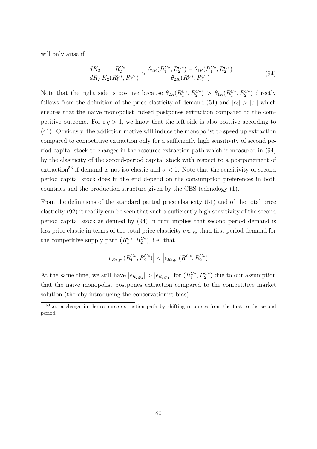will only arise if

$$
-\frac{dK_2}{dR_2} \frac{R_2^{C*}}{K_2(R_1^{C*}, R_2^{C*})} > \frac{\theta_{2R}(R_1^{C*}, R_2^{C*}) - \theta_{1R}(R_1^{C*}, R_2^{C*})}{\theta_{2K}(R_1^{C*}, R_2^{C*})}
$$
(94)

Note that the right side is positive because  $\theta_{2R}(R_1^{C_*}, R_2^{C_*}) > \theta_{1R}(R_1^{C_*}, R_2^{C_*})$  directly follows from the definition of the price elasticity of demand (51) and  $|\epsilon_2| > |\epsilon_1|$  which ensures that the naive monopolist indeed postpones extraction compared to the competitive outcome. For  $\sigma \eta > 1$ , we know that the left side is also positive according to (41). Obviously, the addiction motive will induce the monopolist to speed up extraction compared to competitive extraction only for a sufficiently high sensitivity of second period capital stock to changes in the resource extraction path which is measured in (94) by the elasiticity of the second-period capital stock with respect to a postponement of extraction<sup>53</sup> if demand is not iso-elastic and  $\sigma < 1$ . Note that the sensitivity of second period capital stock does in the end depend on the consumption preferences in both countries and the production structure given by the CES-technology (1).

From the definitions of the standard partial price elasticity (51) and of the total price elasticity (92) it readily can be seen that such a sufficiently high sensitivity of the second period capital stock as defined by (94) in turn implies that second period demand is less price elastic in terms of the total price elasticity  $e_{R_2,p_2}$  than first period demand for the competitive supply path  $(R_1^{C*}, R_2^{C*})$ , i.e. that

$$
\left| e_{R_2,p_2}(R_1^{C*},R_2^{C*})\right| < \left| \epsilon_{R_1,p_1}(R_1^{C*},R_2^{C*})\right|
$$

At the same time, we still have  $|\epsilon_{R_2,p_2}| > |\epsilon_{R_1,p_1}|$  for  $(R_1^{C*}, R_2^{C*})$  due to our assumption that the naive monopolist postpones extraction compared to the competitive market solution (thereby introducing the conservationist bias).

<sup>&</sup>lt;sup>53</sup>i.e. a change in the resource extraction path by shifting resources from the first to the second period.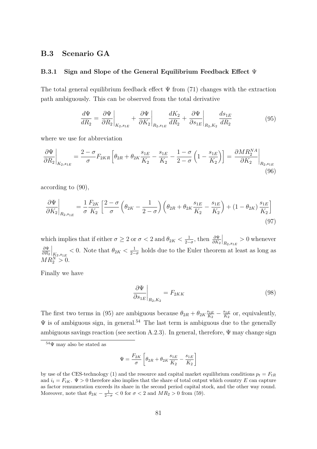## **B.3 Scenario GA**

#### **B.3.1 Sign and Slope of the General Equilibrium Feedback Effect** Ψ

The total general equilibrium feedback effect  $\Psi$  from (71) changes with the extraction path ambiguously. This can be observed from the total derivative

$$
\frac{d\Psi}{dR_2} = \frac{\partial \Psi}{\partial R_2}\bigg|_{K_2, s_{1E}} + \frac{\partial \Psi}{\partial K_2}\bigg|_{R_2, s_{1E}} \frac{dK_2}{dR_2} + \frac{\partial \Psi}{\partial s_{1E}}\bigg|_{R_2, K_2} \frac{ds_{1E}}{dR_2} \tag{95}
$$

where we use for abbreviation

$$
\frac{\partial \Psi}{\partial R_2}\bigg|_{K_2, s_{1E}} = \frac{2 - \sigma}{\sigma} F_{2KR} \left[ \theta_{2R} + \theta_{2K} \frac{s_{1E}}{K_2} - \frac{s_{1E}}{K_2} - \frac{1 - \sigma}{2 - \sigma} \left( 1 - \frac{s_{1E}}{K_2} \right) \right] = \frac{\partial MR_2^{NA}}{\partial K_2}\bigg|_{R_2, s_{1E}} \tag{96}
$$

according to (90),

$$
\frac{\partial \Psi}{\partial K_2}\bigg|_{R_2, s_{1E}} = \frac{1}{\sigma} \frac{F_{2K}}{K_2} \left[ \frac{2 - \sigma}{\sigma} \left( \theta_{2K} - \frac{1}{2 - \sigma} \right) \left( \theta_{2R} + \theta_{2K} \frac{s_{1E}}{K_2} - \frac{s_{1E}}{K_2} \right) + (1 - \theta_{2K}) \frac{s_{1E}}{K_2} \right]
$$
\n(97)

which implies that if either  $\sigma \geq 2$  or  $\sigma < 2$  and  $\theta_{2K} < \frac{1}{2-\sigma}$ , then  $\frac{\partial \Psi}{\partial K_2}$  $\Big|_{R_2, s_{1E}} > 0$  whenever *∂*Ψ *∂R*<sup>2</sup>  $\Big|_{K_2, s_{1E}}$  < 0. Note that  $\theta_{2K} < \frac{1}{2-\sigma}$  holds due to the Euler theorem at least as long as  $MR_2^N > 0.$ 

Finally we have

$$
\left. \frac{\partial \Psi}{\partial s_{1E}} \right|_{R_2, K_2} = F_{2KK} \tag{98}
$$

The first two terms in (95) are ambiguous because  $\theta_{2R} + \theta_{2K} \frac{s_{1E}}{K_2}$  $\frac{s_{1E}}{K_2} - \frac{s_{1E}}{K_2}$  $\frac{s_{1E}}{K_2}$  or, equivalently,  $\Psi$  is of ambiguous sign, in general.<sup>54</sup> The last term is ambiguous due to the generally ambiguous savings reaction (see section A.2.3). In general, therefore,  $\Psi$  may change sign

$$
\Psi = \frac{F_{2K}}{\sigma} \left[ \theta_{2R} + \theta_{2K} \frac{s_{1E}}{K_2} - \frac{s_{1E}}{K_2} \right]
$$

 $54\Psi$  may also be stated as

by use of the CES-technology (1) and the resource and capital market equilibrium conditions  $p_t = F_{tR}$ and  $i_t = F_{tK}$ .  $\Psi > 0$  therefore also implies that the share of total output which country *E* can capture as factor remuneration exceeds its share in the second period capital stock, and the other way round. Moreover, note that  $\theta_{2K} - \frac{1}{2-\sigma} < 0$  for  $\sigma < 2$  and  $MR_2 > 0$  from (59).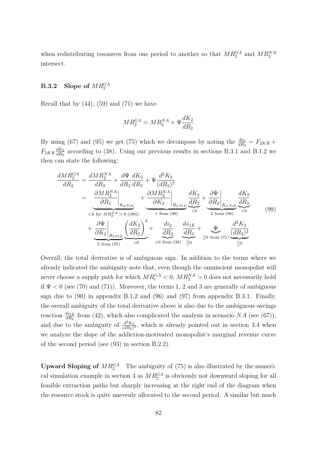when redistributing resources from one period to another so that  $MR_2^{GA}$  and  $MR_2^{NA}$ intersect.

## $B.3.2$  Slope of  $MR_2^{GA}$

Recall that by  $(44)$ ,  $(59)$  and  $(71)$  we have

$$
MR_2^{GA} = MR_2^{NA} + \Psi \frac{dK_2}{dR_2}
$$

By using (67) and (95) we get (75) which we decompose by noting the  $\frac{di_2}{dR_2} = F_{2KR} +$  $F_{2KK} \frac{dK_2}{dR_2}$  $\frac{dK_2}{dR_2}$  according to (38). Using our previous results in sections B.3.1 and B.1.2 we then can state the following:

$$
\frac{dMR_2^{GA}}{dR_2} = \frac{dMR_2^{NA}}{dR_2} + \frac{d\Psi}{dR_2}\frac{dK_2}{dR_2} + \Psi \frac{d^2K_2}{(dR_2)^2}
$$
\n
$$
= \underbrace{\left.\frac{\partial MR_2^{NA}}{\partial R_2}\right|_{K_2, s_{1E}}}_{\text{for } MR_2^{NA} > 0\ (89))} + \underbrace{\left.\frac{\partial MR_2^{NA}}{\partial K_2}\right|_{R_2, s_{1E}}}_{1 \text{ from (90)}} \underbrace{\frac{dK_2}{dR_2}}_{\text{from (96)}} + \underbrace{\left.\frac{\partial \Psi}{\partial K_2}\right|_{R_2, s_{1E}}}_{3 \text{ from (97)}} \underbrace{\left(\frac{dK_2}{dR_2}\right)^2}_{\text{from (38)}} + \underbrace{\frac{d^2\chi}{dR_2}}_{\text{from (38)}} + \underbrace{\frac{d^2\chi}{dR_2}}_{\text{from (71)}} + \underbrace{\frac{d^2K_2}{dR_2^2}}_{\text{from (71)}} \underbrace{\frac{d^2K_2}{(dR_2)^2}}_{\text{from (71)}} \underbrace{\frac{d^2K_2}{dR_2^2}}_{\text{from (71)}} \underbrace{\frac{d^2K_2}{(dR_2)^2}}_{\text{from (72)}}
$$

Overall, the total derivative is of ambiguous sign. In addition to the terms where we already indicated the ambiguity note that, even though the omniscient monopolist will never choose a supply path for which  $MR_t^{GA} < 0$ ,  $MR_2^{NA} > 0$  does not necessarily hold if  $\Psi$  < 0 (see (70) and (71)). Moreover, the terms 1, 2 and 3 are generally of ambiguous sign due to  $(90)$  in appendix B.1.2 and  $(96)$  and  $(97)$  from appendix B.3.1. Finally, the overall ambiguity of the total derivative above is also due to the ambiguous savings reaction  $\frac{ds_{1E}}{dR_2}$  from (42), which also complicated the analysis in scenario *NA* (see (67)), and due to the ambiguity of  $\frac{d^2 K_2}{(dR_0)}$  $\frac{d^2 K_2}{(dR_2)^2}$ , which is already pointed out in section 3.4 when we analyze the slope of the addiction-motivated monopolist's marginal revenue curve of the second period (see (93) in section B.2.2).

**Upward Sloping of**  $MR_2^{GA}$  The ambiguity of (75) is also illustrated by the numerical simulation example in section 4 as  $MR_2^{GA}$  is obviously not downward sloping for all feasible extraction paths but sharply increasing at the right end of the diagram when the resource stock is quite unevenly allocated to the second period. A similar but much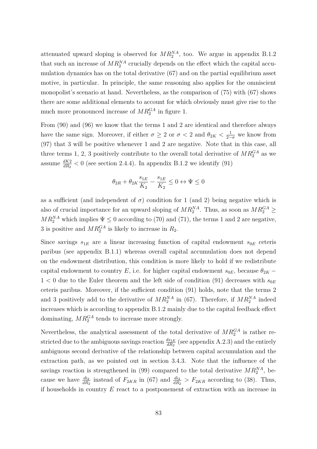attenuated upward sloping is observed for  $MR_2^{NA}$ , too. We argue in appendix B.1.2 that such an increase of  $MR_2^{NA}$  crucially depends on the effect which the capital accumulation dynamics has on the total derivative (67) and on the partial equilibrium asset motive, in particular. In principle, the same reasoning also applies for the omniscient monopolist's scenario at hand. Nevertheless, as the comparison of (75) with (67) shows there are some additional elements to account for which obviously must give rise to the much more pronounced increase of  $MR_2^{GA}$  in figure 1.

From (90) and (96) we know that the terms 1 and 2 are identical and therefore always have the same sign. Moreover, if either  $\sigma \geq 2$  or  $\sigma < 2$  and  $\theta_{2K} < \frac{1}{2-\sigma}$  we know from (97) that 3 will be positive whenever 1 and 2 are negative. Note that in this case, all three terms 1, 2, 3 positively contribute to the overall total derivative of  $MR_2^{GA}$  as we assume  $\frac{dK_2}{dR_2}$  < 0 (see section 2.4.4). In appendix B.1.2 we identify (91)

$$
\theta_{2R}+\theta_{2K}\frac{s_{1E}}{K_2}-\frac{s_{1E}}{K_2}\leq 0 \leftrightarrow \Psi\leq 0
$$

as a sufficient (and independent of  $\sigma$ ) condition for 1 (and 2) being negative which is also of crucial importance for an upward sloping of  $MR_2^{NA}$ . Thus, as soon as  $MR_2^{GA} \geq$  $MR_2^{NA}$  which implies  $\Psi \leq 0$  according to (70) and (71), the terms 1 and 2 are negative, 3 is positive and  $MR_2^{GA}$  is likely to increase in  $R_2$ .

Since savings  $s_{1E}$  are a linear increasing function of capital endowment  $s_{0E}$  ceteris paribus (see appendix B.1.1) whereas overall capital accumulation does not depend on the endowment distribution, this condition is more likely to hold if we redistribute capital endowment to country *E*, i.e. for higher capital endowment  $s_{0E}$ , because  $\theta_{2K}$  −  $1 < 0$  due to the Euler theorem and the left side of condition (91) decreases with  $s_{0E}$ ceteris paribus. Moreover, if the sufficient condition (91) holds, note that the terms 2 and 3 positively add to the derivative of  $MR_2^{NA}$  in (67). Therefore, if  $MR_2^{NA}$  indeed increases which is according to appendix B.1.2 mainly due to the capital feedback effect dominating,  $MR_2^{GA}$  tends to increase more strongly.

Nevertheless, the analytical assessment of the total derivative of  $MR_2^{GA}$  is rather restricted due to the ambiguous savings reaction  $\frac{ds_{1E}}{dR_2}$  (see appendix A.2.3) and the entirely ambiguous second derivative of the relationship between capital accumulation and the extraction path, as we pointed out in section 3.4.3. Note that the influence of the savings reaction is strengthened in  $(99)$  compared to the total derivative  $MR_2^{NA}$ , because we have  $\frac{di_2}{dR_2}$  instead of  $F_{2KR}$  in (67) and  $\frac{di_2}{dR_2} > F_{2KR}$  according to (38). Thus, if households in country *E* react to a postponement of extraction with an increase in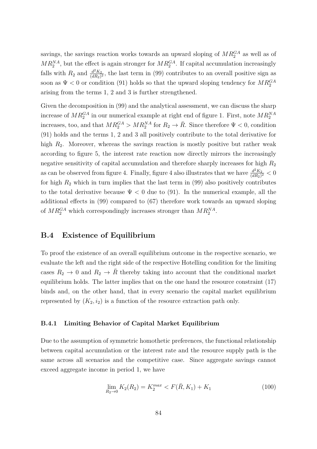savings, the savings reaction works towards an upward sloping of  $MR_2^{GA}$  as well as of  $MR_2^{NA}$ , but the effect is again stronger for  $MR_2^{GA}$ . If capital accumulation increasingly falls with  $R_2$  and  $\frac{d^2 K_2}{(dR_2)}$  $\frac{d^2 K_2}{(dR_2)^2}$ , the last term in (99) contributes to an overall positive sign as soon as  $\Psi < 0$  or condition (91) holds so that the upward sloping tendency for  $MR_2^{GA}$ arising from the terms 1, 2 and 3 is further strengthened.

Given the decomposition in (99) and the analytical assessment, we can discuss the sharp increase of  $MR_2^{GA}$  in our numerical example at right end of figure 1. First, note  $MR_2^{NA}$ increases, too, and that  $MR_2^{GA} > MR_2^{NA}$  for  $R_2 \to \overline{R}$ . Since therefore  $\Psi < 0$ , condition (91) holds and the terms 1, 2 and 3 all positively contribute to the total derivative for high  $R_2$ . Moreover, whereas the savings reaction is mostly positive but rather weak according to figure 5, the interest rate reaction now directly mirrors the increasingly negative sensitivity of capital accumulation and therefore sharply increases for high *R*<sup>2</sup> as can be observed from figure 4. Finally, figure 4 also illustrates that we have  $\frac{d^2 K_2}{(dR_0)}$  $\frac{d^2 K_2}{(dR_2)^2} < 0$ for high  $R_2$  which in turn implies that the last term in  $(99)$  also positively contributes to the total derivative because  $\Psi < 0$  due to (91). In the numerical example, all the additional effects in (99) compared to (67) therefore work towards an upward sloping of  $MR_2^{GA}$  which correspondingly increases stronger than  $MR_2^{NA}$ .

## **B.4 Existence of Equilibrium**

To proof the existence of an overall equilibrium outcome in the respective scenario, we evaluate the left and the right side of the respective Hotelling condition for the limiting cases  $R_2 \to 0$  and  $R_2 \to \overline{R}$  thereby taking into account that the conditional market equilibrium holds. The latter implies that on the one hand the resource constraint (17) binds and, on the other hand, that in every scenario the capital market equilibrium represented by  $(K_2, i_2)$  is a function of the resource extraction path only.

### **B.4.1 Limiting Behavior of Capital Market Equilibrium**

Due to the assumption of symmetric homothetic preferences, the functional relationship between capital accumulation or the interest rate and the resource supply path is the same across all scenarios and the competitive case. Since aggregate savings cannot exceed aggregate income in period 1, we have

$$
\lim_{R_2 \to 0} K_2(R_2) = K_2^{max} < F(\bar{R}, K_1) + K_1 \tag{100}
$$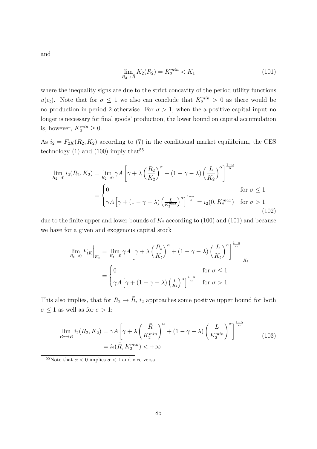and

$$
\lim_{R_2 \to \bar{R}} K_2(R_2) = K_2^{\min} < K_1 \tag{101}
$$

where the inequality signs are due to the strict concavity of the period utility functions *u*(*c<sub>t</sub>*). Note that for  $\sigma \leq 1$  we also can conclude that  $K_2^{min} > 0$  as there would be no production in period 2 otherwise. For  $\sigma > 1$ , when the a positive capital input no longer is necessary for final goods' production, the lower bound on capital accumulation is, however,  $K_2^{min} \geq 0$ .

As  $i_2 = F_{2K}(R_2, K_2)$  according to (7) in the conditional market equilibrium, the CES technology  $(1)$  and  $(100)$  imply that<sup>55</sup>

$$
\lim_{R_2 \to 0} i_2(R_2, K_2) = \lim_{R_2 \to 0} \gamma A \left[ \gamma + \lambda \left( \frac{R_2}{K_2} \right)^{\alpha} + (1 - \gamma - \lambda) \left( \frac{L}{K_2} \right)^{\alpha} \right]^{\frac{1 - \alpha}{\alpha}}
$$
  
= 
$$
\begin{cases} 0 & \text{for } \sigma \le 1 \\ \gamma A \left[ \gamma + (1 - \gamma - \lambda) \left( \frac{L}{K_2^{\max}} \right)^{\alpha} \right]^{\frac{1 - \alpha}{\alpha}} = i_2(0, K_2^{\max}) & \text{for } \sigma > 1 \end{cases}
$$
(102)

due to the finite upper and lower bounds of  $K_2$  according to (100) and (101) and because we have for a given and exogenous capital stock

$$
\lim_{R_t \to 0} F_{tK} \Big|_{K_t} = \lim_{R_t \to 0} \gamma A \left[ \gamma + \lambda \left( \frac{R_t}{K_t} \right)^{\alpha} + (1 - \gamma - \lambda) \left( \frac{L}{K_t} \right)^{\alpha} \right]^{\frac{1 - \alpha}{\alpha}} \Big|_{K_t}
$$

$$
= \begin{cases} 0 & \text{for } \sigma \le 1 \\ \gamma A \left[ \gamma + (1 - \gamma - \lambda) \left( \frac{L}{K_t} \right)^{\alpha} \right]^{\frac{1 - \alpha}{\alpha}} & \text{for } \sigma > 1 \end{cases}
$$

This also implies, that for  $R_2 \rightarrow \overline{R}$ ,  $i_2$  approaches some positive upper bound for both  $\sigma \leq 1$  as well as for  $\sigma > 1$ :

$$
\lim_{R_2 \to \bar{R}} i_2(R_2, K_2) = \gamma A \left[ \gamma + \lambda \left( \frac{\bar{R}}{K_2^{\min}} \right)^{\alpha} + (1 - \gamma - \lambda) \left( \frac{L}{K_2^{\min}} \right)^{\alpha} \right]^{\frac{1 - \alpha}{\alpha}}
$$
\n
$$
= i_2(\bar{R}, K_2^{\min}) < +\infty
$$
\n(103)

<sup>&</sup>lt;sup>55</sup>Note that  $\alpha < 0$  implies  $\sigma < 1$  and vice versa.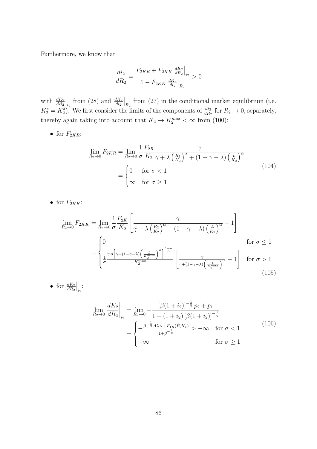Furthermore, we know that

$$
\frac{di_2}{dR_2} = \frac{F_{2KR} + F_{2KK} \left. \frac{dK_2}{dR_2} \right|_{i_2}}{1 - F_{2KK} \left. \frac{dK_2}{di_2} \right|_{R_2}} > 0
$$

with  $\frac{dK_2}{dR_2}$  $\Big|_{i_2}$  from (28) and  $\frac{dK_2}{di_2}$  $\left| \right|_{R_2}$  from (27) in the conditional market equilibrium (i.e.  $K_2^s = K_2^d$ . We first consider the limits of the components of  $\frac{di_2}{dR_2}$  for  $R_2 \to 0$ , separately, thereby again taking into account that  $K_2 \to K_2^{max} < \infty$  from (100):

• for  $F_{2KR}$ :

$$
\lim_{R_2 \to 0} F_{2KR} = \lim_{R_2 \to 0} \frac{1}{\sigma} \frac{F_{2R}}{K_2} \frac{\gamma}{\gamma + \lambda \left(\frac{R_2}{K_2}\right)^{\alpha} + (1 - \gamma - \lambda) \left(\frac{L}{K_2}\right)^{\alpha}}
$$
\n
$$
= \begin{cases} 0 & \text{for } \sigma < 1 \\ \infty & \text{for } \sigma \ge 1 \end{cases} \tag{104}
$$

• for  $F_{2KK}$ :

• for  $\frac{dK_2}{dR_2}$ 

 $\Big|_{i_2}$ :

$$
\lim_{R_2 \to 0} F_{2KK} = \lim_{R_2 \to 0} \frac{1}{\sigma} \frac{F_{2K}}{K_2} \left[ \frac{\gamma}{\gamma + \lambda \left( \frac{R_2}{K_2} \right)^{\alpha} + (1 - \gamma - \lambda) \left( \frac{L}{K_2} \right)^{\alpha}} - 1 \right]
$$
\n
$$
= \begin{cases}\n0 & \text{for } \sigma \le 1 \\
\frac{1}{\sigma} \frac{\gamma A \left[ \gamma + (1 - \gamma - \lambda) \left( \frac{L}{K_2^{max}} \right)^{\alpha} \right]^{\frac{1 - \alpha}{\alpha}}}{K_2^{max}} \left[ \frac{\gamma}{\gamma + (1 - \gamma - \lambda) \left( \frac{L}{K_2^{max}} \right)^{\alpha}} - 1 \right] & \text{for } \sigma > 1 \\
105\n\end{cases}
$$

$$
\lim_{R_2 \to 0} \frac{dK_2}{dR_2}\Big|_{i_2} = \lim_{R_2 \to 0} -\frac{\left[\beta(1+i_2)\right]^{-\frac{1}{\eta}} p_2 + p_1}{1 + (1+i_2) \left[\beta(1+i_2)\right]^{-\frac{1}{\eta}}}
$$
\n
$$
= \begin{cases}\n-\frac{\beta^{-\frac{1}{\eta}} A \lambda^{\frac{1}{\alpha}} + F_{1R}(\bar{R}, K_1)}{1 + \beta^{-\frac{1}{\eta}}} > -\infty \quad \text{for } \sigma < 1 \\
-\infty & \text{for } \sigma \ge 1\n\end{cases} \tag{106}
$$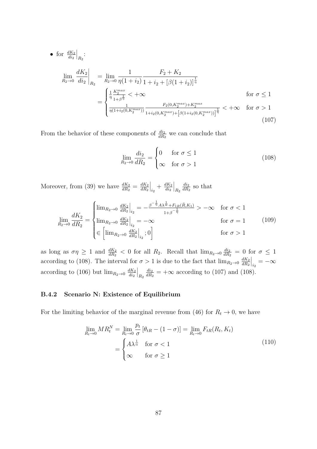• for 
$$
\frac{dK_2}{di_2}\Big|_{R_2}
$$
:  
\n
$$
\lim_{R_2 \to 0} \frac{dK_2}{di_2}\Big|_{R_2} = \lim_{R_2 \to 0} \frac{1}{\eta(1+i_2)} \frac{F_2 + K_2}{1 + i_2 + [\beta(1+i_2)]^{\frac{1}{\eta}}}
$$
\n
$$
= \begin{cases}\n\frac{1}{\eta} \frac{K_2^{max}}{1 + \beta^{\frac{1}{\eta}}} < +\infty & \text{for } \sigma \le 1 \\
\frac{1}{\eta(1+i_2(0,K_2^{max}))} \frac{F_2(0,K_2^{max}) + K_2^{max}}{1 + i_2(0,K_2^{max}) + [\beta(1+i_2(0,K_2^{max}))]^{\frac{1}{\eta}}} < +\infty & \text{for } \sigma > 1\n\end{cases}
$$
\n(107)

From the behavior of these components of  $\frac{di_2}{dR_2}$  we can conclude that

$$
\lim_{R_2 \to 0} \frac{di_2}{dR_2} = \begin{cases} 0 & \text{for } \sigma \le 1 \\ \infty & \text{for } \sigma > 1 \end{cases} \tag{108}
$$

Moreover, from (39) we have  $\frac{dK_2}{dR_2} = \frac{dK_2}{dR_2}$ *dR*<sup>2</sup>  $\Big|_{i_2} + \frac{dK_2}{di_2}$ *di*<sup>2</sup>  $\Big|_{R_2}$ *di*<sup>2</sup>  $\frac{di_2}{dR_2}$  so that

$$
\lim_{R_2 \to 0} \frac{dK_2}{dR_2} = \begin{cases} \lim_{R_2 \to 0} \frac{dK_2}{dR_2}\Big|_{i_2} = -\frac{\beta^{-\frac{1}{\eta}} A \lambda^{\frac{1}{\alpha}} + F_{1R}(\bar{R}, K_1)}{1 + \beta^{-\frac{1}{\eta}}} > -\infty & \text{for } \sigma < 1\\ \lim_{R_2 \to 0} \frac{dK_2}{dR_2}\Big|_{i_2} = -\infty & \text{for } \sigma = 1\\ \in \left[ \lim_{R_2 \to 0} \frac{dK_2}{dR_2}\Big|_{i_2}; 0 \right] & \text{for } \sigma > 1 \end{cases}
$$
(109)

as long as  $\sigma \eta \geq 1$  and  $\frac{dK_2}{dR_2} < 0$  for all  $R_2$ . Recall that  $\lim_{R_2 \to 0} \frac{di_2}{dR_2}$  $\frac{di_2}{dR_2} = 0$  for  $\sigma \leq 1$ according to (108). The interval for  $\sigma > 1$  is due to the fact that  $\lim_{R_2 \to 0} \frac{dK_2}{dR_2}$ *dR*<sup>2</sup>  $\Big|_{i_2} = -\infty$ according to (106) but  $\lim_{R_2 \to 0} \frac{dK_2}{di_2}$ *di*<sup>2</sup>  $\Big|_{R_2}$ *di*<sup>2</sup>  $\frac{du_2}{dR_2}$  =  $+\infty$  according to (107) and (108).

## **B.4.2 Scenario N: Existence of Equilibrium**

For the limiting behavior of the marginal revenue from (46) for  $R_t \to 0$ , we have

$$
\lim_{R_t \to 0} MR_t^N = \lim_{R_t \to 0} \frac{p_t}{\sigma} \left[ \theta_{tR} - (1 - \sigma) \right] = \lim_{R_t \to 0} F_{tR}(R_t, K_t)
$$
\n
$$
= \begin{cases}\nA\lambda^{\frac{1}{\alpha}} & \text{for } \sigma < 1 \\
\infty & \text{for } \sigma \ge 1\n\end{cases}
$$
\n(110)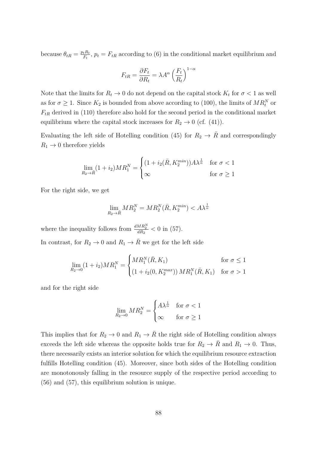because  $\theta_{tR} = \frac{p_t R_t}{F_t}$  $F_t^{Ht}$ ,  $p_t = F_{tR}$  according to (6) in the conditional market equilibrium and

$$
F_{tR} = \frac{\partial F_t}{\partial R_t} = \lambda A^{\alpha} \left(\frac{F_t}{R_t}\right)^{1-\alpha}
$$

Note that the limits for  $R_t \to 0$  do not depend on the capital stock  $K_t$  for  $\sigma < 1$  as well as for  $\sigma \geq 1$ . Since  $K_2$  is bounded from above according to (100), the limits of  $MR_t^N$  or  $F_{tR}$  derived in (110) therefore also hold for the second period in the conditional market equilibrium where the capital stock increases for  $R_2 \rightarrow 0$  (cf. (41)).

Evaluating the left side of Hotelling condition (45) for  $R_2 \rightarrow \overline{R}$  and correspondingly  $R_1 \rightarrow 0$  therefore yields

$$
\lim_{R_2 \to \bar{R}} (1 + i_2)MR_1^N = \begin{cases} (1 + i_2(\bar{R}, K_2^{min}))A\lambda^{\frac{1}{\alpha}} & \text{for } \sigma < 1\\ \infty & \text{for } \sigma \ge 1 \end{cases}
$$

For the right side, we get

$$
\lim_{R_2 \to \bar{R}} MR_2^N = MR_2^N(\bar{R}, K_2^{min}) < A\lambda^{\frac{1}{\alpha}}
$$

where the inequality follows from  $\frac{dMR_2^N}{dR_2} < 0$  in (57). In contrast, for  $R_2 \to 0$  and  $R_1 \to \overline{R}$  we get for the left side

$$
\lim_{R_2 \to 0} (1 + i_2)MR_1^N = \begin{cases} MR_1^N(\bar{R}, K_1) & \text{for } \sigma \le 1\\ (1 + i_2(0, K_2^{max})) MR_1^N(\bar{R}, K_1) & \text{for } \sigma > 1 \end{cases}
$$

and for the right side

$$
\lim_{R_2 \to 0} M R_2^N = \begin{cases} A \lambda^{\frac{1}{\alpha}} & \text{for } \sigma < 1 \\ \infty & \text{for } \sigma \ge 1 \end{cases}
$$

This implies that for  $R_2 \to 0$  and  $R_1 \to \overline{R}$  the right side of Hotelling condition always exceeds the left side whereas the opposite holds true for  $R_2 \to \overline{R}$  and  $R_1 \to 0$ . Thus, there necessarily exists an interior solution for which the equilibrium resource extraction fulfills Hotelling condition (45). Moreover, since both sides of the Hotelling condition are monotonously falling in the resource supply of the respective period according to (56) and (57), this equilibrium solution is unique.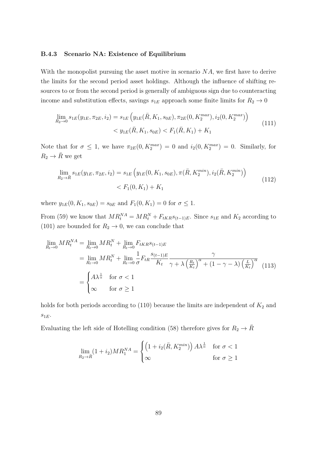#### **B.4.3 Scenario NA: Existence of Equilibrium**

With the monopolist pursuing the asset motive in scenario *NA*, we first have to derive the limits for the second period asset holdings. Although the influence of shifting resources to or from the second period is generally of ambiguous sign due to counteracting income and substitution effects, savings  $s_{1E}$  approach some finite limits for  $R_2 \rightarrow 0$ 

$$
\lim_{R_2 \to 0} s_{1E}(y_{1E}, \pi_{2E}, i_2) = s_{1E} \left( y_{1E}(\bar{R}, K_1, s_{0E}), \pi_{2E}(0, K_2^{max}), i_2(0, K_2^{max}) \right) \n< y_{1E}(\bar{R}, K_1, s_{0E}) < F_1(\bar{R}, K_1) + K_1
$$
\n(111)

Note that for  $\sigma \leq 1$ , we have  $\pi_{2E}(0, K_2^{max}) = 0$  and  $i_2(0, K_2^{max}) = 0$ . Similarly, for  $R_2 \rightarrow \overline{R}$  we get

$$
\lim_{R_2 \to \bar{R}} s_{1E}(y_{1E}, \pi_{2E}, i_2) = s_{1E} \left( y_{1E}(0, K_1, s_{0E}), \pi(\bar{R}, K_2^{min}), i_2(\bar{R}, K_2^{min}) \right) \n\le F_1(0, K_1) + K_1
$$
\n(112)

where  $y_{1E}(0, K_1, s_{0E}) = s_{0E}$  and  $F_1(0, K_1) = 0$  for  $\sigma \leq 1$ .

From (59) we know that  $MR_t^N = MR_t^N + F_{tKR} s_{(t-1)E}$ . Since  $s_{1E}$  and  $K_2$  according to (101) are bounded for  $R_2 \rightarrow 0$ , we can conclude that

$$
\lim_{R_t \to 0} MR_t^{NA} = \lim_{R_t \to 0} MR_t^N + \lim_{R_t \to 0} F_{tKR} s_{(t-1)E}
$$
\n
$$
= \lim_{R_t \to 0} MR_t^N + \lim_{R_t \to 0} \frac{1}{\sigma} F_{tR} \frac{s_{(t-1)E}}{K_t} \frac{\gamma}{\gamma + \lambda \left(\frac{R_t}{K_t}\right)^{\alpha} + (1 - \gamma - \lambda) \left(\frac{L}{K_t}\right)^{\alpha}}}{\sqrt{\frac{L}{K_t}}}
$$
\n
$$
= \begin{cases}\nA\lambda^{\frac{1}{\alpha}} & \text{for } \sigma < 1 \\
\infty & \text{for } \sigma \ge 1\n\end{cases}
$$
\n(113)

holds for both periods according to  $(110)$  because the limits are independent of  $K_2$  and *s*1*<sup>E</sup>*.

Evaluating the left side of Hotelling condition (58) therefore gives for  $R_2 \rightarrow \overline{R}$ 

$$
\lim_{R_2 \to \bar{R}} (1 + i_2)MR_1^{NA} = \begin{cases} \left(1 + i_2(\bar{R}, K_2^{min})\right) A \lambda^{\frac{1}{\alpha}} & \text{for } \sigma < 1\\ \infty & \text{for } \sigma \ge 1 \end{cases}
$$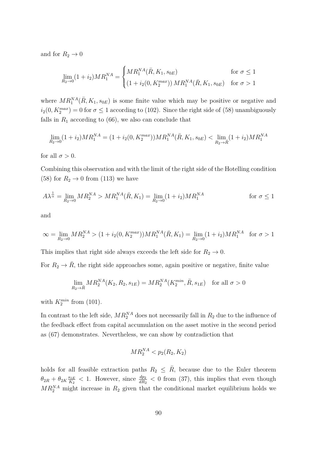and for  $R_2 \to 0$ 

$$
\lim_{R_2 \to 0} (1 + i_2)MR_1^{NA} = \begin{cases} MR_1^{NA}(\bar{R}, K_1, s_{0E}) & \text{for } \sigma \le 1\\ (1 + i_2(0, K_2^{max})) MR_1^{NA}(\bar{R}, K_1, s_{0E}) & \text{for } \sigma > 1 \end{cases}
$$

where  $MR_1^{NA}(\bar{R}, K_1, s_{0E})$  is some finite value which may be positive or negative and  $i_2(0, K_2^{max}) = 0$  for  $\sigma \le 1$  according to (102). Since the right side of (58) unambiguously falls in  $R_1$  according to (66), we also can conclude that

$$
\lim_{R_2 \to 0} (1 + i_2)MR_1^{NA} = (1 + i_2(0, K_2^{max}))MR_1^{NA}(\overline{R}, K_1, s_{0E}) < \lim_{R_2 \to \overline{R}} (1 + i_2)MR_1^{NA}
$$

for all  $\sigma > 0$ .

Combining this observation and with the limit of the right side of the Hotelling condition (58) for  $R_2 \rightarrow 0$  from (113) we have

$$
A\lambda^{\frac{1}{\alpha}} = \lim_{R_2 \to 0} M R_2^{NA} > M R_1^{NA} (\bar{R}, K_1) = \lim_{R_2 \to 0} (1 + i_2) M R_1^{NA}
$$
 for  $\sigma \le 1$ 

and

$$
\infty = \lim_{R_2 \to 0} M R_2^{NA} > (1 + i_2(0, K_2^{max})) M R_1^{NA} (\bar{R}, K_1) = \lim_{R_2 \to 0} (1 + i_2) M R_1^{NA} \text{ for } \sigma > 1
$$

This implies that right side always exceeds the left side for  $R_2 \rightarrow 0$ .

For  $R_2 \rightarrow \bar{R}$ , the right side approaches some, again positive or negative, finite value

$$
\lim_{R_2 \to \bar{R}} M R_2^{NA}(K_2, R_2, s_{1E}) = M R_2^{NA}(K_2^{\min}, \bar{R}, s_{1E}) \text{ for all } \sigma > 0
$$

with  $K_2^{min}$  from (101).

In contrast to the left side,  $MR_2^{\text{NA}}$  does not necessarily fall in  $R_2$  due to the influence of the feedback effect from capital accumulation on the asset motive in the second period as (67) demonstrates. Nevertheless, we can show by contradiction that

$$
MR_2^{NA} < p_2(R_2, K_2)
$$

holds for all feasible extraction paths  $R_2 \leq \overline{R}$ , because due to the Euler theorem  $\theta_{2R} + \theta_{2K} \frac{s_{1E}}{K_2}$  $\frac{M_{E}}{K_{2}}$  < 1. However, since  $\frac{dp_{2}}{dR_{2}}$  < 0 from (37), this implies that even though  $MR_2^{NA}$  might increase in  $R_2$  given that the conditional market equilibrium holds we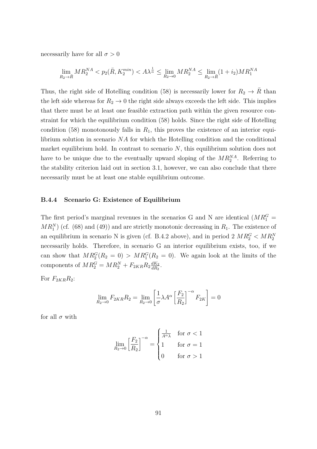necessarily have for all  $\sigma > 0$ 

$$
\lim_{R_2 \to \bar{R}} M R_2^{NA} < p_2(\bar{R}, K_2^{\min}) < A\lambda^{\frac{1}{\alpha}} \le \lim_{R_2 \to 0} M R_2^{NA} \le \lim_{R_2 \to \bar{R}} (1 + i_2) M R_1^{NA}
$$

Thus, the right side of Hotelling condition (58) is necessarily lower for  $R_2 \rightarrow \overline{R}$  than the left side whereas for  $R_2 \rightarrow 0$  the right side always exceeds the left side. This implies that there must be at least one feasible extraction path within the given resource constraint for which the equilibrium condition (58) holds. Since the right side of Hotelling condition (58) monotonously falls in  $R_1$ , this proves the existence of an interior equilibrium solution in scenario *NA* for which the Hotelling condition and the conditional market equilibrium hold. In contrast to scenario *N*, this equilibrium solution does not have to be unique due to the eventually upward sloping of the  $MR_2^{NA}$ . Referring to the stability criterion laid out in section 3.1, however, we can also conclude that there necessarily must be at least one stable equilibrium outcome.

#### **B.4.4 Scenario G: Existence of Equilibrium**

The first period's marginal revenues in the scenarios G and N are identical  $(MR_1^G =$  $MR_1^N$  (cf. (68) and (49)) and are strictly monotonic decreasing in  $R_1$ . The existence of an equilibrium in scenario N is given (cf. B.4.2 above), and in period  $2 \overline{MR_2^G} < \overline{MR_2^N}$ necessarily holds. Therefore, in scenario G an interior equilibrium exists, too, if we can show that  $MR_2^G(R_2 = 0) > MR_1^G(R_2 = 0)$ . We again look at the limits of the components of  $MR_2^G = MR_2^N + F_{2KR}R_2 \frac{dK_2}{dR_2}$  $\frac{dK_2}{dR_2}$ .

For  $F_{2KR}R_2$ :

$$
\lim_{R_2 \to 0} F_{2KR} R_2 = \lim_{R_2 \to 0} \left[ \frac{1}{\sigma} \lambda A^{\alpha} \left[ \frac{F_2}{R_2} \right]^{-\alpha} F_{2K} \right] = 0
$$

for all  $\sigma$  with

$$
\lim_{R_2 \to 0} \left[ \frac{F_2}{R_2} \right]^{-\alpha} = \begin{cases} \frac{1}{A^{\alpha} \lambda} & \text{for } \sigma < 1 \\ 1 & \text{for } \sigma = 1 \\ 0 & \text{for } \sigma > 1 \end{cases}
$$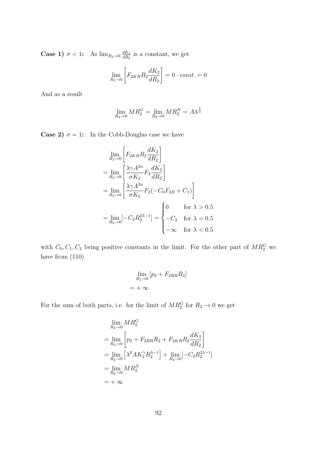**Case 1)**  $\sigma < 1$ : As  $\lim_{R_2 \to 0} \frac{dK_2}{dR_2}$  $\frac{dK_2}{dR_2}$  is a constant, we get

$$
\lim_{R_2 \to 0} \left[ F_{2KR} R_2 \frac{dK_2}{dR_2} \right] = 0 \cdot const. = 0
$$

And as a result

$$
\lim_{R_2 \to 0} M R_2^G = \lim_{R_2 \to 0} M R_2^N = A \lambda^{\frac{1}{\alpha}}
$$

**Case 2)**  $\sigma = 1$ : In the Cobb-Douglas case we have

$$
\lim_{R_2 \to 0} \left[ F_{2KR} R_2 \frac{dK_2}{dR_2} \right]
$$
\n
$$
= \lim_{R_2 \to 0} \left[ \frac{\lambda \gamma A^{2\alpha}}{\sigma K_2} F_2 \frac{dK_2}{dR_2} \right]
$$
\n
$$
= \lim_{R_2 \to 0} \left[ \frac{\lambda \gamma A^{2\alpha}}{\sigma K_2} F_2 (-C_0 F_{2R} + C_1) \right]
$$
\n
$$
= \lim_{R_2 \to 0} \left[ -C_2 R_2^{2\lambda - 1} \right] = \begin{cases} 0 & \text{for } \lambda > 0.5 \\ -C_2 & \text{for } \lambda = 0.5 \\ -\infty & \text{for } \lambda < 0.5 \end{cases}
$$

with  $C_0, C_1, C_2$  being positive constants in the limit. For the other part of  $MR_2^G$  we have from (110)

$$
\lim_{R_2 \to 0} [p_2 + F_{2RR} R_2]
$$

$$
= +\infty
$$

For the sum of both parts, i.e. for the limit of  $MR_2^G$  for  $R_2 \to 0$  we get

$$
\lim_{R_2 \to 0} MR_2^G
$$
\n
$$
= \lim_{R_2 \to 0} \left[ p_2 + F_{2RR}R_2 + F_{2KR}R_2 \frac{dK_2}{dR_2} \right]
$$
\n
$$
= \lim_{R_2 \to 0} \left[ \lambda^2 AK_2^{\gamma} R_2^{\lambda - 1} \right] + \lim_{R_2 \to 0} \left[ -C_2 R_2^{2\lambda - 1} \right]
$$
\n
$$
= \lim_{R_2 \to 0} MR_2^N
$$
\n
$$
= + \infty
$$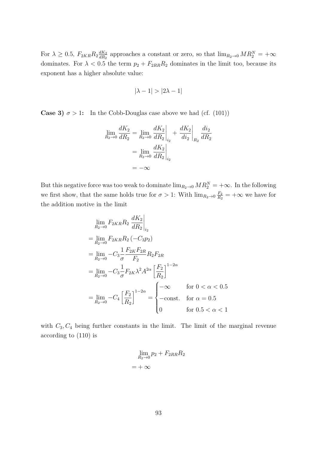For  $\lambda \geq 0.5$ ,  $F_{2KR}R_2 \frac{dK_2}{dR_2}$  $\frac{dK_2}{dR_2}$  approaches a constant or zero, so that  $\lim_{R_2 \to 0} MR_2^N = +\infty$ dominates. For  $\lambda < 0.5$  the term  $p_2 + F_{2RR}R_2$  dominates in the limit too, because its exponent has a higher absolute value:

$$
|\lambda - 1| > |2\lambda - 1|
$$

**Case 3)**  $\sigma > 1$ : In the Cobb-Douglas case above we had (cf. (101))

$$
\lim_{R_2 \to 0} \frac{dK_2}{dR_2} = \lim_{R_2 \to 0} \frac{dK_2}{dR_2}\Big|_{i_2} + \frac{dK_2}{di_2}\Big|_{R_2} \frac{di_2}{dR_2}
$$

$$
= \lim_{R_2 \to 0} \frac{dK_2}{dR_2}\Big|_{i_2}
$$

$$
= -\infty
$$

But this negative force was too weak to dominate  $\lim_{R_2\to 0} MR_2^N = +\infty$ . In the following we first show, that the same holds true for  $\sigma > 1$ : With  $\lim_{R_2 \to 0} \frac{F_2}{R_2}$  $\frac{F_2}{R_2}$  =  $+\infty$  we have for the addition motive in the limit

$$
\lim_{R_2 \to 0} F_{2KR} R_2 \frac{dK_2}{dR_2} \Big|_{i_2}
$$
\n
$$
= \lim_{R_2 \to 0} F_{2KR} R_2 (-C_3 p_2)
$$
\n
$$
= \lim_{R_2 \to 0} -C_3 \frac{1}{\sigma} \frac{F_{2K} F_{2R}}{F_2} R_2 F_{2R}
$$
\n
$$
= \lim_{R_2 \to 0} -C_3 \frac{1}{\sigma} F_{2K} \lambda^2 A^{2\alpha} \left[ \frac{F_2}{R_2} \right]^{1-2\alpha}
$$
\n
$$
= \lim_{R_2 \to 0} -C_4 \left[ \frac{F_2}{R_2} \right]^{1-2\alpha} = \begin{cases} -\infty & \text{for } 0 < \alpha < 0.5 \\ -\text{const.} & \text{for } \alpha = 0.5 \\ 0 & \text{for } 0.5 < \alpha < 1 \end{cases}
$$

with  $C_3, C_4$  being further constants in the limit. The limit of the marginal revenue according to (110) is

$$
\lim_{R_2 \to 0} p_2 + F_{2RR} R_2
$$

$$
= +\infty
$$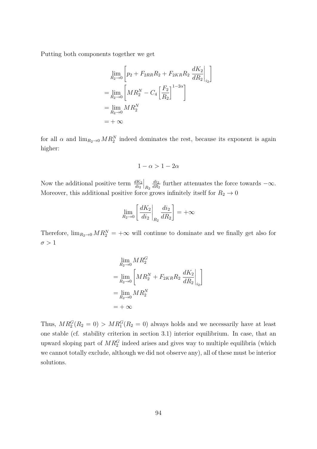Putting both components together we get

$$
\lim_{R_2 \to 0} \left[ p_2 + F_{2RR} R_2 + F_{2KR} R_2 \frac{dK_2}{dR_2} \Big|_{i_2} \right]
$$
  
= 
$$
\lim_{R_2 \to 0} \left[ M R_2^N - C_4 \left[ \frac{F_2}{R_2} \right]^{1-2\alpha} \right]
$$
  
= 
$$
\lim_{R_2 \to 0} M R_2^N
$$
  
= + 
$$
\infty
$$

for all  $\alpha$  and  $\lim_{R_2 \to 0} MR_2^N$  indeed dominates the rest, because its exponent is again higher:

$$
1-\alpha>1-2\alpha
$$

Now the additional positive term  $\frac{dK_2}{di_2}$  $\Big|_{R_2}$ *di*<sup>2</sup>  $\frac{du_2}{dR_2}$  further attenuates the force towards  $-\infty$ . Moreover, this additional positive force grows infinitely itself for  $R_2 \rightarrow 0$ 

$$
\lim_{R_2 \to 0} \left[ \frac{dK_2}{di_2} \bigg|_{R_2} \frac{di_2}{dR_2} \right] = +\infty
$$

Therefore,  $\lim_{R_2\to 0} MR_2^N = +\infty$  will continue to dominate and we finally get also for  $\sigma > 1$ 

$$
\lim_{R_2 \to 0} MR_2^G
$$
\n
$$
= \lim_{R_2 \to 0} \left[ MR_2^N + F_{2KR}R_2 \frac{dK_2}{dR_2} \Big|_{i_2} \right]
$$
\n
$$
= \lim_{R_2 \to 0} MR_2^N
$$
\n
$$
= +\infty
$$

Thus,  $MR_2^G(R_2 = 0) > MR_1^G(R_2 = 0)$  always holds and we necessarily have at least one stable (cf. stability criterion in section 3.1) interior equilibrium. In case, that an upward sloping part of  $MR_2^G$  indeed arises and gives way to multiple equilibria (which we cannot totally exclude, although we did not observe any), all of these must be interior solutions.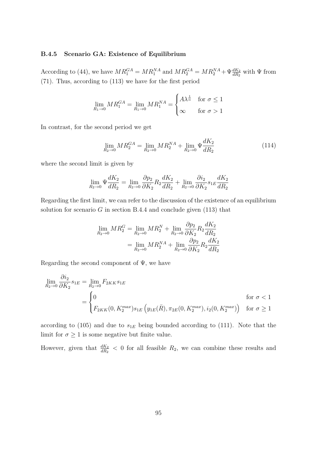#### **B.4.5 Scenario GA: Existence of Equilibrium**

According to (44), we have  $MR_1^{GA} = MR_1^{NA}$  and  $MR_2^{GA} = MR_2^{NA} + \Psi \frac{dK_2}{dR_2}$  with  $\Psi$  from (71). Thus, according to (113) we have for the first period

$$
\lim_{R_1 \to 0} M R_1^{GA} = \lim_{R_1 \to 0} M R_1^{NA} = \begin{cases} A \lambda^{\frac{1}{\alpha}} & \text{for } \sigma \le 1 \\ \infty & \text{for } \sigma > 1 \end{cases}
$$

In contrast, for the second period we get

$$
\lim_{R_2 \to 0} M R_2^{GA} = \lim_{R_2 \to 0} M R_2^{NA} + \lim_{R_2 \to 0} \Psi \frac{dK_2}{dR_2}
$$
\n(114)

where the second limit is given by

$$
\lim_{R_2 \to 0} \Psi \frac{dK_2}{dR_2} = \lim_{R_2 \to 0} \frac{\partial p_2}{\partial K_2} R_2 \frac{dK_2}{dR_2} + \lim_{R_2 \to 0} \frac{\partial i_2}{\partial K_2} s_{1E} \frac{dK_2}{dR_2}
$$

Regarding the first limit, we can refer to the discussion of the existence of an equilibrium solution for scenario  $G$  in section B.4.4 and conclude given  $(113)$  that

$$
\lim_{R_2 \to 0} M R_2^G = \lim_{R_2 \to 0} M R_2^N + \lim_{R_2 \to 0} \frac{\partial p_2}{\partial K_2} R_2 \frac{dK_2}{dR_2}
$$

$$
= \lim_{R_2 \to 0} M R_2^{NA} + \lim_{R_2 \to 0} \frac{\partial p_2}{\partial K_2} R_2 \frac{dK_2}{dR_2}
$$

Regarding the second component of  $\Psi$ , we have

$$
\lim_{R_2 \to 0} \frac{\partial i_2}{\partial K_2} s_{1E} = \lim_{R_2 \to 0} F_{2KK} s_{1E}
$$
\n
$$
= \begin{cases}\n0 & \text{for } \sigma < 1 \\
F_{2KK}(0, K_2^{max}) s_{1E} (y_{1E}(\bar{R}), \pi_{2E}(0, K_2^{max}), i_2(0, K_2^{max})) & \text{for } \sigma \ge 1\n\end{cases}
$$

according to  $(105)$  and due to  $s_{1E}$  being bounded according to  $(111)$ . Note that the limit for  $\sigma \geq 1$  is some negative but finite value.

However, given that  $\frac{dK_2}{dR_2}$  < 0 for all feasible  $R_2$ , we can combine these results and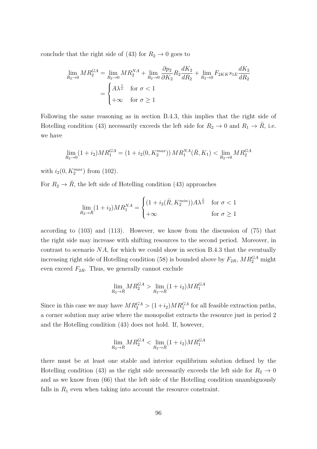conclude that the right side of  $(43)$  for  $R_2 \rightarrow 0$  goes to

$$
\lim_{R_2 \to 0} MR_2^{GA} = \lim_{R_2 \to 0} MR_2^{NA} + \lim_{R_2 \to 0} \frac{\partial p_2}{\partial K_2} R_2 \frac{dK_2}{dR_2} + \lim_{R_2 \to 0} F_{2KK} s_{1E} \frac{dK_2}{dR_2}
$$

$$
= \begin{cases} A\lambda^{\frac{1}{\alpha}} & \text{for } \sigma < 1 \\ +\infty & \text{for } \sigma \ge 1 \end{cases}
$$

Following the same reasoning as in section B.4.3, this implies that the right side of Hotelling condition (43) necessarily exceeds the left side for  $R_2 \to 0$  and  $R_1 \to \overline{R}$ , i.e. we have

$$
\lim_{R_2 \to 0} (1 + i_2)MR_1^{GA} = (1 + i_2(0, K_2^{max}))MR_1^{NA}(\overline{R}, K_1) < \lim_{R_2 \to 0} MR_2^{GA}
$$

with  $i_2(0, K_2^{max})$  from (102).

For  $R_2 \rightarrow \overline{R}$ , the left side of Hotelling condition (43) approaches

$$
\lim_{R_2 \to \bar{R}} (1 + i_2)MR_1^{NA} = \begin{cases} (1 + i_2(\bar{R}, K_2^{min}))A\lambda^{\frac{1}{\alpha}} & \text{for } \sigma < 1\\ +\infty & \text{for } \sigma \ge 1 \end{cases}
$$

according to (103) and (113). However, we know from the discussion of (75) that the right side may increase with shifting resources to the second period. Moreover, in contrast to scenario *NA*, for which we could show in section B.4.3 that the eventually increasing right side of Hotelling condition (58) is bounded above by  $F_{2R}$ ,  $MR_2^{GA}$  might even exceed  $F_{2R}$ . Thus, we generally cannot exclude

$$
\lim_{R_2 \to \bar{R}} M R_2^{GA} > \lim_{R_2 \to \bar{R}} (1 + i_2) M R_1^{GA}
$$

Since in this case we may have  $MR_2^{GA} > (1+i_2)MR_1^{GA}$  for all feasible extraction paths, a corner solution may arise where the monopolist extracts the resource just in period 2 and the Hotelling condition (43) does not hold. If, however,

$$
\lim_{R_2 \to \bar{R}} M R_2^{GA} < \lim_{R_2 \to \bar{R}} (1 + i_2) M R_1^{GA}
$$

there must be at least one stable and interior equilibrium solution defined by the Hotelling condition (43) as the right side necessarily exceeds the left side for  $R_2 \rightarrow 0$ and as we know from (66) that the left side of the Hotelling condition unambiguously falls in  $R_1$  even when taking into account the resource constraint.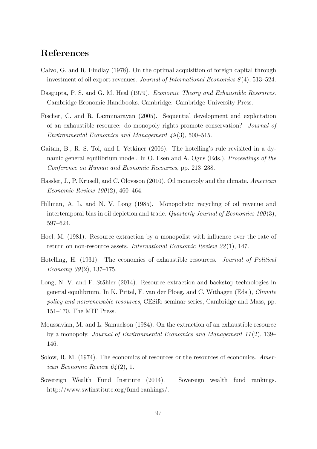# **References**

- Calvo, G. and R. Findlay (1978). On the optimal acquisition of foreign capital through investment of oil export revenues. *Journal of International Economics 8* (4), 513–524.
- Dasgupta, P. S. and G. M. Heal (1979). *Economic Theory and Exhaustible Resources*. Cambridge Economic Handbooks. Cambridge: Cambridge University Press.
- Fischer, C. and R. Laxminarayan (2005). Sequential development and exploitation of an exhaustible resource: do monopoly rights promote conservation? *Journal of Environmental Economics and Management 49* (3), 500–515.
- Gaitan, B., R. S. Tol, and I. Yetkiner (2006). The hotelling's rule revisited in a dynamic general equilibrium model. In O. Esen and A. Ogus (Eds.), *Proceedings of the Conference on Human and Economic Recources*, pp. 213–238.
- Hassler, J., P. Krusell, and C. Olovsson (2010). Oil monopoly and the climate. *American Economic Review 100* (2), 460–464.
- Hillman, A. L. and N. V. Long (1985). Monopolistic recycling of oil revenue and intertemporal bias in oil depletion and trade. *Quarterly Journal of Economics 100* (3), 597–624.
- Hoel, M. (1981). Resource extraction by a monopolist with influence over the rate of return on non-resource assets. *International Economic Review 22* (1), 147.
- Hotelling, H. (1931). The economics of exhaustible resources. *Journal of Political Economy 39* (2), 137–175.
- Long, N. V. and F. Stähler (2014). Resource extraction and backstop technologies in general equilibrium. In K. Pittel, F. van der Ploeg, and C. Withagen (Eds.), *Climate policy and nonrenewable resources*, CESifo seminar series, Cambridge and Mass, pp. 151–170. The MIT Press.
- Moussavian, M. and L. Samuelson (1984). On the extraction of an exhaustible resource by a monopoly. *Journal of Environmental Economics and Management 11* (2), 139– 146.
- Solow, R. M. (1974). The economics of resources or the resources of economics. *American Economic Review 64* (2), 1.
- Sovereign Wealth Fund Institute (2014). Sovereign wealth fund rankings. http://www.swfinstitute.org/fund-rankings/.